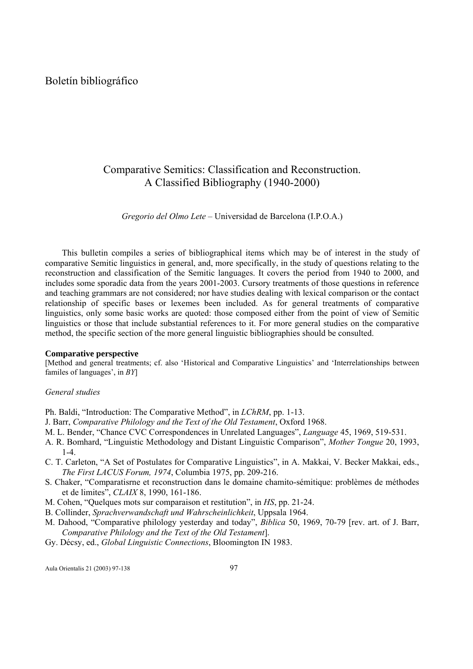# Boletín bibliográfico

# Comparative Semitics: Classification and Reconstruction. A Classified Bibliography (1940-2000)

*Gregorio del Olmo Lete* – Universidad de Barcelona (I.P.O.A.)

This bulletin compiles a series of bibliographical items which may be of interest in the study of comparative Semitic linguistics in general, and, more specifically, in the study of questions relating to the reconstruction and classification of the Semitic languages. It covers the period from 1940 to 2000, and includes some sporadic data from the years 2001-2003. Cursory treatments of those questions in reference and teaching grammars are not considered; nor have studies dealing with lexical comparison or the contact relationship of specific bases or lexemes been included. As for general treatments of comparative linguistics, only some basic works are quoted: those composed either from the point of view of Semitic linguistics or those that include substantial references to it. For more general studies on the comparative method, the specific section of the more general linguistic bibliographies should be consulted.

#### **Comparative perspective**

[Method and general treatments; cf. also 'Historical and Comparative Linguistics' and 'Interrelationships between familes of languages', in *BY*]

### *General studies*

Ph. Baldi, "Introduction: The Comparative Method", in *LChRM*, pp. 1-13.

- J. Barr, *Comparative Philology and the Text of the Old Testament*, Oxford 1968.
- M. L. Bender, "Chance CVC Correspondences in Unrelated Languages", *Language* 45, 1969, 519-531.
- A. R. Bomhard, "Linguistic Methodology and Distant Linguistic Comparison", *Mother Tongue* 20, 1993, 1-4.
- C. T. Carleton, "A Set of Postulates for Comparative Linguistics", in A. Makkai, V. Becker Makkai, eds., *The First LACUS Forum, 1974*, Columbia 1975, pp. 209-216.
- S. Chaker, "Comparatisrne et reconstruction dans le domaine chamito-sémitique: problèmes de méthodes et de limites", *CLAIX* 8, 1990, 161-186.
- M. Cohen, "Quelques mots sur comparaison et restitution", in *HS*, pp. 21-24.
- B. Collinder, *Sprachverwandschaft und Wahrscheinlichkeit*, Uppsala 1964.
- M. Dahood, "Comparative philology yesterday and today", *Biblica* 50, 1969, 70-79 [rev. art. of J. Barr, *Comparative Philology and the Text of the Old Testament*].
- Gy. Décsy, ed., *Global Linguistic Connections*, Bloomington IN 1983.

Aula Orientalis 21 (2003) 97-138 97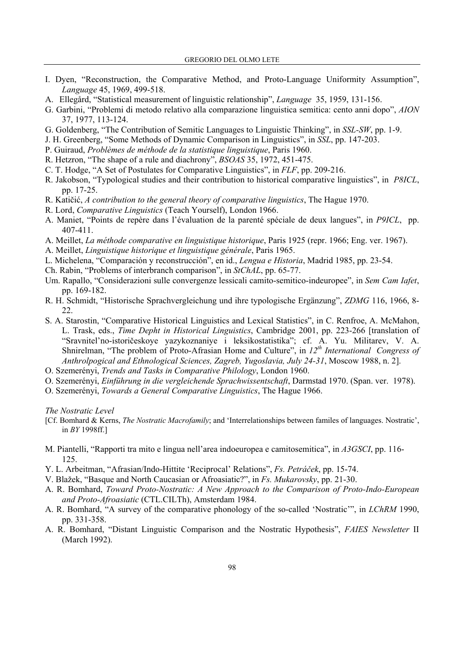- I. Dyen, "Reconstruction, the Comparative Method, and Proto-Language Uniformity Assumption", *Language* 45, 1969, 499-518.
- A. Ellegård, "Statistical measurement of linguistic relationship", *Language* 35, 1959, 131-156.
- G. Garbini, "Problemi di metodo relativo alla comparazione linguistica semitica: cento anni dopo", *AION* 37, 1977, 113-124.
- G. Goldenberg, "The Contribution of Semitic Languages to Linguistic Thinking", in *SSL-SW*, pp. 1-9.
- J. H. Greenberg, "Some Methods of Dynamic Comparison in Linguistics", in *SSL*, pp. 147-203.
- P. Guiraud, *Problèmes de méthode de la statistique linguistique*, Paris 1960.
- R. Hetzron, "The shape of a rule and diachrony", *BSOAS* 35, 1972, 451-475.
- C. T. Hodge, "A Set of Postulates for Comparative Linguistics", in *FLF*, pp. 209-216.
- R. Jakobson, "Typological studies and their contribution to historical comparative linguistics", in *P8ICL*, pp. 17-25.
- R. Katičić, *A contribution to the general theory of comparative linguistics*, The Hague 1970.
- R. Lord, *Comparative Linguistics* (Teach Yourself), London 1966.
- A. Maniet, "Points de repère dans l'évaluation de la parenté spéciale de deux langues", in *P9ICL*, pp. 407-411.
- A. Meillet, *La méthode comparative en linguistique historique*, Paris 1925 (repr. 1966; Eng. ver. 1967).
- A. Meillet, *Linguistique historique et linguistique générale*, Paris 1965.
- L. Michelena, "Comparación y reconstrucción", en id., *Lengua e Historia*, Madrid 1985, pp. 23-54.
- Ch. Rabin, "Problems of interbranch comparison", in *StChAL*, pp. 65-77.
- Um. Rapallo, "Considerazioni sulle convergenze lessicali camito-semitico-indeuropee", in *Sem Cam Iafet*, pp. 169-182.
- R. H. Schmidt, "Historische Sprachvergleichung und ihre typologische Ergänzung", *ZDMG* 116, 1966, 8- 22.
- S. A. Starostin, "Comparative Historical Linguistics and Lexical Statistics", in C. Renfroe, A. McMahon, L. Trask, eds., *Time Depht in Historical Linguistics*, Cambridge 2001, pp. 223-266 [translation of "Sravnitel'no-istoričeskoye yazykoznaniye i leksikostatistika"; cf. A. Yu. Militarev, V. A. Shnirelman, "The problem of Proto-Afrasian Home and Culture", in  $12<sup>th</sup> International Congress of$ *Anthrolpogical and Ethnological Sciences, Zagreb, Yugoslavia, July 24-31*, Moscow 1988, n. 2].
- O. Szemerényi, *Trends and Tasks in Comparative Philology*, London 1960.
- O. Szemerényi, *Einführung in die vergleichende Sprachwissentschaft*, Darmstad 1970. (Span. ver. 1978).
- O. Szemerényi, *Towards a General Comparative Linguistics*, The Hague 1966.

*The Nostratic Level* 

- [Cf. Bomhard & Kerns, *The Nostratic Macrofamily*; and 'Interrelationships between familes of languages. Nostratic', in *BY* 1998ff.]
- M. Piantelli, "Rapporti tra mito e lingua nell'area indoeuropea e camitosemitica", in *A3GSCI*, pp. 116- 125.
- Y. L. Arbeitman, "Afrasian/Indo-Hittite 'Reciprocal' Relations", *Fs. Petráček*, pp. 15-74.
- V. Blažek, "Basque and North Caucasian or Afroasiatic?", in *Fs. Mukarovsky*, pp. 21-30.
- A. R. Bomhard, *Toward Proto-Nostratic: A New Approach to the Comparison of Proto-Indo-European and Proto-Afroasiatic* (CTL.CILTh), Amsterdam 1984.
- A. R. Bomhard, "A survey of the comparative phonology of the so-called 'Nostratic'", in *LChRM* 1990, pp. 331-358.
- A. R. Bomhard, "Distant Linguistic Comparison and the Nostratic Hypothesis", *FAIES Newsletter* II (March 1992).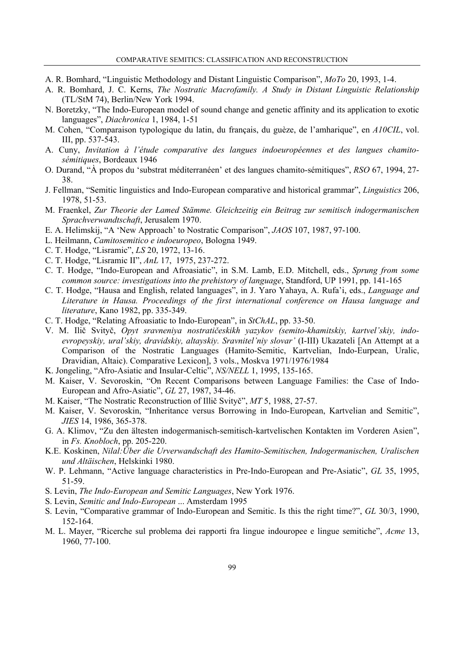- A. R. Bomhard, "Linguistic Methodology and Distant Linguistic Comparison", *MoTo* 20, 1993, 1-4.
- A. R. Bomhard, J. C. Kerns, *The Nostratic Macrofamily. A Study in Distant Linguistic Relationship* (TL/StM 74), Berlin/New York 1994.
- N. Boretzky, "The Indo-European model of sound change and genetic affinity and its application to exotic languages", *Diachronica* 1, 1984, 1-51
- M. Cohen, "Comparaison typologique du latin, du français, du guèze, de l'amharique", en *A10CIL*, vol. III, pp. 537-543.
- A. Cuny, *Invitation à l'étude comparative des langues indoeuropéennes et des langues chamitosémitiques*, Bordeaux 1946
- O. Durand, "À propos du 'substrat méditerranéen' et des langues chamito-sémitiques", *RSO* 67, 1994, 27- 38.
- J. Fellman, "Semitic linguistics and Indo-European comparative and historical grammar", *Linguistics* 206, 1978, 51-53.
- M. Fraenkel, *Zur Theorie der Lamed Stämme. Gleichzeitig ein Beitrag zur semitisch indogermanischen Sprachverwandtschaft*, Jerusalem 1970.
- E. A. Helimskij, "A 'New Approach' to Nostratic Comparison", *JAOS* 107, 1987, 97-100.
- L. Heilmann, *Camitosemitico e indoeuropeo*, Bologna 1949.
- C. T. Hodge, "Lisramic", *LS* 20, 1972, 13-16.
- C. T. Hodge, "Lisramic II", *AnL* 17, 1975, 237-272.
- C. T. Hodge, "Indo-European and Afroasiatic", in S.M. Lamb, E.D. Mitchell, eds., *Sprung from some common source: investigations into the prehistory of language*, Standford, UP 1991, pp. 141-165
- C. T. Hodge, "Hausa and English, related languages", in J. Yaro Yahaya, A. Rufa'i, eds., *Language and Literature in Hausa. Proceedings of the first international conference on Hausa language and literature*, Kano 1982, pp. 335-349.
- C. T. Hodge, "Relating Afroasiatic to Indo-European", in *StChAL*, pp. 33-50.
- V. M. Ilič Svityč, *Opyt sravneniya nostratičeskikh yazykov (semito-khamitskiy, kartvel'skiy, indoevropeyskiy, ural'skiy, dravidskiy, altayskiy. Sravnitel'niy slovar'* (I-III) Ukazateli [An Attempt at a Comparison of the Nostratic Languages (Hamito-Semitic, Kartvelian, Indo-Eurpean, Uralic, Dravidian, Altaic). Comparative Lexicon], 3 vols., Moskva 1971/1976/1984
- K. Jongeling, "Afro-Asiatic and Insular-Celtic", *NS/NELL* 1, 1995, 135-165.
- M. Kaiser, V. Sevoroskin, "On Recent Comparisons between Language Families: the Case of Indo-European and Afro-Asiatic", *GL* 27, 1987, 34-46.
- M. Kaiser, "The Nostratic Reconstruction of Illič Svityč", *MT* 5, 1988, 27-57.
- M. Kaiser, V. Sevoroskin, "Inheritance versus Borrowing in Indo-European, Kartvelian and Semitic", *JIES* 14, 1986, 365-378.
- G. A. Klimov, "Zu den ältesten indogermanisch-semitisch-kartvelischen Kontakten im Vorderen Asien", in *Fs. Knobloch*, pp. 205-220.
- K.E. Koskinen, *Nilal:Über die Urverwandschaft des Hamito-Semitischen, Indogermanischen, Uralischen und Altäischen*, Helskinki 1980.
- W. P. Lehmann, "Active language characteristics in Pre-Indo-European and Pre-Asiatic", *GL* 35, 1995, 51-59.
- S. Levin, *The Indo-European and Semitic Languages*, New York 1976.
- S. Levin, *Semitic and Indo-European* ... Amsterdam 1995
- S. Levin, "Comparative grammar of Indo-European and Semitic. Is this the right time?", *GL* 30/3, 1990, 152-164.
- M. L. Mayer, "Ricerche sul problema dei rapporti fra lingue indouropee e lingue semitiche", *Acme* 13, 1960, 77-100.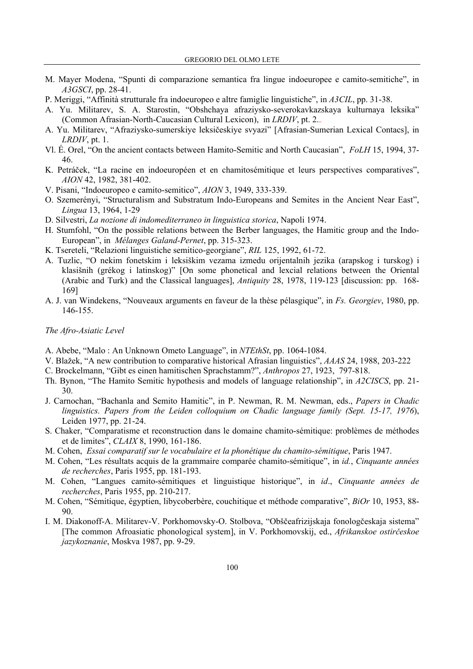- M. Mayer Modena, "Spunti di comparazione semantica fra lingue indoeuropee e camito-semitiche", in *A3GSCI*, pp. 28-41.
- P. Meriggi, "Affinità strutturale fra indoeuropeo e altre famiglie linguistiche", in *A3CIL*, pp. 31-38.
- A. Yu. Militarev, S. A. Starostin, "Obshchaya afraziysko-severokavkazskaya kulturnaya leksika" (Common Afrasian-North-Caucasian Cultural Lexicon), in *LRDIV*, pt. 2..
- A. Yu. Militarev, "Afraziysko-sumerskiye leksičeskiye svyazi" [Afrasian-Sumerian Lexical Contacs], in *LRDIV*, pt. 1.
- Vl. É. Orel, "On the ancient contacts between Hamito-Semitic and North Caucasian", *FoLH* 15, 1994, 37- 46.
- K. Petráček, "La racine en indoeuropéen et en chamitosémitique et leurs perspectives comparatives", *AION* 42, 1982, 381-402.
- V. Pisani, "Indoeuropeo e camito-semitico", *AION* 3, 1949, 333-339.
- O. Szemerényi, "Structuralism and Substratum Indo-Europeans and Semites in the Ancient Near East", *Lingua* 13, 1964, 1-29
- D. Silvestri, *La nozione di indomediterraneo in linguistica storica*, Napoli 1974.
- H. Stumfohl, "On the possible relations between the Berber languages, the Hamitic group and the Indo-European", in *Mélanges Galand-Pernet*, pp. 315-323.
- K. Tsereteli, "Relazioni linguistiche semitico-georgiane", *RIL* 125, 1992, 61-72.
- A. Tuzlic, "O nekim fonetskim i leksiškim vezama izmedu orijentalnih jezika (arapskog i turskog) i klasišnih (grékog i latinskog)" [On some phonetical and lexcial relations between the Oriental (Arabic and Turk) and the Classical languages], *Antiquity* 28, 1978, 119-123 [discussion: pp. 168- 169]
- A. J. van Windekens, "Nouveaux arguments en faveur de la thèse pélasgique", in *Fs. Georgiev*, 1980, pp. 146-155.

# *The Afro-Asiatic Level*

- A. Abebe, "Malo : An Unknown Ometo Language", in *NTEthSt*, pp. 1064-1084.
- V. Blažek, "A new contribution to comparative historical Afrasian linguistics", *AAAS* 24, 1988, 203-222
- C. Brockelmann, "Gibt es einen hamitischen Sprachstamm?", *Anthropos* 27, 1923, 797-818.
- Th. Bynon, "The Hamito Semitic hypothesis and models of language relationship", in *A2CISCS*, pp. 21- 30.
- J. Carnochan, "Bachanla and Semito Hamitic", in P. Newman, R. M. Newman, eds., *Papers in Chadic linguistics. Papers from the Leiden colloquium on Chadic language family (Sept. 15-17, 1976*), Leiden 1977, pp. 21-24.
- S. Chaker, "Comparatisme et reconstruction dans le domaine chamito-sémitique: problèmes de méthodes et de limites", *CLAIX* 8, 1990, 161-186.
- M. Cohen, *Essai comparatif sur le vocabulaire et la phonétique du chamito-sémitique*, Paris 1947.
- M. Cohen, "Les résultats acquis de la grammaire comparée chamito-sémitique", in *id.*, *Cinquante années de recherches*, Paris 1955, pp. 181-193.
- M. Cohen, "Langues camito-sémitiques et linguistique historique", in *id*., *Cinquante années de recherches*, Paris 1955, pp. 210-217.
- M. Cohen, "Sémitique, égyptien, libycoberbère, couchitique et méthode comparative", *BiOr* 10, 1953, 88- 90.
- I. M. Diakonoff-A. Militarev-V. Porkhomovsky-O. Stolbova, "Obščeafrizijskaja fonologčeskaja sistema" [The common Afroasiatic phonological system], in V. Porkhomovskij, ed., *Afrikanskoe ostirčeskoe jazykoznanie*, Moskva 1987, pp. 9-29.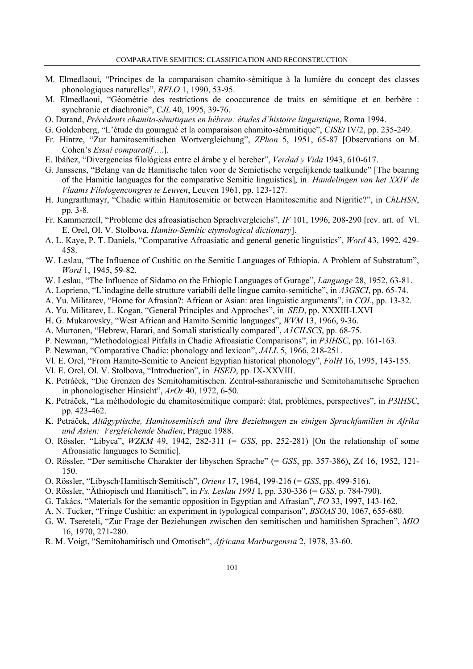- M. Elmedlaoui, "Principes de la comparaison chamito-sémitique à la lumière du concept des classes phonologiques naturelles", *RFLO* 1, 1990, 53-95.
- M. Elmedlaoui, "Géométrie des restrictions de cooccurence de traits en sémitique et en berbère : synchronie et diachronie", *CJL* 40, 1995, 39-76.
- O. Durand, *Précédents chamito-sémitiques en hébreu: études d'histoire linguistique*, Roma 1994.
- G. Goldenberg, "L'étude du gouragué et la comparaison chamito-sémmitique", *CISEt* IV/2, pp. 235-249.
- Fr. Hintze, "Zur hamitosemitischen Wortvergleichung", *ZPhon* 5, 1951, 65-87 [Observations on M. Cohen's *Essai comparatif ....*].
- E. Ibáñez, "Divergencias filológicas entre el árabe y el bereber", *Verdad y Vida* 1943, 610-617.
- G. Janssens, "Belang van de Hamitische talen voor de Semietische vergelijkende taalkunde" [The bearing of the Hamitic languages for the comparative Semitic linguistics], in *Handelingen van het XXIV de Vlaams Filologencongres te Leuven*, Leuven 1961, pp. 123-127.
- H. Jungraithmayr, "Chadic within Hamitosemitic or between Hamitosemitic and Nigritic?", in *ChLHSN*, pp. 3-8.
- Fr. Kammerzell, "Probleme des afroasiatischen Sprachvergleichs", *IF* 101, 1996, 208-290 [rev. art. of Vl. E. Orel, Ol. V. Stolbova, *Hamito-Semitic etymological dictionary*].
- A. L. Kaye, P. T. Daniels, "Comparative Afroasiatic and general genetic linguistics", *Word* 43, 1992, 429- 458.
- W. Leslau, "The Influence of Cushitic on the Semitic Languages of Ethiopia. A Problem of Substratum", *Word* 1, 1945, 59-82.
- W. Leslau, "The Influence of Sidamo on the Ethiopic Languages of Gurage", *Language* 28, 1952, 63-81.
- A. Loprieno, "L'indagine delle strutture variabili delle lingue camito-semitiche", in *A3GSCI*, pp. 65-74.
- A. Yu. Militarev, "Home for Afrasian?: African or Asian: area linguistic arguments", in *COL*, pp. 13-32.
- A. Yu. Militarev, L. Kogan, "General Principles and Approches", in *SED*, pp. XXXIII-LXVI
- H. G. Mukarovsky, "West African and Hamito Semitic languages", *WVM* 13, 1966, 9-36.
- A. Murtonen, "Hebrew, Harari, and Somali statistically compared", *A1CILSCS*, pp. 68-75.
- P. Newman, "Methodological Pitfalls in Chadic Afroasiatic Comparisons", in *P3IHSC*, pp. 161-163.
- P. Newman, "Comparative Chadic: phonology and lexicon", *JALL* 5, 1966, 218-251.
- Vl. E. Orel, "From Hamito-Semitic to Ancient Egyptian historical phonology", *FolH* 16, 1995, 143-155.
- Vl. E. Orel, Ol. V. Stolbova, "Introduction", in *HSED*, pp. IX-XXVIII.
- K. Petráček, "Die Grenzen des Semitohamitischen. Zentral-saharanische und Semitohamitische Sprachen in phonologischer Hinsicht", *ArOr* 40, 1972, 6-50.
- K. Petráček, "La méthodologie du chamitosémitique comparé: état, problèmes, perspectives", in *P3IHSC*, pp. 423-462.
- K. Petráček, *Altägyptische, Hamitosemitisch und ihre Beziehungen zu einigen Sprachfamilien in Afrika und Asien: Vergleichende Studien*, Prague 1988.
- O. Rössler, "Libyca", *WZKM* 49, 1942, 282-311 (= *GSS*, pp. 252-281) [On the relationship of some Afroasiatic languages to Semitic].
- O. Rössler, "Der semitische Charakter der libyschen Sprache" (= *GSS*, pp. 357-386), *ZA* 16, 1952, 121- 150.
- O. Rössler, "Libysch·Hamitisch·Semitisch", *Oriens* 17, 1964, 199-216 (= *GSS*, pp. 499-516).
- O. Rössler, "Äthiopisch und Hamitisch", in *Fs. Leslau 1991* I, pp. 330-336 (= *GSS*, p. 784-790).
- G. Takács, "Materials for the semantic opposition in Egyptian and Afrasian", *FO* 33, 1997, 143-162.
- A. N. Tucker, "Fringe Cushitic: an experiment in typological comparison", *BSOAS* 30, 1067, 655-680.
- G. W. Tsereteli, "Zur Frage der Beziehungen zwischen den semitischen und hamitishen Sprachen", *MIO* 16, 1970, 271-280.
- R. M. Voigt, "Semitohamitisch und Omotisch", *Africana Marburgensia* 2, 1978, 33-60.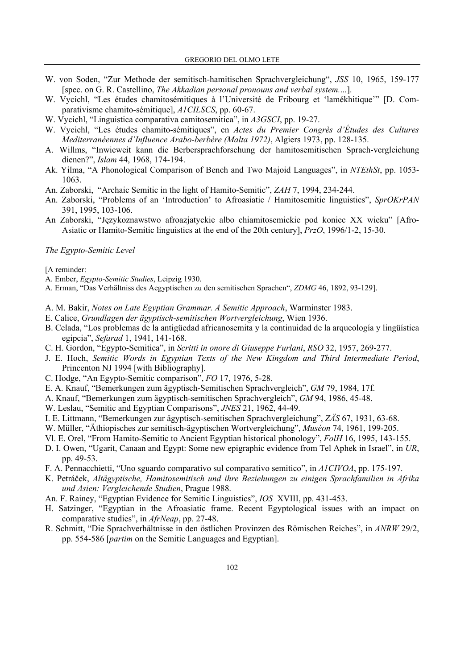- W. von Soden, "Zur Methode der semitisch-hamitischen Sprachvergleichung", *JSS* 10, 1965, 159-177 [spec. on G. R. Castellino, *The Akkadian personal pronouns and verbal system.*...].
- W. Vycichl, "Les études chamitosémitiques à l'Université de Fribourg et 'lamékhitique'" [D. Comparativisme chamito-sémitique], *A1CILSCS*, pp. 60-67.
- W. Vycichl, "Linguistica comparativa camitosemitica", in *A3GSCI*, pp. 19-27.
- W. Vycichl, "Les études chamito-sémitiques", en *Actes du Premier Congrès d'Études des Cultures Mediterranéennes d'Influence Arabo-berbère (Malta 1972)*, Algiers 1973, pp. 128-135.
- A. Willms, "Inwieweit kann die Berbersprachforschung der hamitosemitischen Sprach-vergleichung dienen?", *Islam* 44, 1968, 174-194.
- Ak. Yilma, "A Phonological Comparison of Bench and Two Majoid Languages", in *NTEthSt*, pp. 1053- 1063.
- An. Zaborski, "Archaic Semitic in the light of Hamito-Semitic", *ZAH* 7, 1994, 234-244.
- An. Zaborski, "Problems of an 'Introduction' to Afroasiatic / Hamitosemitic linguistics", *SprOKrPAN* 391, 1995, 103-106.
- An Zaborski, "Językoznawstwo afroazjatyckie albo chiamitosemickie pod koniec XX wieku" [Afro-Asiatic or Hamito-Semitic linguistics at the end of the 20th century], *PrzO*, 1996/1-2, 15-30.

#### *The Egypto-Semitic Level*

[A reminder:

- A. Ember, *Egypto-Semitic Studies*, Leipzig 1930.
- A. Erman, "Das Verhältniss des Aegyptischen zu den semitischen Sprachen", *ZDMG* 46, 1892, 93-129].
- A. M. Bakir, *Notes on Late Egyptian Grammar. A Semitic Approach*, Warminster 1983.
- E. Calice, *Grundlagen der ägyptisch-semitischen Wortvergleichung*, Wien 1936.
- B. Celada, "Los problemas de la antigüedad africanosemita y la continuidad de la arqueología y lingüística egipcia", *Sefarad* 1, 1941, 141-168.
- C. H. Gordon, "Egypto-Semitica", in *Scritti in onore di Giuseppe Furlani*, *RSO* 32, 1957, 269-277.
- J. E. Hoch, *Semitic Words in Egyptian Texts of the New Kingdom and Third Intermediate Period*, Princenton NJ 1994 [with Bibliography].
- C. Hodge, "An Egypto-Semitic comparison", *FO* 17, 1976, 5-28.
- E. A. Knauf, "Bemerkungen zum ägyptisch-Semitischen Sprachvergleich", *GM* 79, 1984, 17f.
- A. Knauf, "Bemerkungen zum ägyptisch-semitischen Sprachvergleich", *GM* 94, 1986, 45-48.
- W. Leslau, "Semitic and Egyptian Comparisons", *JNES* 21, 1962, 44-49.
- I. E. Littmann, "Bemerkungen zur ägyptisch-semitischen Sprachvergleichung", *ZÄS* 67, 1931, 63-68.
- W. Müller, "Äthiopisches zur semitisch-ägyptischen Wortvergleichung", *Muséon* 74, 1961, 199-205.
- Vl. E. Orel, "From Hamito-Semitic to Ancient Egyptian historical phonology", *FolH* 16, 1995, 143-155.
- D. I. Owen, "Ugarit, Canaan and Egypt: Some new epigraphic evidence from Tel Aphek in Israel", in *UR*, pp. 49-53.
- F. A. Pennacchietti, "Uno sguardo comparativo sul comparativo semitico", in *A1CIVOA*, pp. 175-197.
- K. Petráček, *Altägyptische, Hamitosemitisch und ihre Beziehungen zu einigen Sprachfamilien in Afrika und Asien: Vergleichende Studien*, Prague 1988.
- An. F. Rainey, "Egyptian Evidence for Semitic Linguistics", *IOS* XVIII, pp. 431-453.
- H. Satzinger, "Egyptian in the Afroasiatic frame. Recent Egyptological issues with an impact on comparative studies", in *AfrNeap*, pp. 27-48.
- R. Schmitt, "Die Sprachverhältnisse in den östlichen Provinzen des Römischen Reiches", in *ANRW* 29/2, pp. 554-586 [*partim* on the Semitic Languages and Egyptian].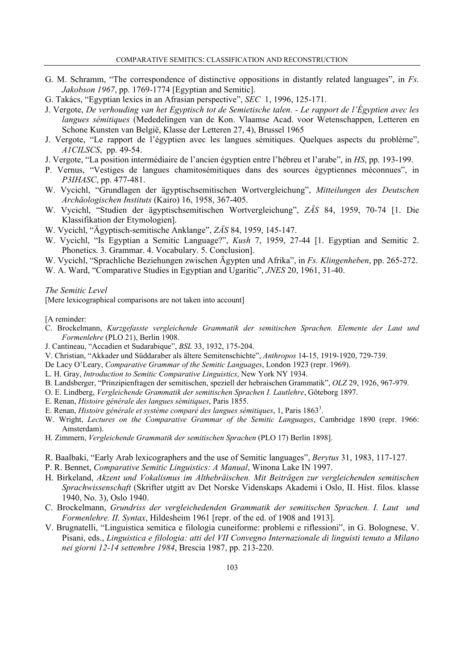- G. M. Schramm, "The correspondence of distinctive oppositions in distantly related languages", in *Fs. Jakobson 1967*, pp. 1769-1774 [Egyptian and Semitic].
- G. Takács, "Egyptian lexics in an Afrasian perspective", *SEC* 1, 1996, 125-171.
- J. Vergote, *De verhouding van het Egyptisch tot de Semietische talen. Le rapport de l'Égyptien avec les langues sémitiques* (Mededelingen van de Kon. Vlaamse Acad. voor Wetenschappen, Letteren en Schone Kunsten van België, Klasse der Letteren 27, 4), Brussel 1965
- J. Vergote, "Le rapport de l'égyptien avec les langues sémitiques. Quelques aspects du problème", *A1CILSCS*, pp. 49-54.
- J. Vergote, "La position intermédiaire de l'ancien égyptien entre l'hébreu et l'arabe", in *HS*, pp. 193-199.
- P. Vernus, "Vestiges de langues chamitosémitiques dans des sources égyptiennes méconnues", in *P3IHASC*, pp. 477-481.
- W. Vycichl, "Grundlagen der ägyptischsemitischen Wortvergleichung", *Mitteilungen des Deutschen Archäologischen Instituts* (Kairo) 16, 1958, 367-405.
- W. Vycichl, "Studien der ägyptischsemitischen Wortvergleichung", *ZÄS* 84, 1959, 70-74 [1. Die Klassifikation der Etymologien].
- W. Vycichl, "Ägyptisch-semitische Anklange", *ZÄS* 84, 1959, 145-147.
- W. Vycichl, "Is Egyptian a Semitic Language?", *Kush* 7, 1959, 27-44 [1. Egyptian and Semitic 2. Phonetics. 3. Grammar. 4. Vocabulary. 5. Conclusion].
- W. Vycichl, "Sprachliche Beziehungen zwischen Ägypten und Afrika", in *Fs. Klingenheben*, pp. 265-272.
- W. A. Ward, "Comparative Studies in Egyptian and Ugaritic", *JNES* 20, 1961, 31-40.

### *The Semitic Level*

[Mere lexicographical comparisons are not taken into account]

[A reminder:

- C. Brockelmann, *Kurzgefasste vergleichende Grammatik der semitischen Sprachen. Elemente der Laut und Formenlehre* (PLO 21), Berlin 1908.
- J. Cantineau, "Accadien et Sudarabique", *BSL* 33, 1932, 175-204.
- V. Christian, "Akkader und Süddaraber als ältere Semitenschichte", *Anthropos* 14-15, 1919-1920, 729-739.
- De Lacy O'Leary, *Comparative Grammar of the Semitic Languages*, London 1923 (repr. 1969).
- L. H. Gray, *Introduction to Semitic Comparative Linguistics*, New York NY 1934.
- B. Landsberger, "Prinzipienfragen der semitischen, speziell der hebraischen Grammatik", *OLZ* 29, 1926, 967-979.
- O. E. Lindberg, *Vergleichende Grammatik der semitischen Sprachen I. Lautlehre*, Göteborg 1897.
- E. Renan, *Histoire générale des langues sémitiques*, Paris 1855.
- E. Renan, *Histoire générale et système comparé des langues sémitiques*, 1, Paris 1863<sup>3</sup>.
- W. Wright, *Lectures on the Comparative Grammar of the Semitic Languages*, Cambridge 1890 (repr. 1966: Amsterdam).
- H. Zimmern, *Vergleichende Grammatik der semitischen Sprachen* (PLO 17) Berlin 1898].
- R. Baalbaki, "Early Arab lexicographers and the use of Semitic languages", *Berytus* 31, 1983, 117-127.
- P. R. Bennet, *Comparative Semitic Linguistics: A Manual*, Winona Lake IN 1997.
- H. Birkeland, *Akzent und Vokalismus im Althebräischen. Mit Beiträgen zur vergleichenden semitischen Sprachwissenschaft* (Skrifter utgitt av Det Norske Videnskaps Akademi i Oslo, II. Hist. filos. klasse 1940, No. 3), Oslo 1940.
- C. Brockelmann, *Grundriss der vergleichedenden Grammatik der semitischen Sprachen. I. Laut und Formenlehre. II. Syntax*, Hildesheim 1961 [repr. of the ed. of 1908 and 1913].
- V. Brugnatelli, "Linguistica semitica e filologia cuneiforme: problemi e riflessioni", in G. Bolognese, V. Pisani, eds., *Linguistica e filologia: atti del VII Convegno Internazionale di linguisti tenuto a Milano nei giorni 12-14 settembre 1984*, Brescia 1987, pp. 213-220.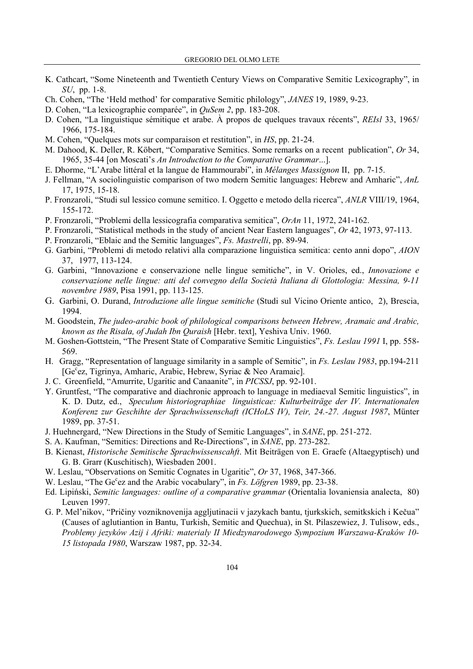- K. Cathcart, "Some Nineteenth and Twentieth Century Views on Comparative Semitic Lexicography", in *SU*, pp. 1-8.
- Ch. Cohen, "The 'Held method' for comparative Semitic philology", *JANES* 19, 1989, 9-23.
- D. Cohen, "La lexicographie comparée", in *QuSem 2*, pp. 183-208.
- D. Cohen, "La linguistique sémitique et arabe. À propos de quelques travaux récents", *REIsl* 33, 1965/ 1966, 175-184.
- M. Cohen, "Quelques mots sur comparaison et restitution", in *HS*, pp. 21-24.
- M. Dahood, K. Deller, R. Köbert, "Comparative Semitics. Some remarks on a recent publication", *Or* 34, 1965, 35-44 [on Moscati's *An Introduction to the Comparative Grammar*...].
- E. Dhorme, "L'Arabe littéral et la langue de Hammourabi", in *Mélanges Massignon* II, pp. 7-15.
- J. Fellman, "A sociolinguistic comparison of two modern Semitic languages: Hebrew and Amharic", *AnL* 17, 1975, 15-18.
- P. Fronzaroli, "Studi sul lessico comune semitico. I. Oggetto e metodo della ricerca", *ANLR* VIII/19, 1964, 155-172.
- P. Fronzaroli, "Problemi della lessicografia comparativa semitica", *OrAn* 11, 1972, 241-162.
- P. Fronzaroli, "Statistical methods in the study of ancient Near Eastern languages", *Or* 42, 1973, 97-113.
- P. Fronzaroli, "Eblaic and the Semitic languages", *Fs. Mastrelli*, pp. 89-94.
- G. Garbini, "Problemi di metodo relativi alla comparazione linguistica semitica: cento anni dopo", *AION* 37, 1977, 113-124.
- G. Garbini, "Innovazione e conservazione nelle lingue semitiche", in V. Orioles, ed., *Innovazione e conservazione nelle lingue: atti del convegno della Società Italiana di Glottologia: Messina, 9-11 novembre 1989*, Pisa 1991, pp. 113-125.
- G. Garbini, O. Durand, *Introduzione alle lingue semitiche* (Studi sul Vicino Oriente antico, 2), Brescia, 1994.
- M. Goodstein, *The judeo-arabic book of philological comparisons between Hebrew, Aramaic and Arabic, known as the Risala, of Judah Ibn Quraish* [Hebr. text], Yeshiva Univ. 1960.
- M. Goshen-Gottstein, "The Present State of Comparative Semitic Linguistics", *Fs. Leslau 1991* I, pp. 558- 569.
- H. Gragg, "Representation of language similarity in a sample of Semitic", in *Fs. Leslau 1983*, pp.194-211 [Ge<sup>c</sup>ez, Tigrinya, Amharic, Arabic, Hebrew, Syriac & Neo Aramaic].
- J. C. Greenfield, "Amurrite, Ugaritic and Canaanite", in *PICSSJ*, pp. 92-101.
- Y. Gruntfest, "The comparative and diachronic approach to language in mediaeval Semitic linguistics", in K. D. Dutz, ed., *Speculum historiographiae linguisticae: Kulturbeiträge der IV. Internationalen Konferenz zur Geschihte der Sprachwissenschaft (ICHoLS IV), Teir, 24.-27. August 1987*, Münter 1989, pp. 37-51.
- J. Huehnergard, "New Directions in the Study of Semitic Languages", in *SANE*, pp. 251-272.
- S. A. Kaufman, "Semitics: Directions and Re-Directions", in *SANE*, pp. 273-282.
- B. Kienast, *Historische Semitische Sprachwissenscahft*. Mit Beiträgen von E. Graefe (Altaegyptisch) und G. B. Grarr (Kuschitisch), Wiesbaden 2001.
- W. Leslau, "Observations on Semitic Cognates in Ugaritic", *Or* 37, 1968, 347-366.
- W. Leslau, "The Ge<sup>c</sup>ez and the Arabic vocabulary", in *Fs. Löfgren* 1989, pp. 23-38.
- Ed. Lipiński, *Semitic languages: outline of a comparative grammar* (Orientalia lovaniensia analecta, 80) Leuven 1997.
- G. P. Mel'nikov, "Pričiny vozniknovenija aggljutinacii v jazykach bantu, tjurkskich, semitkskich i Kečua" (Causes of aglutiantion in Bantu, Turkish, Semitic and Quechua), in St. Pilaszewiez, J. Tulisow, eds., *Problemy jezyków Azij i Afriki: materialy II Miedzynarodowego Sympozium Warszawa-Kraków 10- 15 listopada 1980*, Warszaw 1987, pp. 32-34.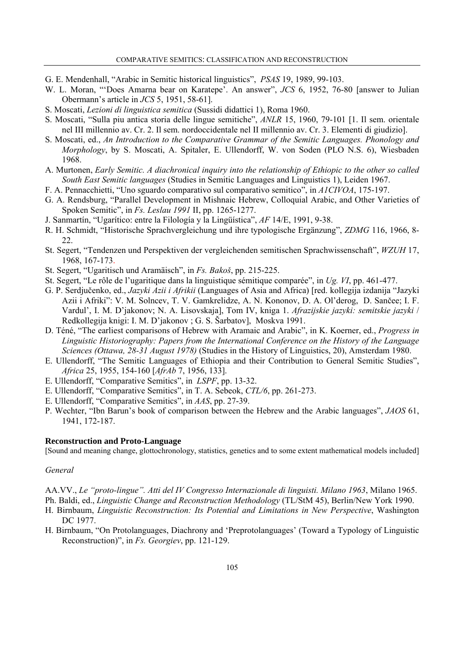- G. E. Mendenhall, "Arabic in Semitic historical linguistics", *PSAS* 19, 1989, 99-103.
- W. L. Moran, "'Does Amarna bear on Karatepe'. An answer", *JCS* 6, 1952, 76-80 [answer to Julian Obermann's article in *JCS* 5, 1951, 58-61].
- S. Moscati, *Lezioni di linguistica semitica* (Sussidi didattici 1), Roma 1960.
- S. Moscati, "Sulla piu antica storia delle lingue semitiche", *ANLR* 15, 1960, 79-101 [1. Il sem. orientale nel III millennio av. Cr. 2. Il sem. nordoccidentale nel II millennio av. Cr. 3. Elementi di giudizio].
- S. Moscati, ed., *An Introduction to the Comparative Grammar of the Semitic Languages. Phonology and Morphology*, by S. Moscati, A. Spitaler, E. Ullendorff, W. von Soden (PLO N.S. 6), Wiesbaden 1968.
- A. Murtonen, *Early Semitic. A diachronical inquiry into the relationship of Ethiopic to the other so called South East Semitic languages* (Studies in Semitic Languages and Linguistics 1), Leiden 1967.
- F. A. Pennacchietti, "Uno sguardo comparativo sul comparativo semitico", in *A1CIVOA*, 175-197.
- G. A. Rendsburg, "Parallel Development in Mishnaic Hebrew, Colloquial Arabic, and Other Varieties of Spoken Semitic", in *Fs. Leslau 1991* II, pp. 1265-1277.
- J. Sanmartín, "Ugarítico: entre la Filología y la Lingüística", *AF* 14/E, 1991, 9-38.
- R. H. Schmidt, "Historische Sprachvergleichung und ihre typologische Ergänzung", *ZDMG* 116, 1966, 8- 22.
- St. Segert, "Tendenzen und Perspektiven der vergleichenden semitischen Sprachwissenschaft", *WZUH* 17, 1968, 167-173.
- St. Segert, "Ugaritisch und Aramäisch", in *Fs. Bakoš*, pp. 215-225.
- St. Segert, "Le rôle de l'ugaritique dans la linguistique sémitique comparée", in *Ug. VI*, pp. 461-477.
- G. P. Serdjučenko, ed., *Jazyki Azii i Afrikii* (Languages of Asia and Africa) [red. kollegija izdanija "Jazyki Azii i Afriki": V. M. Solncev, T. V. Gamkrelidze, A. N. Kononov, D. A. Ol'derog, D. Sančee; I. F. Vardul', I. M. D'jakonov; N. A. Lisovskaja], Tom IV, kniga 1. *Afrazijskie jazyki: semitskie jazyki* / Redkollegija knigi: I. M. D'jakonov ; G. S. Šarbatov], Moskva 1991.
- D. Téné, "The earliest comparisons of Hebrew with Aramaic and Arabic", in K. Koerner, ed., *Progress in Linguistic Historiography: Papers from the International Conference on the History of the Language Sciences (Ottawa, 28-31 August 1978)* (Studies in the History of Linguistics, 20), Amsterdam 1980.
- E. Ullendorff, "The Semitic Languages of Ethiopia and their Contribution to General Semitic Studies", *Africa* 25, 1955, 154-160 [*AfrAb* 7, 1956, 133].
- E. Ullendorff, "Comparative Semitics", in *LSPF*, pp. 13-32.
- E. Ullendorff, "Comparative Semitics", in T. A. Sebeok, *CTL/6*, pp. 261-273.
- E. Ullendorff, "Comparative Semitics", in *AAS*, pp. 27-39.
- P. Wechter, "Ibn Barun's book of comparison between the Hebrew and the Arabic languages", *JAOS* 61, 1941, 172-187.

### **Reconstruction and Proto-Language**

[Sound and meaning change, glottochronology, statistics, genetics and to some extent mathematical models included]

# *General*

AA.VV., *Le "proto-lingue". Atti del IV Congresso Internazionale di linguisti. Milano 1963*, Milano 1965.

Ph. Baldi, ed., *Linguistic Change and Reconstruction Methodology* (TL/StM 45), Berlin/New York 1990.

- H. Birnbaum, *Linguistic Reconstruction: Its Potential and Limitations in New Perspective*, Washington DC 1977.
- H. Birnbaum, "On Protolanguages, Diachrony and 'Preprotolanguages' (Toward a Typology of Linguistic Reconstruction)", in *Fs. Georgiev*, pp. 121-129.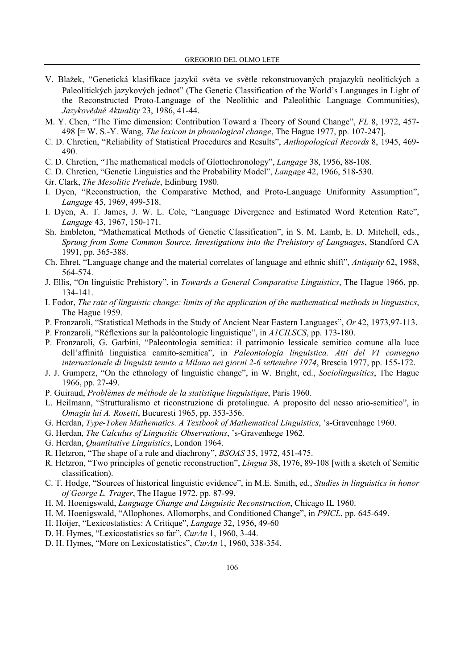- V. Blažek, "Genetická klasifikace jazykü svËta ve svËtle rekonstruovaných prajazykü neolitických a Paleolitických jazykových jednot" (The Genetic Classification of the World's Languages in Light of the Reconstructed Proto-Language of the Neolithic and Paleolithic Language Communities), *JazykovËdné Aktuality* 23, 1986, 41-44.
- M. Y. Chen, "The Time dimension: Contribution Toward a Theory of Sound Change", *FL* 8, 1972, 457- 498 [= W. S.-Y. Wang, *The lexicon in phonological change*, The Hague 1977, pp. 107-247].
- C. D. Chretien, "Reliability of Statistical Procedures and Results", *Anthopological Records* 8, 1945, 469- 490.
- C. D. Chretien, "The mathematical models of Glottochronology", *Langage* 38, 1956, 88-108.
- C. D. Chretien, "Genetic Linguistics and the Probability Model", *Langage* 42, 1966, 518-530.
- Gr. Clark, *The Mesolitic Prelude*, Edinburg 1980.
- I. Dyen, "Reconstruction, the Comparative Method, and Proto-Language Uniformity Assumption", *Langage* 45, 1969, 499-518.
- I. Dyen, A. T. James, J. W. L. Cole, "Language Divergence and Estimated Word Retention Rate", *Langage* 43, 1967, 150-171.
- Sh. Embleton, "Mathematical Methods of Genetic Classification", in S. M. Lamb, E. D. Mitchell, eds., *Sprung from Some Common Source. Investigations into the Prehistory of Languages*, Standford CA 1991, pp. 365-388.
- Ch. Ehret, "Language change and the material correlates of language and ethnic shift", *Antiquity* 62, 1988, 564-574.
- J. Ellis, "On linguistic Prehistory", in *Towards a General Comparative Linguistics*, The Hague 1966, pp. 134-141.
- I. Fodor, *The rate of linguistic change: limits of the application of the mathematical methods in linguistics*, The Hague 1959.
- P. Fronzaroli, "Statistical Methods in the Study of Ancient Near Eastern Languages", *Or* 42, 1973,97-113.
- P. Fronzaroli, "Réflexions sur la paléontologie linguistique", in *A1CILSCS*, pp. 173-180.
- P. Fronzaroli, G. Garbini, "Paleontologia semitica: il patrimonio lessicale semitico comune alla luce dell'affinità linguistica camito-semitica", in *Paleontologia linguistica. Atti del VI convegno internazionale di linguisti tenuto a Milano nei giorni 2-6 settembre 1974*, Brescia 1977, pp. 155-172.
- J. J. Gumperz, "On the ethnology of linguistic change", in W. Bright, ed., *Sociolingusitics*, The Hague 1966, pp. 27-49.
- P. Guiraud, *Problèmes de méthode de la statistique linguistique*, Paris 1960.
- L. Heilmann, "Strutturalismo et riconstruzione di protolingue. A proposito del nesso ario-semitico", in *Omagiu lui A. Rosetti*, Bucuresti 1965, pp. 353-356.
- G. Herdan, *Type-Token Mathematics. A Textbook of Mathematical Linguistics*, 's-Gravenhage 1960.
- G. Herdan, *The Calculus of Lingusitic Observations*, 's-Gravenhege 1962.
- G. Herdan, *Quantitative Linguistics*, London 1964.
- R. Hetzron, "The shape of a rule and diachrony", *BSOAS* 35, 1972, 451-475.
- R. Hetzron, "Two principles of genetic reconstruction", *Lingua* 38, 1976, 89-108 [with a sketch of Semitic classification).
- C. T. Hodge, "Sources of historical linguistic evidence", in M.E. Smith, ed., *Studies in linguistics in honor of George L. Trager*, The Hague 1972, pp. 87-99.
- H. M. Hoenigswald, *Language Change and Linguistic Reconstruction*, Chicago IL 1960.
- H. M. Hoenigswald, "Allophones, Allomorphs, and Conditioned Change", in *P9ICL*, pp. 645-649.
- H. Hoijer, "Lexicostatistics: A Critique", *Langage* 32, 1956, 49-60
- D. H. Hymes, "Lexicostatistics so far", *CurAn* 1, 1960, 3-44.
- D. H. Hymes, "More on Lexicostatistics", *CurAn* 1, 1960, 338-354.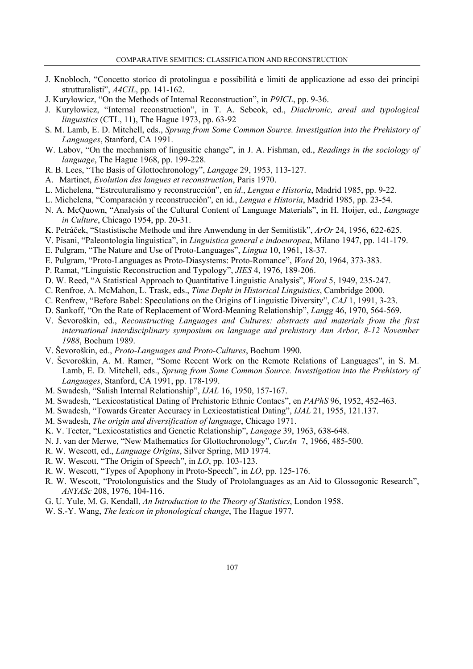- J. Knobloch, "Concetto storico di protolingua e possibilità e limiti de applicazione ad esso dei principi strutturalisti", *A4CIL*, pp. 141-162.
- J. Kuryłowicz, "On the Methods of Internal Reconstruction", in *P9ICL*, pp. 9-36.
- J. Kuryłowicz, "Internal reconstruction", in T. A. Sebeok, ed., *Diachronic, areal and typological linguistics* (CTL, 11), The Hague 1973, pp. 63-92
- S. M. Lamb, E. D. Mitchell, eds., *Sprung from Some Common Source. Investigation into the Prehistory of Languages*, Stanford, CA 1991.
- W. Labov, "On the mechanism of lingusitic change", in J. A. Fishman, ed., *Readings in the sociology of language*, The Hague 1968, pp. 199-228.
- R. B. Lees, "The Basis of Glottochronology", *Langage* 29, 1953, 113-127.
- A. Martinet, *Evolution des langues et reconstruction*, Paris 1970.
- L. Michelena, "Estrcuturalismo y reconstrucción", en *id*., *Lengua e Historia*, Madrid 1985, pp. 9-22.
- L. Michelena, "Comparación y reconstrucción", en id., *Lengua e Historia*, Madrid 1985, pp. 23-54.
- N. A. McQuown, "Analysis of the Cultural Content of Language Materials", in H. Hoijer, ed., *Language in Culture*, Chicago 1954, pp. 20-31.
- K. Petráček, "Stastistische Methode und ihre Anwendung in der Semitistik", *ArOr* 24, 1956, 622-625.
- V. Pisani, "Paleontologia linguistica", in *Linguistica general e indoeuropea*, Milano 1947, pp. 141-179.
- E. Pulgram, "The Nature and Use of Proto-Languages", *Lingua* 10, 1961, 18-37.
- E. Pulgram, "Proto-Languages as Proto-Diasystems: Proto-Romance", *Word* 20, 1964, 373-383.
- P. Ramat, "Linguistic Reconstruction and Typology", *JIES* 4, 1976, 189-206.
- D. W. Reed, "A Statistical Approach to Quantitative Linguistic Analysis", *Word* 5, 1949, 235-247.
- C. Renfroe, A. McMahon, L. Trask, eds., *Time Depht in Historical Linguistics*, Cambridge 2000.
- C. Renfrew, "Before Babel: Speculations on the Origins of Linguistic Diversity", *CAJ* 1, 1991, 3-23.
- D. Sankoff, "On the Rate of Replacement of Word-Meaning Relationship", *Langg* 46, 1970, 564-569.
- V. Ševoroškin, ed., *Reconstructing Languages and Cultures: abstracts and materials from the first international interdisciplinary symposium on language and prehistory Ann Arbor, 8-12 November 1988*, Bochum 1989.
- V. Ševoroškin, ed., *Proto-Languages and Proto-Cultures*, Bochum 1990.
- V. Ševoroškin, A. M. Ramer, "Some Recent Work on the Remote Relations of Languages", in S. M. Lamb, E. D. Mitchell, eds., *Sprung from Some Common Source. Investigation into the Prehistory of Languages*, Stanford, CA 1991, pp. 178-199.
- M. Swadesh, "Salish Internal Relationship", *IJAL* 16, 1950, 157-167.
- M. Swadesh, "Lexicostatistical Dating of Prehistoric Ethnic Contacs", en *PAPhS* 96, 1952, 452-463.
- M. Swadesh, "Towards Greater Accuracy in Lexicostatistical Dating", *IJAL* 21, 1955, 121.137.
- M. Swadesh, *The origin and diversification of language*, Chicago 1971.
- K. V. Teeter, "Lexicostatistics and Genetic Relationship", *Langage* 39, 1963, 638-648.
- N. J. van der Merwe, "New Mathematics for Glottochronology", *CurAn* 7, 1966, 485-500.
- R. W. Wescott, ed., *Language Origins*, Silver Spring, MD 1974.
- R. W. Wescott, "The Origin of Speech", in *LO*, pp. 103-123.
- R. W. Wescott, "Types of Apophony in Proto-Speech", in *LO*, pp. 125-176.
- R. W. Wescott, "Protolonguistics and the Study of Protolanguages as an Aid to Glossogonic Research", *ANYASc* 208, 1976, 104-116.
- G. U. Yule, M. G. Kendall, *An Introduction to the Theory of Statistics*, London 1958.
- W. S.-Y. Wang, *The lexicon in phonological change*, The Hague 1977.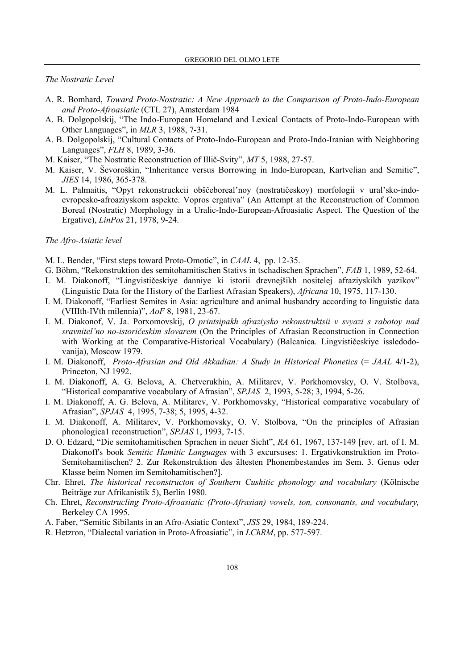#### *The Nostratic Level*

- A. R. Bomhard, *Toward Proto-Nostratic: A New Approach to the Comparison of Proto-Indo-European and Proto-Afroasiatic* (CTL 27), Amsterdam 1984
- A. B. Dolgopolskij, "The Indo-European Homeland and Lexical Contacts of Proto-Indo-European with Other Languages", in *MLR* 3, 1988, 7-31.
- A. B. Dolgopolskij, "Cultural Contacts of Proto-Indo-European and Proto-Indo-Iranian with Neighboring Languages", *FLH* 8, 1989, 3-36.
- M. Kaiser, "The Nostratic Reconstruction of Illič-Svity", *MT* 5, 1988, 27-57.
- M. Kaiser, V. Ševoroškin, "Inheritance versus Borrowing in Indo-European, Kartvelian and Semitic", *JIES* 14, 1986, 365-378.
- M. L. Palmaitis, "Opyt rekonstruckcii obščeboreal'noy (nostratičeskoy) morfologii v ural'sko-indoevropesko-afroaziyskom aspekte. Vopros ergativa" (An Attempt at the Reconstruction of Common Boreal (Nostratic) Morphology in a Uralic-Indo-European-Afroasiatic Aspect. The Question of the Ergative), *LinPos* 21, 1978, 9-24.

# *The Afro-Asiatic level*

- M. L. Bender, "First steps toward Proto-Omotic", in *CAAL* 4, pp. 12-35.
- G. Böhm, "Rekonstruktion des semitohamitischen Stativs in tschadischen Sprachen", *FAB* 1, 1989, 52-64.
- I. M. Diakonoff, "Lingvističeskiye danniye ki istorii drevnejšikh nositelej afraziyskikh yazikov" (Linguistic Data for the History of the Earliest Afrasian Speakers), *Africana* 10, 1975, 117-130.
- I. M. Diakonoff, "Earliest Semites in Asia: agriculture and animal husbandry according to linguistic data (VIIIth-IVth milennia)", *AoF* 8, 1981, 23-67.
- I. M. Diakonof, V. Ja. Porxomovskij, *O printsipakh afraziysko rekonstruktsii v svyazi s rabotoy nad sravnitel'no no-istoričeskim slovarem* (On the Principles of Afrasian Reconstruction in Connection with Working at the Comparative-Historical Vocabulary) (Balcanica. Lingvističeskiye issledodovanija), Moscow 1979.
- I. M. Diakonoff, *Proto-Afrasian and Old Akkadian: A Study in Historical Phonetics* (= *JAAL* 4/1-2), Princeton, NJ 1992.
- I. M. Diakonoff, A. G. Belova, A. Chetverukhin, A. Militarev, V. Porkhomovsky, O. V. Stolbova, "Historical comparative vocabulary of Afrasian", *SPJAS* 2, 1993, 5-28; 3, 1994, 5-26.
- I. M. Diakonoff, A. G. Belova, A. Militarev, V. Porkhomovsky, "Historical comparative vocabulary of Afrasian", *SPJAS* 4, 1995, 7-38; 5, 1995, 4-32.
- I. M. Diakonoff, A. Militarev, V. Porkhomovsky, O. V. Stolbova, "On the principles of Afrasian phonologica1 reconstruction", *SPJAS* 1, 1993, 7-15.
- D. O. Edzard, "Die semitohamitischen Sprachen in neuer Sicht", *RA* 61, 1967, 137-149 [rev. art. of I. M. Diakonoff's book *Semitic Hamitic Languages* with 3 excursuses: 1. Ergativkonstruktion im Proto-Semitohamitischen? 2. Zur Rekonstruktion des ältesten Phonembestandes im Sem. 3. Genus oder Klasse beim Nomen im Semitohamitischen?].
- Chr. Ehret, *The historical reconstructon of Southern Cushitic phonology and vocabulary* (Kölnische Beiträge zur Afrikanistik 5), Berlin 1980.
- Ch. Ehret, *Reconstrucling Proto-Afroasiatic (Proto-Afrasian) vowels, ton, consonants, and vocabulary,* Berkeley CA 1995.
- A. Faber, "Semitic Sibilants in an Afro-Asiatic Context", *JSS* 29, 1984, 189-224.
- R. Hetzron, "Dialectal variation in Proto-Afroasiatic", in *LChRM*, pp. 577-597.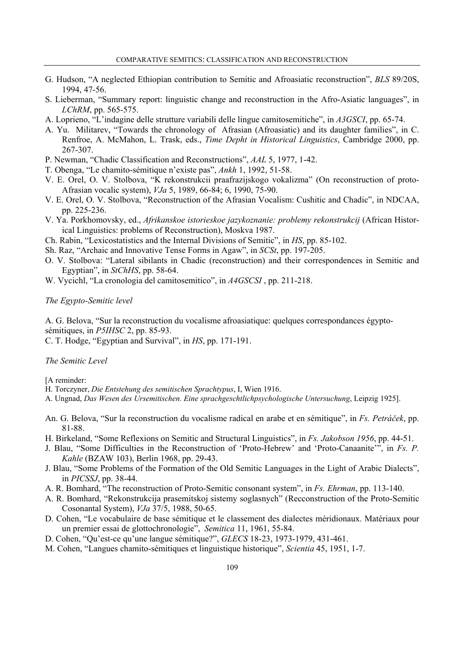- G. Hudson, "A neglected Ethiopian contribution to Semitic and Afroasiatic reconstruction", *BLS* 89/20S, 1994, 47-56.
- S. Lieberman, "Summary report: linguistic change and reconstruction in the Afro-Asiatic languages", in *LChRM*, pp. 565-575.
- A. Loprieno, "L'indagine delle strutture variabili delle lingue camitosemitiche", in *A3GSCI*, pp. 65-74.
- A. Yu. Militarev, "Towards the chronology of Afrasian (Afroasiatic) and its daughter families", in C. Renfroe, A. McMahon, L. Trask, eds., *Time Depht in Historical Linguistics*, Cambridge 2000, pp. 267-307.
- P. Newman, "Chadic Classification and Reconstructions", *AAL* 5, 1977, 1-42.
- T. Obenga, "Le chamito-sémitique n'existe pas", *Ankh* 1, 1992, 51-58.
- V. E. Orel, O. V. Stolbova, "K rekonstrukcii praafrazijskogo vokalizma" (On reconstruction of proto-Afrasian vocalic system), *VJa* 5, 1989, 66-84; 6, 1990, 75-90.
- V. E. Orel, O. V. Stolbova, "Reconstruction of the Afrasian Vocalism: Cushitic and Chadic", in NDCAA, pp. 225-236.
- V. Ya. Porkhomovsky, ed., *Afrikanskoe istorieskoe jazykoznanie: problemy rekonstrukcij* (African Historical Linguistics: problems of Reconstruction), Moskva 1987.
- Ch. Rabin, "Lexicostatistics and the Internal Divisions of Semitic", in *HS*, pp. 85-102.
- Sh. Raz, "Archaic and Innovative Tense Forms in Agaw", in *SCSt*, pp. 197-205.
- O. V. Stolbova: "Lateral sibilants in Chadic (reconstruction) and their correspondences in Semitic and Egyptian", in *StChHS*, pp. 58-64.
- W. Vycichl, "La cronologia del camitosemitico", in *A4GSCSI* , pp. 211-218.

# *The Egypto-Semitic level*

A. G. Belova, "Sur la reconstruction du vocalisme afroasiatique: quelques correspondances égyptosémitiques, in *P5IHSC* 2, pp. 85-93.

C. T. Hodge, "Egyptian and Survival", in *HS*, pp. 171-191.

#### *The Semitic Level*

[A reminder:

- H. Torczyner, *Die Entstehung des semitischen Sprachtypus*, I, Wien 1916.
- A. Ungnad, *Das Wesen des Ursemitischen. Eine sprachgeschtlichpsychologische Untersuchung*, Leipzig 1925].
- An. G. Belova, "Sur la reconstruction du vocalisme radical en arabe et en sémitique", in *Fs. Petráček*, pp. 81-88.
- H. Birkeland, "Some Reflexions on Semitic and Structural Linguistics", in *Fs. Jakobson 1956*, pp. 44-51.
- J. Blau, "Some Difficulties in the Reconstruction of 'Proto-Hebrew' and 'Proto-Canaanite'", in *Fs. P. Kahle* (BZAW 103), Berlin 1968, pp. 29-43.
- J. Blau, "Some Problems of the Formation of the Old Semitic Languages in the Light of Arabic Dialects", in *PICSSJ*, pp. 38-44.
- A. R. Bomhard, "The reconstruction of Proto-Semitic consonant system", in *Fs. Ehrman*, pp. 113-140.
- A. R. Bomhard, "Rekonstrukcija prasemitskoj sistemy soglasnych" (Recconstruction of the Proto-Semitic Cosonantal System), *VJa* 37/5, 1988, 50-65.
- D. Cohen, "Le vocabulaire de base sémitique et le classement des dialectes méridionaux. Matériaux pour un premier essai de glottochronologie", *Semitica* 11, 1961, 55-84.
- D. Cohen, "Qu'est-ce qu'une langue sémitique?", *GLECS* 18-23, 1973-1979, 431-461.
- M. Cohen, "Langues chamito-sémitiques et linguistique historique", *Scientia* 45, 1951, 1-7.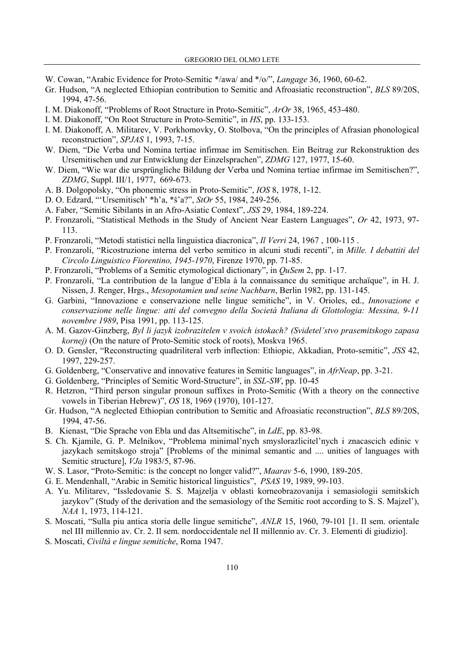- W. Cowan, "Arabic Evidence for Proto-Semitic \*/awa/ and \*/o/", *Langage* 36, 1960, 60-62.
- Gr. Hudson, "A neglected Ethiopian contribution to Semitic and Afroasiatic reconstruction", *BLS* 89/20S, 1994, 47-56.
- I. M. Diakonoff, "Problems of Root Structure in Proto-Semitic", *ArOr* 38, 1965, 453-480.
- I. M. Diakonoff, "On Root Structure in Proto-Semitic", in *HS*, pp. 133-153.
- I. M. Diakonoff, A. Militarev, V. Porkhomovky, O. Stolbova, "On the principles of Afrasian phonological reconstruction", *SPJAS* 1, 1993, 7-15.
- W. Diem, "Die Verba und Nomina tertiae infirmae im Semitischen. Ein Beitrag zur Rekonstruktion des Ursemitischen und zur Entwicklung der Einzelsprachen", *ZDMG* 127, 1977, 15-60.
- W. Diem, "Wie war die ursprüngliche Bildung der Verba und Nomina tertiae infirmae im Semitischen?", *ZDMG*, Suppl. III/1, 1977, 669-673.
- A. B. Dolgopolsky, "On phonemic stress in Proto-Semitic", *IOS* 8, 1978, 1-12.
- D. O. Edzard, "'Ursemitisch' \*h'a, \*š'a?", *StOr* 55, 1984, 249-256.
- A. Faber, "Semitic Sibilants in an Afro-Asiatic Context", *JSS* 29, 1984, 189-224.
- P. Fronzaroli, "Statistical Methods in the Study of Ancient Near Eastern Languages", *Or* 42, 1973, 97- 113.
- P. Fronzaroli, "Metodi statistici nella linguistica diacronica", *Il Verri* 24, 1967 , 100-115 .
- P. Fronzaroli, "Ricostruzione interna del verbo semitico in alcuni studi recenti", in *Mille. I debattiti del Circolo Linguistico Fiorentino, 1945-1970*, Firenze 1970, pp. 71-85.
- P. Fronzaroli, "Problems of a Semitic etymological dictionary", in *QuSem* 2, pp. 1-17.
- P. Fronzaroli, "La contribution de la langue d'Ebla à la connaissance du semitique archaïque", in H. J. Nissen, J. Renger, Hrgs., *Mesopotamien und seine Nachbarn*, Berlin 1982, pp. 131-145.
- G. Garbini, "Innovazione e conservazione nelle lingue semitiche", in V. Orioles, ed., *Innovazione e conservazione nelle lingue: atti del convegno della Società Italiana di Glottologia: Messina, 9-11 novembre 1989*, Pisa 1991, pp. 113-125.
- A. M. Gazov-Ginzberg, *Byl li jazyk izobrazitelen v svoich istokach? (Svidetel'stvo prasemitskogo zapasa kornej)* (On the nature of Proto-Semitic stock of roots), Moskva 1965.
- O. D. Gensler, "Reconstructing quadriliteral verb inflection: Ethiopic, Akkadian, Proto-semitic", *JSS* 42, 1997, 229-257.
- G. Goldenberg, "Conservative and innovative features in Semitic languages", in *AfrNeap*, pp. 3-21.
- G. Goldenberg, "Principles of Semitic Word-Structure", in *SSL-SW*, pp. 10-45
- R. Hetzron, "Third person singular pronoun suffixes in Proto-Semitic (With a theory on the connective vowels in Tiberian Hebrew)", *OS* 18, 1969 (1970), 101-127.
- Gr. Hudson, "A neglected Ethiopian contribution to Semitic and Afroasiatic reconstruction", *BLS* 89/20S, 1994, 47-56.
- B. Kienast, "Die Sprache von Ebla und das Altsemitische", in *LdE*, pp. 83-98.
- S. Ch. Kjamile, G. P. Melnikov, "Problema minimal'nych smyslorazlicitel'nych i znacascich edinic v jazykach semitskogo stroja" [Problems of the minimal semantic and .... unities of languages with Semitic structure], *VJa* 1983/5, 87-96.
- W. S. Lasor, "Proto-Semitic: is the concept no longer valid?", *Maarav* 5-6, 1990, 189-205.
- G. E. Mendenhall, "Arabic in Semitic historical linguistics", *PSAS* 19, 1989, 99-103.
- A. Yu. Militarev, "Issledovanie S. S. Majzelja v oblasti korneobrazovanija i semasiologii semitskich jazykov" (Study of the derivation and the semasiology of the Semitic root according to S. S. Majzel'), *NAA* 1, 1973, 114-121.
- S. Moscati, "Sulla piu antica storia delle lingue semitiche", *ANLR* 15, 1960, 79-101 [1. Il sem. orientale nel III millennio av. Cr. 2. Il sem. nordoccidentale nel II millennio av. Cr. 3. Elementi di giudizio].
- S. Moscati, *Civiltà e lingue semitiche*, Roma 1947.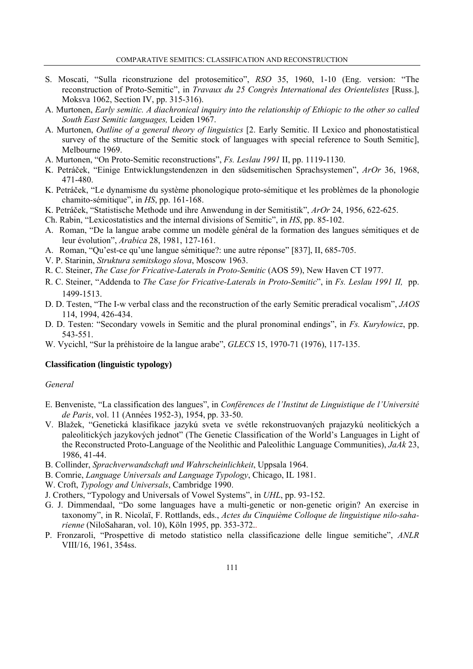- S. Moscati, "Sulla riconstruzione del protosemitico", *RSO* 35, 1960, 1-10 (Eng. version: "The reconstruction of Proto-Semitic", in *Travaux du 25 Congrès International des Orientelistes* [Russ.], Moksva 1062, Section IV, pp. 315-316).
- A. Murtonen, *Early semitic. A diachronical inquiry into the relationship of Ethiopic to the other so called South East Semitic languages,* Leiden 1967.
- A. Murtonen, *Outline of a general theory of linguistics* [2. Early Semitic. II Lexico and phonostatistical survey of the structure of the Semitic stock of languages with special reference to South Semitic], Melbourne 1969.
- A. Murtonen, "On Proto-Semitic reconstructions", *Fs. Leslau 1991* II, pp. 1119-1130.
- K. Petráček, "Einige Entwicklungstendenzen in den südsemitischen Sprachsystemen", *ArOr* 36, 1968, 471-480.
- K. Petráček, "Le dynamisme du système phonologique proto-sémitique et les problèmes de la phonologie chamito-sémitique", in *HS*, pp. 161-168.
- K. Petráček, "Statistische Methode und ihre Anwendung in der Semitistik", *ArOr* 24, 1956, 622-625.
- Ch. Rabin, "Lexicostatistics and the internal divisions of Semitic", in *HS*, pp. 85-102.
- A. Roman, "De la langue arabe comme un modèle général de la formation des langues sémitiques et de leur évolution", *Arabica* 28, 1981, 127-161.
- A. Roman, "Qu'est-ce qu'une langue sémitique?: une autre réponse" [837], II, 685-705.
- V. P. Starinin, *Struktura semitskogo slova*, Moscow 1963.
- R. C. Steiner, *The Case for Fricative-Laterals in Proto-Semitic* (AOS 59), New Haven CT 1977.
- R. C. Steiner, "Addenda to *The Case for Fricative-Laterals in Proto-Semitic*", in *Fs. Leslau 1991 II,* pp. 1499-1513.
- D. D. Testen, "The I-w verbal class and the reconstruction of the early Semitic preradical vocalism", *JAOS* 114, 1994, 426-434.
- D. D. Testen: "Secondary vowels in Semitic and the plural pronominal endings", in *Fs. Kuryłowicz*, pp. 543-551.
- W. Vycichl, "Sur la préhistoire de la langue arabe", *GLECS* 15, 1970-71 (1976), 117-135.

# **Classification (linguistic typology)**

# *General*

- E. Benveniste, "La classification des langues", in *Conférences de l'Institut de Linguistique de l'Université de Paris*, vol. 11 (Années 1952-3), 1954, pp. 33-50.
- V. Blažek, "Genetická klasifikace jazykú sveta ve svétle rekonstruovaných prajazykú neolitických a paleolitických jazykových jednot" (The Genetic Classification of the World's Languages in Light of the Reconstructed Proto-Language of the Neolithic and Paleolithic Language Communities), *JaAk* 23, 1986, 41-44.
- B. Collinder, *Sprachverwandschaft und Wahrscheinlichkeit*, Uppsala 1964.
- B. Comrie, *Language Universals and Language Typology*, Chicago, IL 1981.
- W. Croft, *Typology and Universals*, Cambridge 1990.
- J. Crothers, "Typology and Universals of Vowel Systems", in *UHL*, pp. 93-152.
- G. J. Dimmendaal, "Do some languages have a multi-genetic or non-genetic origin? An exercise in taxonomy", in R. Nicolaï, F. Rottlands, eds., *Actes du Cinquième Colloque de linguistique nilo-saharienne* (NiloSaharan, vol. 10), Köln 1995, pp. 353-372..
- P. Fronzaroli, "Prospettive di metodo statistico nella classificazione delle lingue semitiche", *ANLR* VIII/16, 1961, 354ss.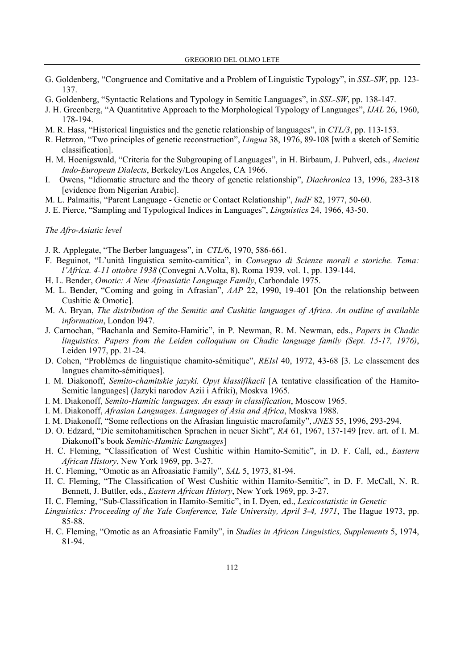- G. Goldenberg, "Congruence and Comitative and a Problem of Linguistic Typology", in *SSL-SW*, pp. 123- 137.
- G. Goldenberg, "Syntactic Relations and Typology in Semitic Languages", in *SSL-SW*, pp. 138-147.
- J. H. Greenberg, "A Quantitative Approach to the Morphological Typology of Languages", *IJAL* 26, 1960, 178-194.
- M. R. Hass, "Historical linguistics and the genetic relationship of languages", in *CTL/3*, pp. 113-153.
- R. Hetzron, "Two principles of genetic reconstruction", *Lingua* 38, 1976, 89-108 [with a sketch of Semitic classification].
- H. M. Hoenigswald, "Criteria for the Subgrouping of Languages", in H. Birbaum, J. Puhverl, eds., *Ancient Indo-European Dialects*, Berkeley/Los Angeles, CA 1966.
- I. Owens, "Idiomatic structure and the theory of genetic relationship", *Diachronica* 13, 1996, 283-318 [evidence from Nigerian Arabic].
- M. L. Palmaitis, "Parent Language Genetic or Contact Relationship", *IndF* 82, 1977, 50-60.
- J. E. Pierce, "Sampling and Typological Indices in Languages", *Linguistics* 24, 1966, 43-50.

# *The Afro-Asiatic level*

- J. R. Applegate, "The Berber languagess", in *CTL/*6, 1970, 586-661.
- F. Beguinot, "L'unità linguistica semito-camitica", in *Convegno di Scienze morali e storiche. Tema: l'Africa. 4-11 ottobre 1938* (Convegni A.Volta, 8), Roma 1939, vol. 1, pp. 139-144.
- H. L. Bender, *Omotic: A New Afroasiatic Language Family*, Carbondale 1975.
- M. L. Bender, "Coming and going in Afrasian", *AAP* 22, 1990, 19-401 [On the relationship between Cushitic & Omotic].
- M. A. Bryan, *The distribution of the Semitic and Cushitic languages of Africa. An outline of available information*, London l947.
- J. Carnochan, "Bachanla and Semito-Hamitic", in P. Newman, R. M. Newman, eds., *Papers in Chadic linguistics. Papers from the Leiden colloquium on Chadic language family (Sept. 15-17, 1976)*, Leiden 1977, pp. 21-24.
- D. Cohen, "Problèmes de linguistique chamito-sémitique", *REIsl* 40, 1972, 43-68 [3. Le classement des langues chamito-sémitiques].
- I. M. Diakonoff, *Semito-chamitskie jazyki. Opyt klassifikacii* [A tentative classification of the Hamito-Semitic languages] (Jazyki narodov Azii i Afriki), Moskva 1965.
- I. M. Diakonoff, *Semito-Hamitic languages. An essay in classification*, Moscow 1965.
- I. M. Diakonoff, *Afrasian Languages. Languages of Asia and Africa*, Moskva 1988.
- I. M. Diakonoff, "Some reflections on the Afrasian linguistic macrofamily", *JNES* 55, 1996, 293-294.
- D. O. Edzard, "Die semitohamitischen Sprachen in neuer Sicht", *RA* 61, 1967, 137-149 [rev. art. of I. M. Diakonoff's book *Semitic-Hamitic Languages*]
- H. C. Fleming, "Classification of West Cushitic within Hamito-Semitic", in D. F. Call, ed., *Eastern African History*, New York 1969, pp. 3-27.
- H. C. Fleming, "Omotic as an Afroasiatic Family", *SAL* 5, 1973, 81-94.
- H. C. Fleming, "The Classification of West Cushitic within Hamito-Semitic", in D. F. McCall, N. R. Bennett, J. Buttler, eds., *Eastern African History*, New York 1969, pp. 3-27.
- H. C. Fleming, "Sub-Classification in Hamito-Semitic", in I. Dyen, ed., *Lexicostatistic in Genetic*
- *Linguistics: Proceeding of the Yale Conference, Yale University, April 3-4, 1971*, The Hague 1973, pp. 85-88.
- H. C. Fleming, "Omotic as an Afroasiatic Family", in *Studies in African Linguistics, Supplements* 5, 1974, 81-94.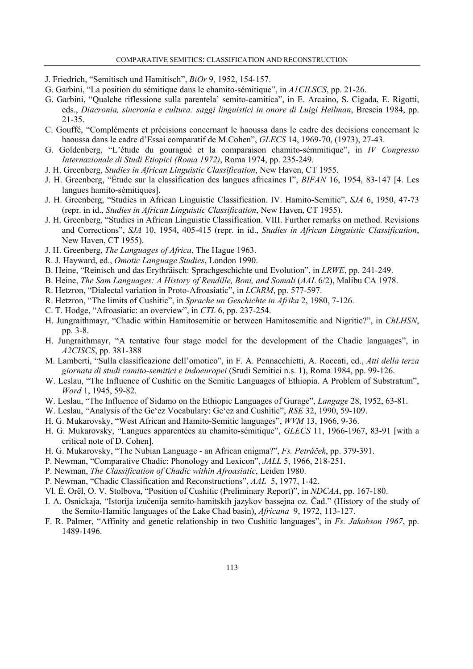- J. Friedrich, "Semitisch und Hamitisch", *BiOr* 9, 1952, 154-157.
- G. Garbini, "La position du sémitique dans le chamito-sémitique", in *A1CILSCS*, pp. 21-26.
- G. Garbini, "Qualche riflessione sulla parentela' semito-camitica", in E. Arcaino, S. Cigada, E. Rigotti, eds., *Diacronia, sincronia e cultura: saggi linguistici in onore di Luigi Heilman*, Brescia 1984, pp. 21-35.
- C. Gouffé, "Compléments et précisions concernant le haoussa dans le cadre des decisions concernant le haoussa dans le cadre d'Essai comparatif de M.Cohen", *GLECS* 14, 1969-70, (1973), 27-43.
- G. Goldenberg, "L'étude du gouragué et la comparaison chamito-sémmitique", in *IV Congresso Internazionale di Studi Etiopici (Roma 1972)*, Roma 1974, pp. 235-249.
- J. H. Greenberg, *Studies in African Linguistic Classification*, New Haven, CT 1955.
- J. H. Greenberg, "Étude sur la classification des langues africaines I", *BIFAN* 16, 1954, 83-147 [4. Les langues hamito-sémitiques].
- J. H. Greenberg, "Studies in African Linguistic Classification. IV. Hamito-Semitic", *SJA* 6, 1950, 47-73 (repr. in id., *Studies in African Linguistic Classification*, New Haven, CT 1955).
- J. H. Greenberg, "Studies in African Linguistic Classification. VIII. Further remarks on method. Revisions and Corrections", *SJA* 10, 1954, 405-415 (repr. in id., *Studies in African Linguistic Classification*, New Haven, CT 1955).
- J. H. Greenberg, *The Languages of Africa*, The Hague 1963.
- R. J. Hayward, ed., *Omotic Language Studies*, London 1990.
- B. Heine, "Reinisch und das Erythräisch: Sprachgeschichte und Evolution", in *LRWE*, pp. 241-249.
- B. Heine, *The Sam Languages: A History of Rendille, Boni, and Somali* (*AAL* 6/2), Malibu CA 1978.
- R. Hetzron, "Dialectal variation in Proto-Afroasiatic", in *LChRM*, pp. 577-597.
- R. Hetzron, "The limits of Cushitic", in *Sprache un Geschichte in Afrika* 2, 1980, 7-126.
- C. T. Hodge, "Afroasiatic: an overview", in *CTL* 6, pp. 237-254.
- H. Jungraithmayr, "Chadic within Hamitosemitic or between Hamitosemitic and Nigritic?", in *ChLHSN*, pp. 3-8.
- H. Jungraithmayr, "A tentative four stage model for the development of the Chadic languages", in *A2CISCS*, pp. 381-388
- M. Lamberti, "Sulla classificazione dell'omotico", in F. A. Pennacchietti, A. Roccati, ed., *Atti della terza giornata di studi camito-semitici e indoeuropei* (Studi Semitici n.s. 1), Roma 1984, pp. 99-126.
- W. Leslau, "The Influence of Cushitic on the Semitic Languages of Ethiopia. A Problem of Substratum", *Word* 1, 1945, 59-82.
- W. Leslau, "The Influence of Sidamo on the Ethiopic Languages of Gurage", *Langage* 28, 1952, 63-81.
- W. Leslau, "Analysis of the Ge'ez Vocabulary: Ge'ez and Cushitic", *RSE* 32, 1990, 59-109.
- H. G. Mukarovsky, "West African and Hamito-Semitic languages", *WVM* 13, 1966, 9-36.
- H. G. Mukarovsky, "Langues apparentées au chamito-sémitique", *GLECS* 11, 1966-1967, 83-91 [with a critical note of D. Cohen].
- H. G. Mukarovsky, "The Nubian Language an African enigma?", *Fs. Petráček*, pp. 379-391.
- P. Newman, "Comparative Chadic: Phonology and Lexicon", *JALL* 5, 1966, 218-251.
- P. Newman, *The Classification of Chadic within Afroasiatic*, Leiden 1980.
- P. Newman, "Chadic Classification and Reconstructions", *AAL* 5, 1977, 1-42.
- Vl. É. Orël, O. V. Stolbova, "Position of Cushitic (Preliminary Report)", in *NDCAA*, pp. 167-180.
- I. A. Osnickaja, "Istorija izučenija semito-hamitskih jazykov bassejna oz. Čad." (History of the study of the Semito-Hamitic languages of the Lake Chad basin), *Africana* 9, 1972, 113-127.
- F. R. Palmer, "Affinity and genetic relationship in two Cushitic languages", in *Fs. Jakobson 1967*, pp. 1489-1496.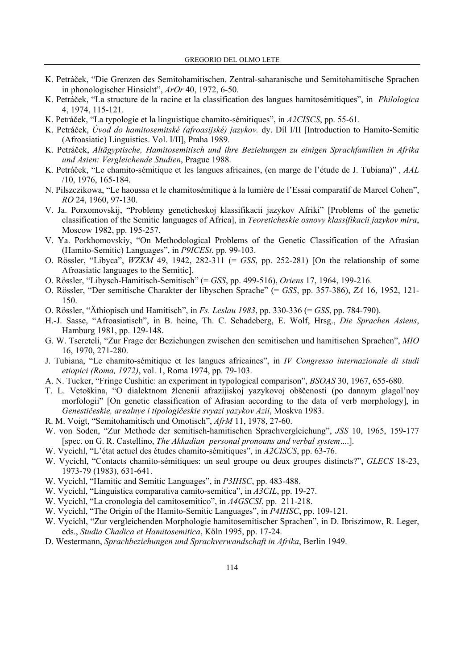- K. Petráček, "Die Grenzen des Semitohamitischen. Zentral-saharanische und Semitohamitische Sprachen in phonologischer Hinsicht", *ArOr* 40, 1972, 6-50.
- K. Petráček, "La structure de la racine et la classification des langues hamitosémitiques", in *Philologica*  4, 1974, 115-121.
- K. Petráček, "La typologie et la linguistique chamito-sémitiques", in *A2CISCS*, pp. 55-61.
- K. Petráček, *Úvod do hamitosemitské (afroasijské) jazykov.* dy. Díl I/II [Introduction to Hamito-Semitic (Afroasiatic) Linguistics. Vol. I/II], Praha 1989.
- K. Petráček, *Altägyptische, Hamitosemitisch und ihre Beziehungen zu einigen Sprachfamilien in Afrika und Asien: Vergleichende Studien*, Prague 1988.
- K. Petráček, "Le chamito-sémitique et les langues africaines, (en marge de l'étude de J. Tubiana)" , *AAL* /10, 1976, 165-184.
- N. Pilszczikowa, "Le haoussa et le chamitosémitique à la lumière de l'Essai comparatif de Marcel Cohen", *RO* 24, 1960, 97-130.
- V. Ja. Porxomovskij, "Problemy geneticheskoj klassifikacii jazykov Afriki" [Problems of the genetic classification of the Semitic languages of Africa], in *Teoreticheskie osnovy klassifikacii jazykov mira*, Moscow 1982, pp. 195-257.
- V. Ya. Porkhomovskiy, "On Methodological Problems of the Genetic Classification of the Afrasian (Hamito-Semitic) Languages", in *P9ICESt*, pp. 99-103.
- O. Rössler, "Libyca", *WZKM* 49, 1942, 282-311 (= *GSS*, pp. 252-281) [On the relationship of some Afroasiatic languages to the Semitic].
- O. Rössler, "Libysch-Hamitisch-Semitisch" (= *GSS*, pp. 499-516), *Oriens* 17, 1964, 199-216.
- O. Rössler, "Der semitische Charakter der libyschen Sprache" (= *GSS*, pp. 357-386), *ZA* 16, 1952, 121- 150.
- O. Rössler, "Äthiopisch und Hamitisch", in *Fs. Leslau 1983*, pp. 330-336 (= *GSS*, pp. 784-790).
- H.-J. Sasse, "Afroasiatisch", in B. heine, Th. C. Schadeberg, E. Wolf, Hrsg., *Die Sprachen Asiens*, Hamburg 1981, pp. 129-148.
- G. W. Tsereteli, "Zur Frage der Beziehungen zwischen den semitischen und hamitischen Sprachen", *MIO* 16, 1970, 271-280.
- J. Tubiana, "Le chamito-sémitique et les langues africaines", in *IV Congresso internazionale di studi etiopici (Roma, 1972)*, vol. 1, Roma 1974, pp. 79-103.
- A. N. Tucker, "Fringe Cushitic: an experiment in typological comparison", *BSOAS* 30, 1967, 655-680.
- T. L. Vetoškina, "O dialektnom žlenenii afrazijiskoj yazykovoj obščenosti (po dannym glagol'noy morfologii" [On genetic classification of Afrasian according to the data of verb morphology], in *Genestičeskie, arealnye i tipologičeskie svyazi yazykov Azii*, Moskva 1983.
- R. M. Voigt, "Semitohamitisch und Omotisch", *AfrM* 11, 1978, 27-60.
- W. von Soden, "Zur Methode der semitisch-hamitischen Sprachvergleichung", *JSS* 10, 1965, 159-177 [spec. on G. R. Castellino, *The Akkadian personal pronouns and verbal system*....].
- W. Vycichl, "L'état actuel des études chamito-sémitiques", in *A2CISCS*, pp. 63-76.
- W. Vycichl, "Contacts chamito-sémitiques: un seul groupe ou deux groupes distincts?", *GLECS* 18-23, 1973-79 (1983), 631-641.
- W. Vycichl, "Hamitic and Semitic Languages", in *P3IHSC*, pp. 483-488.
- W. Vycichl, "Linguistica comparativa camito-semitica", in *A3CIL*, pp. 19-27.
- W. Vycichl, "La cronologia del camitosemitico", in *A4GSCSI*, pp. 211-218.
- W. Vycichl, "The Origin of the Hamito-Semitic Languages", in *P4IHSC*, pp. 109-121.
- W. Vycichl, "Zur vergleichenden Morphologie hamitosemitischer Sprachen", in D. Ibriszimow, R. Leger, eds., *Studia Chadica et Hamitosemitica*, Köln 1995, pp. 17-24.
- D. Westermann, *Sprachbeziehungen und Sprachverwandschaft in Afrika*, Berlin 1949.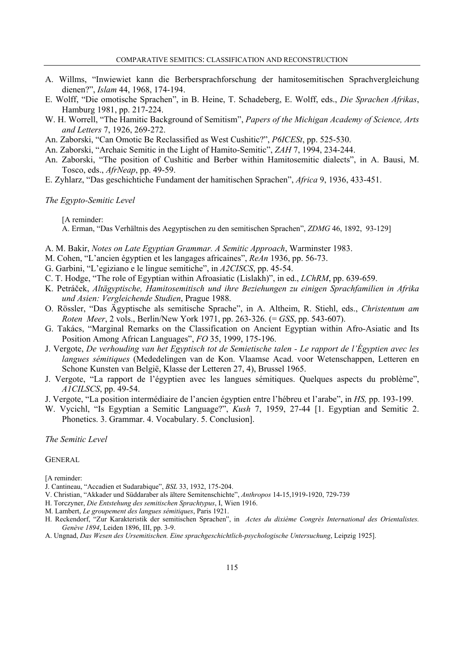- A. Willms, "Inwiewiet kann die Berbersprachforschung der hamitosemitischen Sprachvergleichung dienen?", *Islam* 44, 1968, 174-194.
- E. Wolff, "Die omotische Sprachen", in B. Heine, T. Schadeberg, E. Wolff, eds., *Die Sprachen Afrikas*, Hamburg 1981, pp. 217-224.
- W. H. Worrell, "The Hamitic Background of Semitism", *Papers of the Michigan Academy of Science, Arts and Letters* 7, 1926, 269-272.
- An. Zaborski, "Can Omotic Be Reclassified as West Cushitic?", *P6ICESt*, pp. 525-530.
- An. Zaborski, "Archaic Semitic in the Light of Hamito-Semitic", *ZAH* 7, 1994, 234-244.
- An. Zaborski, "The position of Cushitic and Berber within Hamitosemitic dialects", in A. Bausi, M. Tosco, eds., *AfrNeap*, pp. 49-59.
- E. Zyhlarz, "Das geschichtiche Fundament der hamitischen Sprachen", *Africa* 9, 1936, 433-451.

#### *The Egypto-Semitic Level*

[A reminder:

A. Erman, "Das Verhältnis des Aegyptischen zu den semitischen Sprachen", *ZDMG* 46, 1892, 93-129]

- A. M. Bakir, *Notes on Late Egyptian Grammar. A Semitic Approach*, Warminster 1983.
- M. Cohen, "L'ancien égyptien et les langages africaines", *ReAn* 1936, pp. 56-73.
- G. Garbini, "L'egiziano e le lingue semitiche", in *A2CISCS*, pp. 45-54.
- C. T. Hodge, "The role of Egyptian within Afroasiatic (Lislakh)", in ed., *LChRM*, pp. 639-659.
- K. Petráček, *Altägyptische, Hamitosemitisch und ihre Beziehungen zu einigen Sprachfamilien in Afrika und Asien: Vergleichende Studien*, Prague 1988.
- O. Rössler, "Das Ägyptische als semitische Sprache", in A. Altheim, R. Stiehl, eds., *Christentum am Roten Meer*, 2 vols., Berlin/New York 1971, pp. 263-326. (= *GSS*, pp. 543-607).
- G. Takács, "Marginal Remarks on the Classification on Ancient Egyptian within Afro-Asiatic and Its Position Among African Languages", *FO* 35, 1999, 175-196.
- J. Vergote, *De verhouding van het Egyptisch tot de Semietische talen Le rapport de l'Égyptien avec les langues sémitiques* (Mededelingen van de Kon. Vlaamse Acad. voor Wetenschappen, Letteren en Schone Kunsten van België, Klasse der Letteren 27, 4), Brussel 1965.
- J. Vergote, "La rapport de l'égyptien avec les langues sémitiques. Quelques aspects du problème", *A1CILSCS*, pp. 49-54.
- J. Vergote, "La position intermédiaire de l'ancien égyptien entre l'hébreu et l'arabe", in *HS,* pp. 193-199.
- W. Vycichl, "Is Egyptian a Semitic Language?", *Kush* 7, 1959, 27-44 [1. Egyptian and Semitic 2. Phonetics. 3. Grammar. 4. Vocabulary. 5. Conclusion].

*The Semitic Level* 

# **GENERAL**

[A reminder:

- J. Cantineau, "Accadien et Sudarabique", *BSL* 33, 1932, 175-204.
- V. Christian, "Akkader und Süddaraber als ältere Semitenschichte", *Anthropos* 14-15,1919-1920, 729-739
- H. Torczyner, *Die Entstehung des semitischen Sprachtypus*, I, Wien 1916.
- M. Lambert, *Le groupement des langues sémitiques*, Paris 1921.
- H. Reckendorf, "Zur Karakteristik der semitischen Sprachen", in *Actes du dixième Congrès International des Orientalistes. Genève 1894*, Leiden 1896, III, pp. 3-9.
- A. Ungnad, *Das Wesen des Ursemitischen. Eine sprachgeschichtlich-psychologische Untersuchung*, Leipzig 1925].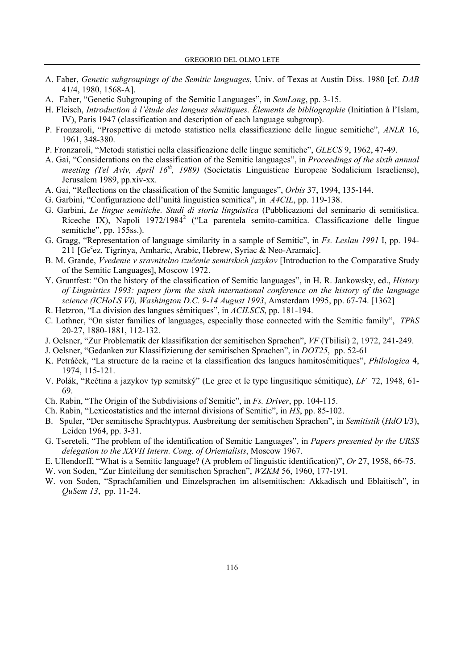- A. Faber, *Genetic subgroupings of the Semitic languages*, Univ. of Texas at Austin Diss. 1980 [cf. *DAB* 41/4, 1980, 1568-A].
- A. Faber, "Genetic Subgrouping of the Semitic Languages", in *SemLang*, pp. 3-15.
- H. Fleisch, *Introduction à l'étude des langues sémitiques. Élements de bibliographie* (Initiation à l'Islam, IV), Paris 1947 (classification and description of each language subgroup).
- P. Fronzaroli, "Prospettive di metodo statistico nella classificazione delle lingue semitiche", *ANLR* 16, 1961, 348-380.
- P. Fronzaroli, "Metodi statistici nella classificazione delle lingue semitiche", *GLECS* 9, 1962, 47-49.
- A. Gai, "Considerations on the classification of the Semitic languages", in *Proceedings of the sixth annual meeting (Tel Aviv, April 16<sup>th</sup>, 1989)* (Societatis Linguisticae Europeae Sodalicium Israeliense), Jerusalem 1989, pp.xiv-xx.
- A. Gai, "Reflections on the classification of the Semitic languages", *Orbis* 37, 1994, 135-144.
- G. Garbini, "Configurazione dell'unità linguistica semitica", in *A4CIL*, pp. 119-138.
- G. Garbini, *Le lingue semitiche. Studi di storia linguistica* (Pubblicazioni del seminario di semitistica. Riceche IX), Napoli 1972/1984<sup>2</sup> ("La parentela semito-camitica. Classificazione delle lingue semitiche", pp. 155ss.).
- G. Gragg, "Representation of language similarity in a sample of Semitic", in *Fs. Leslau 1991* I, pp. 194- 211 [Ge°ez, Tigrinya, Amharic, Arabic, Hebrew, Syriac & Neo-Aramaic].
- B. M. Grande, *Vvedenie v sravnitelno izučenie semitskich jazykov* [Introduction to the Comparative Study of the Semitic Languages], Moscow 1972.
- Y. Gruntfest: "On the history of the classification of Semitic languages", in H. R. Jankowsky, ed., *History of Linguistics 1993: papers form the sixth international conference on the history of the language science (ICHoLS VI), Washington D.C. 9-14 August 1993*, Amsterdam 1995, pp. 67-74. [1362]
- R. Hetzron, "La division des langues sémitiques", in *ACILSCS*, pp. 181-194.
- C. Lothner, "On sister families of languages, especially those connected with the Semitic family", *TPhS* 20-27, 1880-1881, 112-132.
- J. Oelsner, "Zur Problematik der klassifikation der semitischen Sprachen", *VF* (Tbilisi) 2, 1972, 241-249.
- J. Oelsner, "Gedanken zur Klassifizierung der semitischen Sprachen", in *DOT25*, pp. 52-61
- K. Petráček, "La structure de la racine et la classification des langues hamitosémitiques", *Philologica* 4, 1974, 115-121.
- V. Polák, "Rečtina a jazykov typ semitský" (Le grec et le type lingusitique sémitique), *LF* 72, 1948, 61- 69.
- Ch. Rabin, "The Origin of the Subdivisions of Semitic", in *Fs. Driver*, pp. 104-115.
- Ch. Rabin, "Lexicostatistics and the internal divisions of Semitic", in *HS*, pp. 85-102.
- B. Spuler, "Der semitische Sprachtypus. Ausbreitung der semitischen Sprachen", in *Semitistik* (*HdO* I/3), Leiden 1964, pp. 3-31.
- G. Tsereteli, "The problem of the identification of Semitic Languages", in *Papers presented by the URSS delegation to the XXVII Intern. Cong. of Orientalists*, Moscow 1967.
- E. Ullendorff, "What is a Semitic language? (A problem of linguistic identification)", *Or* 27, 1958, 66-75.
- W. von Soden, "Zur Einteilung der semitischen Sprachen", *WZKM* 56, 1960, 177-191.
- W. von Soden, "Sprachfamilien und Einzelsprachen im altsemitischen: Akkadisch und Eblaitisch", in *QuSem 13*, pp. 11-24.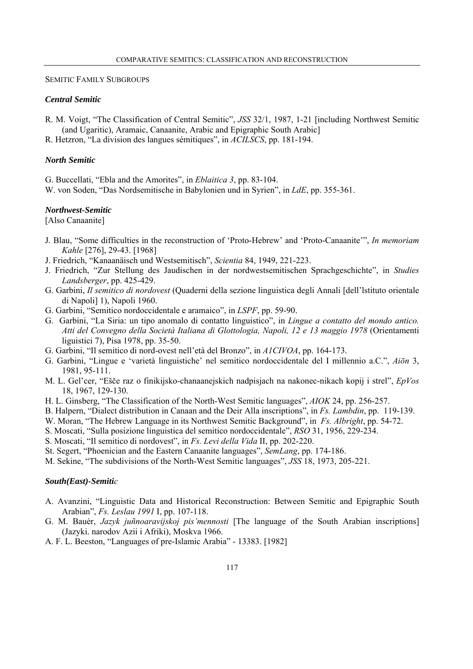# SEMITIC FAMILY SUBGROUPS

# *Central Semitic*

- R. M. Voigt, "The Classification of Central Semitic", *JSS* 32/1, 1987, 1-21 [including Northwest Semitic (and Ugaritic), Aramaic, Canaanite, Arabic and Epigraphic South Arabic]
- R. Hetzron, "La division des langues sémitiques", in *ACILSCS*, pp. 181-194.

# *North Semitic*

G. Buccellati, "Ebla and the Amorites", in *Eblaitica 3*, pp. 83-104.

W. von Soden, "Das Nordsemitische in Babylonien und in Syrien", in *LdE*, pp. 355-361.

# *Northwest-Semitic*

[Also Canaanite]

- J. Blau, "Some difficulties in the reconstruction of 'Proto-Hebrew' and 'Proto-Canaanite'", *In memoriam Kahle* [276], 29-43. [1968]
- J. Friedrich, "Kanaanäisch und Westsemitisch", *Scientia* 84, 1949, 221-223.
- J. Friedrich, "Zur Stellung des Jaudischen in der nordwestsemitischen Sprachgeschichte", in *Studies Landsberger*, pp. 425-429.
- G. Garbini, *Il semitico di nordovest* (Quaderni della sezione linguistica degli Annali [dell'lstituto orientale di Napoli] 1), Napoli 1960.
- G. Garbini, "Semitico nordoccidentale e aramaico", in *LSPF*, pp. 59-90.
- G. Garbini, "La Siria: un tipo anomalo di contatto linguistico", in *Lingue a contatto del mondo antico. Atti del Convegno della Società Italiana di Glottologia, Napoli, 12 e 13 maggio 1978* (Orientamenti liguistici 7), Pisa 1978, pp. 35-50.
- G. Garbini, "Il semitico di nord-ovest nell'età del Bronzo", in *A1CIVOA*, pp. 164-173.
- G. Garbini, "Lingue e 'varietà linguistiche' nel semitico nordoccidentale del I millennio a.C.", *Aiōn* 3, 1981, 95-111.
- M. L. Gel'cer, "Ešče raz o finikijsko-chanaanejskich nadpisjach na nakonec-nikach kopij i strel", *EpVos* 18, 1967, 129-130.
- H. L. Ginsberg, "The Classification of the North-West Semitic languages", *AIOK* 24, pp. 256-257.
- B. Halpern, "Dialect distribution in Canaan and the Deir Alla inscriptions", in *Fs. Lambdin*, pp. 119-139.
- W. Moran, "The Hebrew Language in its Northwest Semitic Background", in *Fs. Albright*, pp. 54-72.
- S. Moscati, "Sulla posizione linguistica del semitico nordoccidentale", *RSO* 31, 1956, 229-234.
- S. Moscati, "Il semitico di nordovest", in *Fs. Levi della Vida* II, pp. 202-220.
- St. Segert, "Phoenician and the Eastern Canaanite languages", *SemLang*, pp. 174-186.
- M. Sekine, "The subdivisions of the North-West Semitic languages", *JSS* 18, 1973, 205-221.

### *South(East)-Semitic*

- A. Avanzini, "Linguistic Data and Historical Reconstruction: Between Semitic and Epigraphic South Arabian", *Fs. Leslau 1991* I, pp. 107-118.
- G. M. Bauėr, *Jazyk juñnoaravijskoj pis'mennosti* [The language of the South Arabian inscriptions] (Jazyki. narodov Azii i Afriki), Moskva 1966.
- A. F. L. Beeston, "Languages of pre-Islamic Arabia" 13383. [1982]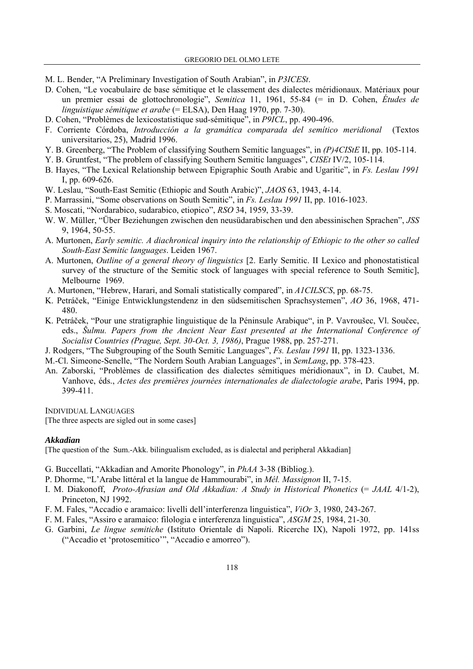- M. L. Bender, "A Preliminary Investigation of South Arabian", in *P3ICESt*.
- D. Cohen, "Le vocabulaire de base sémitique et le classement des dialectes méridionaux. Matériaux pour un premier essai de glottochronologie", *Semitica* 11, 1961, 55-84 (= in D. Cohen, *Études de linguistique sémitique et arabe* (= ELSA), Den Haag 1970, pp. 7-30).
- D. Cohen, "Problèmes de lexicostatistique sud-sémitique", in *P9ICL*, pp. 490-496.
- F. Corriente Córdoba, *Introducción a la gramática comparada del semítico meridional* (Textos universitarios, 25), Madrid 1996.
- Y. B. Greenberg, "The Problem of classifying Southern Semitic languages", in *(P)4CIStE* II, pp. 105-114.
- Y. B. Gruntfest, "The problem of classifying Southern Semitic languages", *CISEt* IV/2, 105-114.
- B. Hayes, "The Lexical Relationship between Epigraphic South Arabic and Ugaritic", in *Fs. Leslau 1991*  I, pp. 609-626.
- W. Leslau, "South-East Semitic (Ethiopic and South Arabic)", *JAOS* 63, 1943, 4-14.
- P. Marrassini, "Some observations on South Semitic", in *Fs. Leslau 1991* II, pp. 1016-1023.
- S. Moscati, "Nordarabico, sudarabico, etiopico", *RSO* 34, 1959, 33-39.
- W. W. Müller, "Über Beziehungen zwischen den neusüdarabischen und den abessinischen Sprachen", *JSS* 9, 1964, 50-55.
- A. Murtonen, *Early semitic. A diachronical inquiry into the relationship of Ethiopic to the other so called South-East Semitic languages*. Leiden 1967.
- A. Murtonen, *Outline of a general theory of linguistics* [2. Early Semitic. II Lexico and phonostatistical survey of the structure of the Semitic stock of languages with special reference to South Semitic], Melbourne 1969.
- A. Murtonen, "Hebrew, Harari, and Somali statistically compared", in *A1CILSCS*, pp. 68-75.
- K. Petráček, "Einige Entwicklungstendenz in den südsemitischen Sprachsystemen", *AO* 36, 1968, 471- 480.
- K. Petráček, "Pour une stratigraphie linguistique de la Péninsule Arabique", in P. Vavroušec, Vl. Součec, eds., *Šulmu. Papers from the Ancient Near East presented at the International Conference of Socialist Countries (Prague, Sept. 30-Oct. 3, 1986)*, Prague 1988, pp. 257-271.
- J. Rodgers, "The Subgrouping of the South Semitic Languages", *Fs. Leslau 1991* II, pp. 1323-1336.
- M.-Cl. Simeone-Senelle, "The Nordern South Arabian Languages", in *SemLang*, pp. 378-423.
- An. Zaborski, "Problèmes de classification des dialectes sémitiques méridionaux", in D. Caubet, M. Vanhove, éds., *Actes des premières journées internationales de dialectologie arabe*, Paris 1994, pp. 399-411.

INDIVIDUAL LANGUAGES

[The three aspects are sigled out in some cases]

#### *Akkadian*

[The question of the Sum.-Akk. bilingualism excluded, as is dialectal and peripheral Akkadian]

- G. Buccellati, "Akkadian and Amorite Phonology", in *PhAA* 3-38 (Bibliog.).
- P. Dhorme, "L'Arabe littéral et la langue de Hammourabi", in *Mél. Massignon* II, 7-15.
- I. M. Diakonoff, *Proto-Afrasian and Old Akkadian: A Study in Historical Phonetics* (= *JAAL* 4/1-2), Princeton, NJ 1992.
- F. M. Fales, "Accadio e aramaico: livelli dell'interferenza linguistica", *ViOr* 3, 1980, 243-267.
- F. M. Fales, "Assiro e aramaico: filologia e interferenza linguistica", *ASGM* 25, 1984, 21-30.
- G. Garbini, *Le lingue semitiche* (Istituto Orientale di Napoli. Ricerche IX), Napoli 1972, pp. 141ss ("Accadio et 'protosemitico'", "Accadio e amorreo").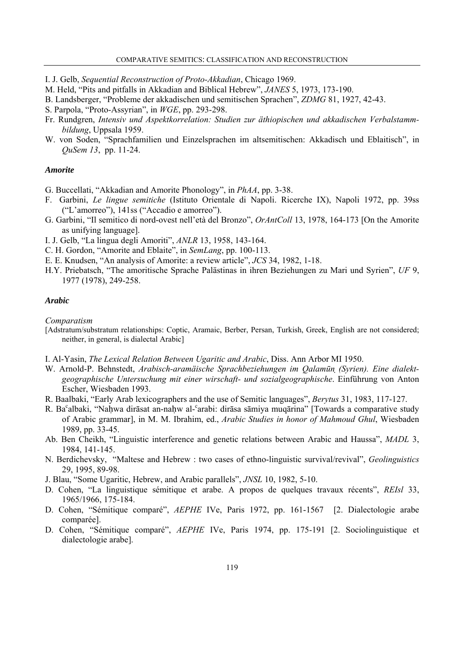- I. J. Gelb, *Sequential Reconstruction of Proto-Akkadian*, Chicago 1969.
- M. Held, "Pits and pitfalls in Akkadian and Biblical Hebrew", *JANES* 5, 1973, 173-190.
- B. Landsberger, "Probleme der akkadischen und semitischen Sprachen", *ZDMG* 81, 1927, 42-43.
- S. Parpola, "Proto-Assyrian", in *WGE*, pp. 293-298.
- Fr. Rundgren, *Intensiv und Aspektkorrelation: Studien zur äthiopischen und akkadischen Verbalstammbildung*, Uppsala 1959.
- W. von Soden, "Sprachfamilien und Einzelsprachen im altsemitischen: Akkadisch und Eblaitisch", in *QuSem 13*, pp. 11-24.

# *Amorite*

- G. Buccellati, "Akkadian and Amorite Phonology", in *PhAA*, pp. 3-38.
- F. Garbini, *Le lingue semitiche* (Istituto Orientale di Napoli. Ricerche IX), Napoli 1972, pp. 39ss ("L'amorreo"), 141ss ("Accadio e amorreo").
- G. Garbini, "Il semitico di nord-ovest nell'età del Bronzo", *OrAntColl* 13, 1978, 164-173 [On the Amorite as unifying language].
- I. J. Gelb, "La lingua degli Amoriti", *ANLR* 13, 1958, 143-164.
- C. H. Gordon, "Amorite and Eblaite", in *SemLang*, pp. 100-113.
- E. E. Knudsen, "An analysis of Amorite: a review article", *JCS* 34, 1982, 1-18.
- H.Y. Priebatsch, "The amoritische Sprache Palästinas in ihren Beziehungen zu Mari und Syrien", *UF* 9, 1977 (1978), 249-258.

# *Arabic*

*Comparatism*

- [Adstratum/substratum relationships: Coptic, Aramaic, Berber, Persan, Turkish, Greek, English are not considered; neither, in general, is dialectal Arabic]
- I. Al-Yasin, *The Lexical Relation Between Ugaritic and Arabic*, Diss. Ann Arbor MI 1950.
- W. Arnold-P. Behnstedt, *Arabisch-aramäische Sprachbeziehungen im Qalamūn (Syrien). Eine dialektgeographische Untersuchung mit einer wirschaft- und sozialgeographische*. Einführung von Anton Escher, Wiesbaden 1993.
- R. Baalbaki, "Early Arab lexicographers and the use of Semitic languages", *Berytus* 31, 1983, 117-127.
- R. Ba°albaki, "Nahwa dirāsat an-nahw al-°arabi: dirāsa sāmiya muqārina" [Towards a comparative study of Arabic grammar], in M. M. Ibrahim, ed., *Arabic Studies in honor of Mahmoud Ghul*, Wiesbaden 1989, pp. 33-45.
- Ab. Ben Cheikh, "Linguistic interference and genetic relations between Arabic and Haussa", *MADL* 3, 1984, 141-145.
- N. Berdichevsky, "Maltese and Hebrew : two cases of ethno-linguistic survival/revival", *Geolinguistics*  29, 1995, 89-98.
- J. Blau, "Some Ugaritic, Hebrew, and Arabic parallels", *JNSL* 10, 1982, 5-10.
- D. Cohen, "La linguistique sémitique et arabe. A propos de quelques travaux récents", *REIsl* 33, 1965/1966, 175-184.
- D. Cohen, "Sémitique comparé", *AEPHE* IVe, Paris 1972, pp. 161-1567 [2. Dialectologie arabe comparée].
- D. Cohen, "Sémitique comparé", *AEPHE* IVe, Paris 1974, pp. 175-191 [2. Sociolinguistique et dialectologie arabe].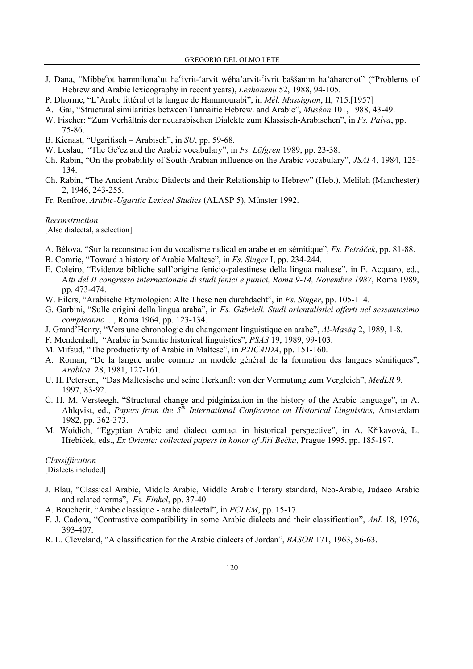- J. Dana, "Mibbe<sup>c</sup>ot hammilona'ut ha<sup>c</sup>ivrit-'arvit wéha'arvit-'ivrit baššanim ha'áḥaronot" ("Problems of Hebrew and Arabic lexicography in recent years), *Leshonenu* 52, 1988, 94-105.
- P. Dhorme, "L'Arabe littéral et la langue de Hammourabi", in *Mél. Massignon*, II, 715.[1957]
- A. Gai, "Structural similarities between Tannaitic Hebrew. and Arabic", *Muséon* 101, 1988, 43-49.
- W. Fischer: "Zum Verhältnis der neuarabischen Dialekte zum Klassisch-Arabischen", in *Fs. Palva*, pp. 75-86.
- B. Kienast, "Ugaritisch Arabisch", in *SU*, pp. 59-68.
- W. Leslau, "The Ge<sup>c</sup>ez and the Arabic vocabulary", in *Fs. Löfgren* 1989, pp. 23-38.
- Ch. Rabin, "On the probability of South-Arabian influence on the Arabic vocabulary", *JSAI* 4, 1984, 125- 134.
- Ch. Rabin, "The Ancient Arabic Dialects and their Relationship to Hebrew" (Heb.), Melilah (Manchester) 2, 1946, 243-255.
- Fr. Renfroe, *Arabic-Ugaritic Lexical Studies* (ALASP 5), Münster 1992.

*Reconstruction*  [Also dialectal, a selection]

- A. Bélova, "Sur la reconstruction du vocalisme radical en arabe et en sémitique", *Fs. Petráček*, pp. 81-88.
- B. Comrie, "Toward a history of Arabic Maltese", in *Fs. Singer* I, pp. 234-244.
- E. Coleiro, "Evidenze bibliche sull'origine fenicio-palestinese della lingua maltese", in E. Acquaro, ed., A*tti del II congresso internazionale di studi fenici e punici, Roma 9-14, Novembre 1987*, Roma 1989, pp. 473-474.
- W. Eilers, "Arabische Etymologien: Alte These neu durchdacht", in *Fs. Singer*, pp. 105-114.
- G. Garbini, "Sulle origini della lingua araba", in *Fs. Gabrieli. Studi orientalistici offerti nel sessantesimo compleanno ...*, Roma 1964, pp. 123-134.
- J. Grand'Henry, "Vers une chronologie du changement linguistique en arabe", *Al-Masāq* 2, 1989, 1-8.
- F. Mendenhall, "Arabic in Semitic historical linguistics", *PSAS* 19, 1989, 99-103.
- M. Mifsud, "The productivity of Arabic in Maltese", in *P2ICAIDA*, pp. 151-160.
- A. Roman, "De la langue arabe comme un modèle général de la formation des langues sémitiques", *Arabica* 28, 1981, 127-161.
- U. H. Petersen, "Das Maltesische und seine Herkunft: von der Vermutung zum Vergleich", *MedLR* 9, 1997, 83-92.
- C. H. M. Versteegh, "Structural change and pidginization in the history of the Arabic language", in A. Ahlqvist, ed., *Papers from the 5th International Conference on Historical Linguistics*, Amsterdam 1982, pp. 362-373.
- M. Woidich, "Egyptian Arabic and dialect contact in historical perspective", in A. Křikavová, L. Hřebíček, eds., *Ex Oriente: collected papers in honor of Jiři Bečka*, Prague 1995, pp. 185-197.

*Classiffication*  [Dialects included]

- J. Blau, "Classical Arabic, Middle Arabic, Middle Arabic literary standard, Neo-Arabic, Judaeo Arabic and related terms", *Fs. Finkel*, pp. 37-40.
- A. Boucherit, "Arabe classique arabe dialectal", in *PCLEM*, pp. 15-17.
- F. J. Cadora, "Contrastive compatibility in some Arabic dialects and their classification", *AnL* 18, 1976, 393-407.
- R. L. Cleveland, "A classification for the Arabic dialects of Jordan", *BASOR* 171, 1963, 56-63.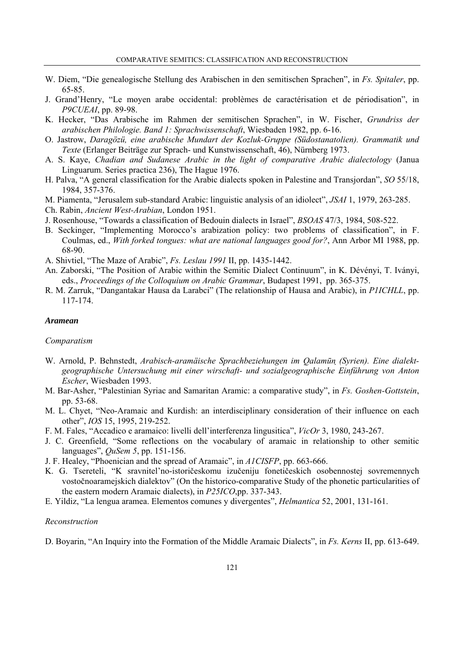- W. Diem, "Die genealogische Stellung des Arabischen in den semitischen Sprachen", in *Fs. Spitaler*, pp. 65-85.
- J. Grand'Henry, "Le moyen arabe occidental: problèmes de caractérisation et de périodisation", in *P9CUEAI*, pp. 89-98.
- K. Hecker, "Das Arabische im Rahmen der semitischen Sprachen", in W. Fischer, *Grundriss der arabischen Philologie. Band 1: Sprachwissenschaft*, Wiesbaden 1982, pp. 6-16.
- O. Jastrow, *Daragözü, eine arabische Mundart der Kozluk-Gruppe (Südostanatolien). Grammatik und Texte* (Erlanger Beiträge zur Sprach- und Kunstwissenschaft, 46), Nürnberg 1973.
- A. S. Kaye, *Chadian and Sudanese Arabic in the light of comparative Arabic dialectology* (Janua Linguarum. Series practica 236), The Hague 1976.
- H. Palva, "A general classification for the Arabic dialects spoken in Palestine and Transjordan", *SO* 55/18, 1984, 357-376.
- M. Piamenta, "Jerusalem sub-standard Arabic: linguistic analysis of an idiolect", *JSAI* 1, 1979, 263-285.
- Ch. Rabin, *Ancient West-Arabian*, London 1951.
- J. Rosenhouse, "Towards a classification of Bedouin dialects in Israel", *BSOAS* 47/3, 1984, 508-522.
- B. Seckinger, "Implementing Morocco's arabization policy: two problems of classification", in F. Coulmas, ed., *With forked tongues: what are national languages good for?*, Ann Arbor MI 1988, pp. 68-90.
- A. Shivtiel, "The Maze of Arabic", *Fs. Leslau 1991* II, pp. 1435-1442.
- An. Zaborski, "The Position of Arabic within the Semitic Dialect Continuum", in K. Dévényi, T. Iványi, eds., *Proceedings of the Colloquium on Arabic Grammar*, Budapest 1991, pp. 365-375.
- R. M. Zarruk, "Dangantakar Hausa da Larabci" (The relationship of Hausa and Arabic), in *P1ICHLL*, pp. 117-174.

#### *Aramean*

#### *Comparatism*

- W. Arnold, P. Behnstedt, *Arabisch-aramäische Sprachbeziehungen im Qalamūn (Syrien). Eine dialektgeographische Untersuchung mit einer wirschaft- und sozialgeographische Einführung von Anton Escher*, Wiesbaden 1993.
- M. Bar-Asher, "Palestinian Syriac and Samaritan Aramic: a comparative study", in *Fs. Goshen-Gottstein*, pp. 53-68.
- M. L. Chyet, "Neo-Aramaic and Kurdish: an interdisciplinary consideration of their influence on each other", *IOS* 15, 1995, 219-252.
- F. M. Fales, "Accadico e aramaico: livelli dell'interferenza lingusitica", *VicOr* 3, 1980, 243-267.
- J. C. Greenfield, "Some reflections on the vocabulary of aramaic in relationship to other semitic languages", *QuSem 5*, pp. 151-156.
- J. F. Healey, "Phoenician and the spread of Aramaic", in *A1CISFP*, pp. 663-666.
- K. G. Tsereteli, "K sravnitel'no-istoričeskomu izučeniju fonetičeskich osobennostej sovremennych vostočnoaramejskich dialektov" (On the historico-comparative Study of the phonetic particularities of the eastern modern Aramaic dialects), in *P25ICO*,pp. 337-343.
- E. Yildiz, "La lengua aramea. Elementos comunes y divergentes", *Helmantica* 52, 2001, 131-161.

#### *Reconstruction*

D. Boyarin, "An Inquiry into the Formation of the Middle Aramaic Dialects", in *Fs. Kerns* II, pp. 613-649.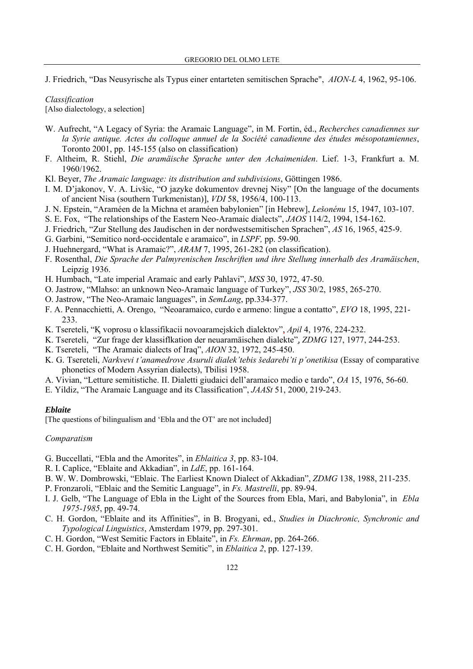J. Friedrich, "Das Neusyrische als Typus einer entarteten semitischen Sprache", *AION-L* 4, 1962, 95-106.

# *Classification*

[Also dialectology, a selection]

- W. Aufrecht, "A Legacy of Syria: the Aramaic Language", in M. Fortin, éd., *Recherches canadiennes sur la Syrie antique. Actes du colloque annuel de la Société canadienne des études mésopotamiennes*, Toronto 2001, pp. 145-155 (also on classification)
- F. Altheim, R. Stiehl, *Die aramäische Sprache unter den Achaimeniden*. Lief. 1-3, Frankfurt a. M. 1960/1962.
- Kl. Beyer, *The Aramaic language: its distribution and subdivisions*, Göttingen 1986.
- I. M. D'jakonov, V. A. Livšic, "O jazyke dokumentov drevnej Nisy" [On the language of the documents of ancient Nisa (southern Turkmenistan)], *VDI* 58, 1956/4, 100-113.
- J. N. Epstein, "Araméen de la Michna et araméen babylonien" [in Hebrew], *Lešonénu* 15, 1947, 103-107.
- S. E. Fox, "The relationships of the Eastern Neo-Aramaic dialects", *JAOS* 114/2, 1994, 154-162.
- J. Friedrich, "Zur Stellung des Jaudischen in der nordwestsemitischen Sprachen", *AS* 16, 1965, 425-9.
- G. Garbini, "Semitico nord-occidentale e aramaico", in *LSPF,* pp. 59-90.
- J. Huehnergard, "What is Aramaic?", *ARAM* 7, 1995, 261-282 (on classification).
- F. Rosenthal, *Die Sprache der Palmyrenischen Inschriften und ihre Stellung innerhalb des Aramäischen*, Leipzig 1936.
- H. Humbach, "Late imperial Aramaic and early Pahlavi", *MSS* 30, 1972, 47-50.
- O. Jastrow, "Mlahso: an unknown Neo-Aramaic language of Turkey", *JSS* 30/2, 1985, 265-270.
- O. Jastrow, "The Neo-Aramaic languages", in *SemLang*, pp.334-377.
- F. A. Pennacchietti, A. Orengo, "Neoaramaico, curdo e armeno: lingue a contatto", *EVO* 18, 1995, 221- 233.
- K. Tsereteli, "K voprosu o klassifikacii novoaramejskich dialektov", *Apil* 4, 1976, 224-232.
- K. Tsereteli, "Zur frage der klassiflkation der neuaramäischen dialekte", *ZDMG* 127, 1977, 244-253.
- K. Tsereteli, "The Aramaic dialects of Iraq", *AION* 32, 1972, 245-450.
- K. G. Tsereteli, *Narkvevi t'anamedrove Asuruli dialek'tebis šedarebi'ti p'onetikisa* (Essay of comparative phonetics of Modern Assyrian dialects), Tbilisi 1958.
- A. Vivian, "Letture semitistiche. II. Dialetti giudaici dell'aramaico medio e tardo", *OA* 15, 1976, 56-60.
- E. Yildiz, "The Aramaic Language and its Classification", *JAASt* 51, 2000, 219-243.

#### *Eblaite*

[The questions of bilingualism and 'Ebla and the OT' are not included]

# *Comparatism*

- G. Buccellati, "Ebla and the Amorites", in *Eblaitica 3*, pp. 83-104.
- R. I. Caplice, "Eblaite and Akkadian", in *LdE*, pp. 161-164.
- B. W. W. Dombrowski, "Eblaic. The Earliest Known Dialect of Akkadian", *ZDMG* 138, 1988, 211-235.
- P. Fronzaroli, "Eblaic and the Semitic Language", in *Fs. Mastrelli*, pp. 89-94.
- I. J. Gelb, "The Language of Ebla in the Light of the Sources from Ebla, Mari, and Babylonia", in *Ebla 1975-1985*, pp. 49-74.
- C. H. Gordon, "Eblaite and its Affinities", in B. Brogyani, ed., *Studies in Diachronic, Synchronic and Typological Linguistics*, Amsterdam 1979, pp. 297-301.
- C. H. Gordon, "West Semitic Factors in Eblaite", in *Fs. Ehrman*, pp. 264-266.
- C. H. Gordon, "Eblaite and Northwest Semitic", in *Eblaitica 2*, pp. 127-139.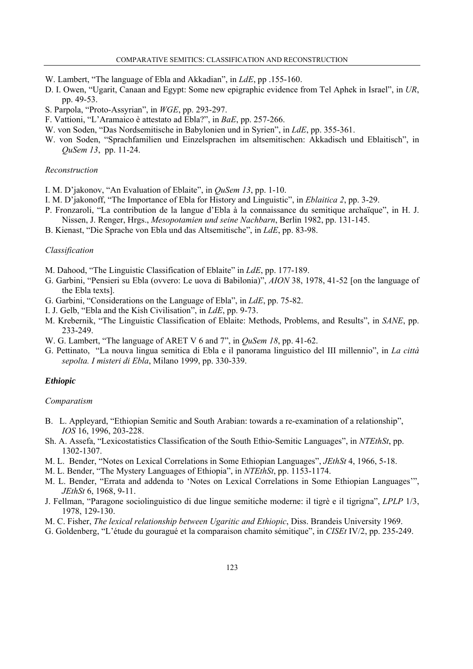- W. Lambert, "The language of Ebla and Akkadian", in *LdE*, pp .155-160.
- D. I. Owen, "Ugarit, Canaan and Egypt: Some new epigraphic evidence from Tel Aphek in Israel", in *UR*, pp. 49-53.
- S. Parpola, "Proto-Assyrian", in *WGE*, pp. 293-297.
- F. Vattioni, "L'Aramaico è attestato ad Ebla?", in *BaE*, pp. 257-266.
- W. von Soden, "Das Nordsemitische in Babylonien und in Syrien", in *LdE*, pp. 355-361.
- W. von Soden, "Sprachfamilien und Einzelsprachen im altsemitischen: Akkadisch und Eblaitisch", in *QuSem 13*, pp. 11-24.

# *Reconstruction*

- I. M. D'jakonov, "An Evaluation of Eblaite", in *QuSem 13*, pp. 1-10.
- I. M. D'jakonoff, "The Importance of Ebla for History and Linguistic", in *Eblaitica 2*, pp. 3-29.
- P. Fronzaroli, "La contribution de la langue d'Ebla à la connaissance du semitique archaïque", in H. J. Nissen, J. Renger, Hrgs., *Mesopotamien und seine Nachbarn*, Berlin 1982, pp. 131-145.
- B. Kienast, "Die Sprache von Ebla und das Altsemitische", in *LdE*, pp. 83-98.

## *Classification*

- M. Dahood, "The Linguistic Classification of Eblaite" in *LdE*, pp. 177-189.
- G. Garbini, "Pensieri su Ebla (ovvero: Le uova di Babilonia)", *AION* 38, 1978, 41-52 [on the language of the Ebla texts].
- G. Garbini, "Considerations on the Language of Ebla", in *LdE*, pp. 75-82.
- I. J. Gelb, "Ebla and the Kish Civilisation", in *LdE*, pp. 9-73.
- M. Krebernik, "The Linguistic Classification of Eblaite: Methods, Problems, and Results", in *SANE*, pp. 233-249.
- W. G. Lambert, "The language of ARET V 6 and 7", in *QuSem 18*, pp. 41-62.
- G. Pettinato, "La nouva lingua semitica di Ebla e il panorama linguistico del III millennio", in *La città sepolta. I misteri di Ebla*, Milano 1999, pp. 330-339.

# *Ethiopic*

#### *Comparatism*

- B. L. Appleyard, "Ethiopian Semitic and South Arabian: towards a re-examination of a relationship", *IOS* 16, 1996, 203-228.
- Sh. A. Assefa, "Lexicostatistics Classification of the South Ethio-Semitic Languages", in *NTEthSt*, pp. 1302-1307.
- M. L. Bender, "Notes on Lexical Correlations in Some Ethiopian Languages", *JEthSt* 4, 1966, 5-18.
- M. L. Bender, "The Mystery Languages of Ethiopia", in *NTEthSt*, pp. 1153-1174.
- M. L. Bender, "Errata and addenda to 'Notes on Lexical Correlations in Some Ethiopian Languages'", *JEthSt* 6, 1968, 9-11.
- J. Fellman, "Paragone sociolinguistico di due lingue semitiche moderne: il tigrè e il tigrigna", *LPLP* 1/3, 1978, 129-130.
- M. C. Fisher, *The lexical relationship between Ugaritic and Ethiopic*, Diss. Brandeis University 1969.
- G. Goldenberg, "L'étude du gouragué et la comparaison chamito sémitique", in *CISEt* IV/2, pp. 235-249.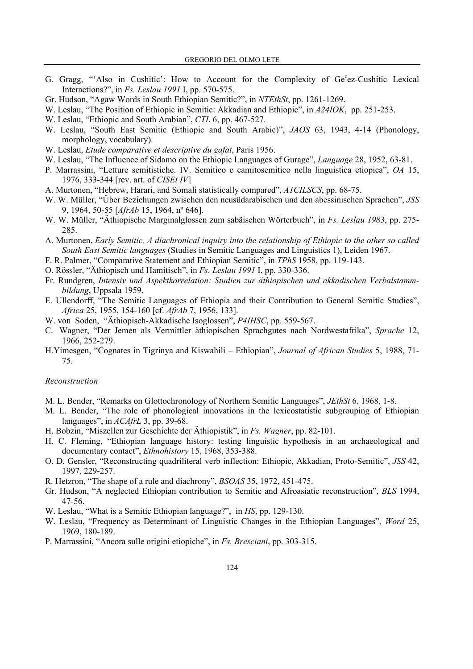- G. Gragg, "'Also in Cushitic': How to Account for the Complexity of Ge°ez-Cushitic Lexical Interactions?", in *Fs. Leslau 1991* I, pp. 570-575.
- Gr. Hudson, "Agaw Words in South Ethiopian Semitic?", in *NTEthSt*, pp. 1261-1269.
- W. Leslau, "The Position of Ethiopic in Semitic: Akkadian and Ethiopic", in *A24IOK*, pp. 251-253.
- W. Leslau, "Ethiopic and South Arabian", *CTL* 6, pp. 467-527.
- W. Leslau, "South East Semitic (Ethiopic and South Arabic)", *JAOS* 63, 1943, 4-14 (Phonology, morphology, vocabulary).
- W. Leslau, *Etude comparative et descriptive du gafat*, Paris 1956.
- W. Leslau, "The Influence of Sidamo on the Ethiopic Languages of Gurage", *Language* 28, 1952, 63-81.
- P. Marrassini, "Letture semitistiche. IV. Semitico e camitosemitico nella linguistica etiopica", *OA* 15, 1976, 333-344 [rev. art. of *CISEt IV*]
- A. Murtonen, "Hebrew, Harari, and Somali statistically compared", *A1CILSCS*, pp. 68-75.
- W. W. Müller, "Über Beziehungen zwischen den neusüdarabischen und den abessinischen Sprachen", *JSS* 9, 1964, 50-55 [*AfrAb* 15, 1964, nº 646].
- W. W. Müller, "Äthiopische Marginalglossen zum sabäischen Wörterbuch", in *Fs. Leslau 1983*, pp. 275- 285.
- A. Murtonen, *Early Semitic. A diachronical inquiry into the relationship of Ethiopic to the other so called South East Semitic languages* (Studies in Semitic Languages and Linguistics 1), Leiden 1967.
- F. R. Palmer, "Comparative Statement and Ethiopian Semitic", in *TPhS* 1958, pp. 119-143.
- O. Rössler, "Äthiopisch und Hamitisch", in *Fs. Leslau 1991* I, pp. 330-336.
- Fr. Rundgren, *Intensiv und Aspektkorrelation: Studien zur äthiopischen und akkadischen Verbalstammbildung*, Uppsala 1959.
- E. Ullendorff, "The Semitic Languages of Ethiopia and their Contribution to General Semitic Studies", *Africa* 25, 1955, 154-160 [cf. *AfrAb* 7, 1956, 133].
- W. von Soden, "Äthiopisch-Akkadische Isoglossen", *P4IHSC*, pp. 559-567.
- C. Wagner, "Der Jemen als Vermittler äthiopischen Sprachgutes nach Nordwestafrika", *Sprache* 12, 1966, 252-279.
- H.Yimesgen, "Cognates in Tigrinya and Kiswahili Ethiopian", *Journal of African Studies* 5, 1988, 71- 75.

#### *Reconstruction*

- M. L. Bender, "Remarks on Glottochronology of Northern Semitic Languages", *JEthSt* 6, 1968, 1-8.
- M. L. Bender, "The role of phonological innovations in the lexicostatistic subgrouping of Ethiopian languages", in *ACAfrL* 3, pp. 39-68.
- H. Bobzin, "Miszellen zur Geschichte der Äthiopistik", in *Fs. Wagner*, pp. 82-101.
- H. C. Fleming, "Ethiopian language history: testing linguistic hypothesis in an archaeological and documentary contact", *Ethnohistory* 15, 1968, 353-388.
- O. D. Gensler, "Reconstructing quadriliteral verb inflection: Ethiopic, Akkadian, Proto-Semitic", *JSS* 42, 1997, 229-257.
- R. Hetzron, "The shape of a rule and diachrony", *BSOAS* 35, 1972, 451-475.
- Gr. Hudson, "A neglected Ethiopian contribution to Semitic and Afroasiatic reconstruction", *BLS* 1994, 47-56.
- W. Leslau, "What is a Semitic Ethiopian language?", in *HS*, pp. 129-130.
- W. Leslau, "Frequency as Determinant of Linguistic Changes in the Ethiopian Languages", *Word* 25, 1969, 180-189.
- P. Marrassini, "Ancora sulle origini etiopiche", in *Fs. Bresciani*, pp. 303-315.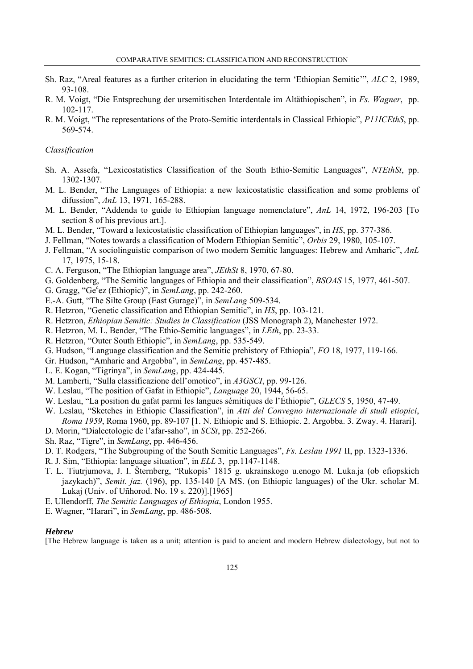- Sh. Raz, "Areal features as a further criterion in elucidating the term 'Ethiopian Semitic'", *ALC* 2, 1989, 93-108.
- R. M. Voigt, "Die Entsprechung der ursemitischen Interdentale im Altäthiopischen", in *Fs. Wagner*, pp. 102-117.
- R. M. Voigt, "The representations of the Proto-Semitic interdentals in Classical Ethiopic", *P11ICEthS*, pp. 569-574.

# *Classification*

- Sh. A. Assefa, "Lexicostatistics Classification of the South Ethio-Semitic Languages", *NTEthSt*, pp. 1302-1307.
- M. L. Bender, "The Languages of Ethiopia: a new lexicostatistic classification and some problems of difussion", *AnL* 13, 1971, 165-288.
- M. L. Bender, "Addenda to guide to Ethiopian language nomenclature", *AnL* 14, 1972, 196-203 [To section 8 of his previous art.].
- M. L. Bender, "Toward a lexicostatistic classification of Ethiopian languages", in *HS*, pp. 377-386.
- J. Fellman, "Notes towards a classification of Modern Ethiopian Semitic", *Orbis* 29, 1980, 105-107.
- J. Fellman, "A sociolinguistic comparison of two modern Semitic languages: Hebrew and Amharic", *AnL* 17, 1975, 15-18.
- C. A. Ferguson, "The Ethiopian language area", *JEthSt* 8, 1970, 67-80.
- G. Goldenberg, "The Semitic languages of Ethiopia and their classification", *BSOAS* 15, 1977, 461-507.
- G. Gragg, "Ge<sup>c</sup>ez (Ethiopic)", in *SemLang*, pp. 242-260.
- E.-A. Gutt, "The Silte Group (East Gurage)", in *SemLang* 509-534.
- R. Hetzron, "Genetic classification and Ethiopian Semitic", in *HS*, pp. 103-121.
- R. Hetzron, *Ethiopian Semitic: Studies in Classification* (JSS Monograph 2), Manchester 1972.
- R. Hetzron, M. L. Bender, "The Ethio-Semitic languages", in *LEth*, pp. 23-33.
- R. Hetzron, "Outer South Ethiopic", in *SemLang*, pp. 535-549.
- G. Hudson, "Language classification and the Semitic prehistory of Ethiopia", *FO* 18, 1977, 119-166.
- Gr. Hudson, "Amharic and Argobba", in *SemLang*, pp. 457-485.
- L. E. Kogan, "Tigrinya", in *SemLang*, pp. 424-445.
- M. Lamberti, "Sulla classificazione dell'omotico", in *A3GSCI*, pp. 99-126.
- W. Leslau, "The position of Gafat in Ethiopic", *Language* 20, 1944, 56-65.
- W. Leslau, "La position du gafat parmi les langues sémitiques de l'Éthiopie", *GLECS* 5, 1950, 47-49.
- W. Leslau, "Sketches in Ethiopic Classification", in *Atti del Convegno internazionale di studi etiopici*, *Roma 1959*, Roma 1960, pp. 89-107 [1. N. Ethiopic and S. Ethiopic. 2. Argobba. 3. Zway. 4. Harari].
- D. Morin, "Dialectologie de l'afar-saho", in *SCSt*, pp. 252-266.
- Sh. Raz, "Tigre", in *SemLang*, pp. 446-456.
- D. T. Rodgers, "The Subgrouping of the South Semitic Languages", *Fs. Leslau 1991* II, pp. 1323-1336.
- R. J. Sim, "Ethiopia: language situation", in *ELL* 3, pp.1147-1148.
- T. L. Tiutrjumova, J. I. Šternberg, "Rukopis' 1815 g. ukrainskogo u.enogo M. Luka.ja (ob efiopskich jazykach)", *Semit. jaz.* (196), pp. 135-140 [A MS. (on Ethiopic languages) of the Ukr. scholar M. Lukaj (Univ. of Uñhorod. No. 19 s. 220)].[1965]
- E. Ullendorff, *The Semitic Languages of Ethiopia*, London 1955.
- E. Wagner, "Harari", in *SemLang*, pp. 486-508.

### *Hebrew*

[The Hebrew language is taken as a unit; attention is paid to ancient and modern Hebrew dialectology, but not to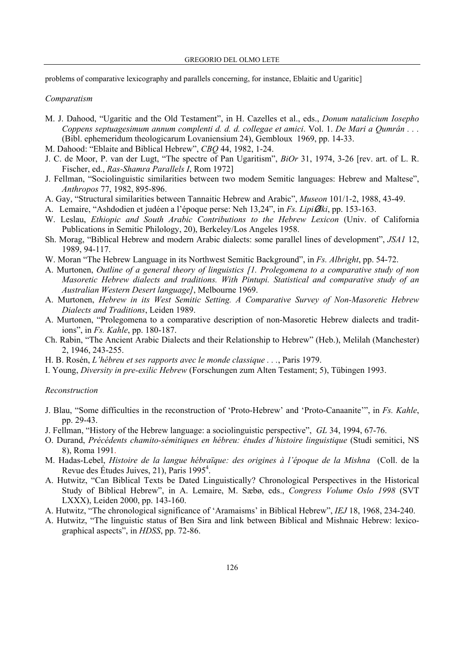problems of comparative lexicography and parallels concerning, for instance, Eblaitic and Ugaritic l

# *Comparatism*

- M. J. Dahood, "Ugaritic and the Old Testament", in H. Cazelles et al., eds., *Donum natalicium Iosepho Coppens septuagesimum annum complenti d. d. d. collegae et amici*. Vol. 1. *De Mari a Qumrân . . .*  (Bibl. ephemeridum theologicarum Lovaniensium 24), Gembloux 1969, pp. 14-33.
- M. Dahood: "Eblaite and Biblical Hebrew", *CBQ* 44, 1982, 1-24.
- J. C. de Moor, P. van der Lugt, "The spectre of Pan Ugaritism", *BiOr* 31, 1974, 3-26 [rev. art. of L. R. Fischer, ed., *Ras-Shamra Parallels I*, Rom 1972]
- J. Fellman, "Sociolinguistic similarities between two modem Semitic languages: Hebrew and Maltese", *Anthropos* 77, 1982, 895-896.
- A. Gay, "Structural similarities between Tannaitic Hebrew and Arabic", *Museon* 101/1-2, 1988, 43-49.
- A. Lemaire, "Ashdodien et judéen a l'époque perse: Neh 13,24", in *Fs. Lipi*Ø*ski*, pp. 153-163.
- W. Leslau, *Ethiopic and South Arabic Contributions to the Hebrew Lexicon* (Univ. of California Publications in Semitic Philology, 20), Berkeley/Los Angeles 1958.
- Sh. Morag, "Biblical Hebrew and modern Arabic dialects: some parallel lines of development", *JSA1* 12, 1989, 94-117.
- W. Moran "The Hebrew Language in its Northwest Semitic Background", in *Fs. Albright*, pp. 54-72.
- A. Murtonen, *Outline of a general theory of linguistics [1. Prolegomena to a comparative study of non Masoretic Hebrew dialects and traditions. With Pintupi. Statistical and comparative study of an Australian Western Desert language]*, Melbourne 1969.
- A. Murtonen, *Hebrew in its West Semitic Setting. A Comparative Survey of Non-Masoretic Hebrew Dialects and Traditions*, Leiden 1989.
- A. Murtonen, "Prolegomena to a comparative description of non-Masoretic Hebrew dialects and traditions", in *Fs. Kahle*, pp. 180-187.
- Ch. Rabin, "The Ancient Arabic Dialects and their Relationship to Hebrew" (Heb.), Melilah (Manchester) 2, 1946, 243-255.
- H. B. Rosén, *L'hébreu et ses rapports avec le monde classique . . .*, Paris 1979.
- I. Young, *Diversity in pre-exilic Hebrew* (Forschungen zum Alten Testament; 5), Tübingen 1993.

## *Reconstruction*

- J. Blau, "Some difficulties in the reconstruction of 'Proto-Hebrew' and 'Proto-Canaanite'", in *Fs. Kahle*, pp. 29-43.
- J. Fellman, "History of the Hebrew language: a sociolinguistic perspective", *GL* 34, 1994, 67-76.
- O. Durand, *Précédents chamito-sémitiques en hébreu: études d'histoire linguistique* (Studi semitici, NS 8), Roma 1991.
- M. Hadas-Lebel, *Histoire de la langue hébraïque: des origines à l'époque de la Mishna* (Coll. de la Revue des Études Juives, 21), Paris 1995<sup>4</sup>.
- A. Hutwitz, "Can Biblical Texts be Dated Linguistically? Chronological Perspectives in the Historical Study of Biblical Hebrew", in A. Lemaire, M. Sæbø, eds., *Congress Volume Oslo 1998* (SVT LXXX), Leiden 2000, pp. 143-160.
- A. Hutwitz, "The chronological significance of 'Aramaisms' in Biblical Hebrew", *IEJ* 18, 1968, 234-240.
- A. Hutwitz, "The linguistic status of Ben Sira and link between Biblical and Mishnaic Hebrew: lexicographical aspects", in *HDSS*, pp. 72-86.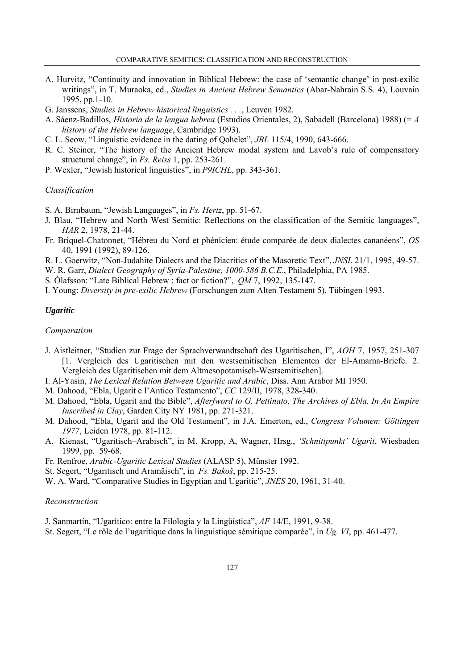- A. Hurvitz, "Continuity and innovation in Biblical Hebrew: the case of 'semantic change' in post-exilic writings", in T. Muraoka, ed., *Studies in Ancient Hebrew Semantics* (Abar-Nahrain S.S. 4), Louvain 1995, pp.1-10.
- G. Janssens, *Studies in Hebrew historical linguistics . . .*, Leuven 1982.
- A. Sáenz-Badillos, *Historia de la lengua hebrea* (Estudios Orientales, 2), Sabadell (Barcelona) 1988) (= *A history of the Hebrew language*, Cambridge 1993).
- C. L. Seow, "Linguistic evidence in the dating of Qohelet", *JBL* 115/4, 1990, 643-666.
- R. C. Steiner, "The history of the Ancient Hebrew modal system and Lavob's rule of compensatory structural change", in *Fs. Reiss* 1, pp. 253-261.
- P. Wexler, "Jewish historical linguistics", in *P9ICHL*, pp. 343-361.

# *Classification*

- S. A. Birnbaum, "Jewish Languages", in *Fs. Hertz*, pp. 51-67.
- J. Blau, "Hebrew and North West Semitic: Reflections on the classification of the Semitic languages", *HAR* 2, 1978, 21-44.
- Fr. Briquel-Chatonnet, "Hébreu du Nord et phénicien: étude comparée de deux dialectes cananéens", *OS* 40, 1991 (1992), 89-126.
- R. L. Goerwitz, "Non-Judahite Dialects and the Diacritics of the Masoretic Text", *JNSL* 21/1, 1995, 49-57.
- W. R. Garr, *Dialect Geography of Syria-Palestine, 1000-586 B.C.E.*, Philadelphia, PA 1985.
- S. Ólafsson: "Late Biblical Hebrew : fact or fiction?", *QM* 7, 1992, 135-147.
- I. Young: *Diversity in pre-exilic Hebrew* (Forschungen zum Alten Testament 5), Tübingen 1993.

# *Ugaritic*

# *Comparatism*

- J. Aistleitner, "Studien zur Frage der Sprachverwandtschaft des Ugaritischen, I", *AOH* 7, 1957, 251-307 [1. Vergleich des Ugaritischen mit den westsemitischen Elementen der El-Amarna-Briefe. 2. Vergleich des Ugaritischen mit dem Altmesopotamisch-Westsemitischen].
- I. Al-Yasin, *The Lexical Relation Between Ugaritic and Arabic*, Diss. Ann Arabor MI 1950.
- M. Dahood, "Ebla, Ugarit e l'Antico Testamento", *CC* 129/II, 1978, 328-340.
- M. Dahood, "Ebla, Ugarit and the Bible", *Afterfword to G. Pettinato, The Archives of Ebla. In An Empire Inscribed in Clay*, Garden City NY 1981, pp. 271-321.
- M. Dahood, "Ebla, Ugarit and the Old Testament", in J.A. Emerton, ed., *Congress Volumen: Göttingen 1977*, Leiden 1978, pp. 81-112.
- A. Kienast, "Ugaritisch–Arabisch", in M. Kropp, A, Wagner, Hrsg., *'Schnittpunkt' Ugarit*, Wiesbaden 1999, pp. 59-68.
- Fr. Renfroe, *Arabic-Ugaritic Lexical Studies* (ALASP 5), Münster 1992.
- St. Segert, "Ugaritisch und Aramäisch", in *Fs. Bakoš*, pp. 215-25.
- W. A. Ward, "Comparative Studies in Egyptian and Ugaritic", *JNES* 20, 1961, 31-40.

#### *Reconstruction*

- J. Sanmartín, "Ugarítico: entre la Filología y la Lingüística", *AF* 14/E, 1991, 9-38.
- St. Segert, "Le rôle de l'ugaritique dans la linguistique sémitique comparée", in *Ug. VI*, pp. 461-477.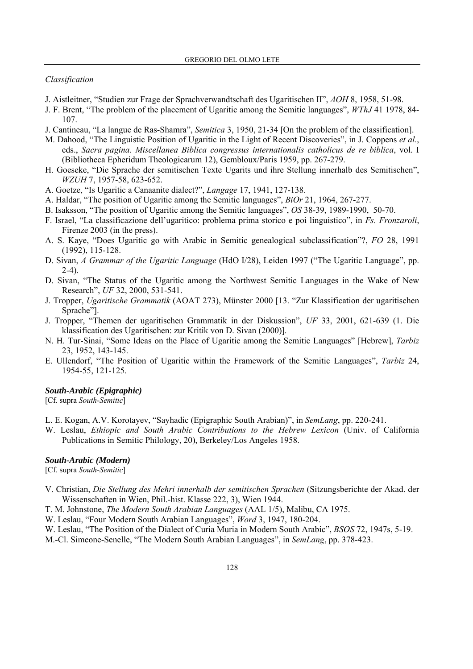#### *Classification*

- J. Aistleitner, "Studien zur Frage der Sprachverwandtschaft des Ugaritischen II", *AOH* 8, 1958, 51-98.
- J. F. Brent, "The problem of the placement of Ugaritic among the Semitic languages", *WThJ* 41 1978, 84- 107.
- J. Cantineau, "La langue de Ras-Shamra", *Semitica* 3, 1950, 21-34 [On the problem of the classification].
- M. Dahood, "The Linguistic Position of Ugaritic in the Light of Recent Discoveries", in J. Coppens *et al.*, eds., *Sacra pagina. Miscellanea Biblica congressus internationalis catholicus de re biblica*, vol. I (Bibliotheca Epheridum Theologicarum 12), Gembloux/Paris 1959, pp. 267-279.
- H. Goeseke, "Die Sprache der semitischen Texte Ugarits und ihre Stellung innerhalb des Semitischen", *WZUH* 7, 1957-58, 623-652.
- A. Goetze, "Is Ugaritic a Canaanite dialect?", *Langage* 17, 1941, 127-138.
- A. Haldar, "The position of Ugaritic among the Semitic languages", *BiOr* 21, 1964, 267-277.
- B. Isaksson, "The position of Ugaritic among the Semitic languages", *OS* 38-39, 1989-1990, 50-70.
- F. Israel, "La classificazione dell'ugaritico: problema prima storico e poi linguistico", in *Fs. Fronzaroli*, Firenze 2003 (in the press).
- A. S. Kaye, "Does Ugaritic go with Arabic in Semitic genealogical subclassification"?, *FO* 28, 1991 (1992), 115-128.
- D. Sivan, *A Grammar of the Ugaritic Language* (HdO I/28), Leiden 1997 ("The Ugaritic Language", pp. 2-4).
- D. Sivan, "The Status of the Ugaritic among the Northwest Semitic Languages in the Wake of New Research", *UF* 32, 2000, 531-541.
- J. Tropper, *Ugaritische Grammatik* (AOAT 273), Münster 2000 [13. "Zur Klassification der ugaritischen Sprache"].
- J. Tropper, "Themen der ugaritischen Grammatik in der Diskussion", *UF* 33, 2001, 621-639 (1. Die klassification des Ugaritischen: zur Kritik von D. Sivan (2000)].
- N. H. Tur-Sinai, "Some Ideas on the Place of Ugaritic among the Semitic Languages" [Hebrew], *Tarbiz* 23, 1952, 143-145.
- E. Ullendorf, "The Position of Ugaritic within the Framework of the Semitic Languages", *Tarbiz* 24, 1954-55, 121-125.

#### *South-Arabic (Epigraphic)*

[Cf. supra *South-Semitic*]

- L. E. Kogan, A.V. Korotayev, "Sayhadic (Epigraphic South Arabian)", in *SemLang*, pp. 220-241.
- W. Leslau, *Ethiopic and South Arabic Contributions to the Hebrew Lexicon* (Univ. of California Publications in Semitic Philology, 20), Berkeley/Los Angeles 1958.

### *South-Arabic (Modern)*

[Cf. supra *South-Semitic*]

- V. Christian, *Die Stellung des Mehri innerhalb der semitischen Sprachen* (Sitzungsberichte der Akad. der Wissenschaften in Wien, Phil.-hist. Klasse 222, 3), Wien 1944.
- T. M. Johnstone, *The Modern South Arabian Languages* (AAL 1/5), Malibu, CA 1975.
- W. Leslau, "Four Modern South Arabian Languages", *Word* 3, 1947, 180-204.
- W. Leslau, "The Position of the Dialect of Curia Muria in Modern South Arabic", *BSOS* 72, 1947s, 5-19. M.-Cl. Simeone-Senelle, "The Modern South Arabian Languages", in *SemLang*, pp. 378-423.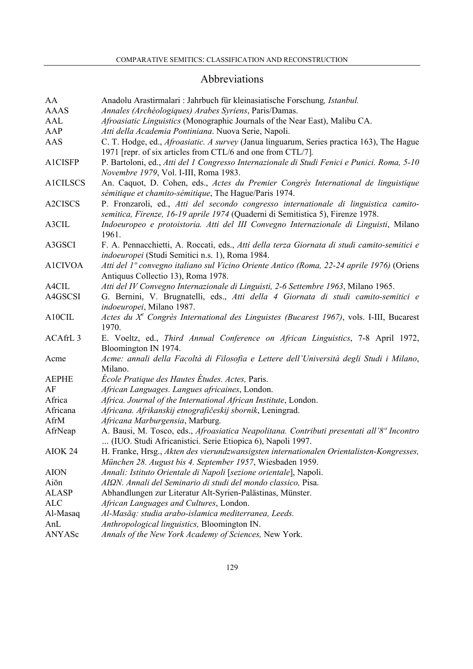# Abbreviations

| AA                  | Anadolu Arastirmalari : Jahrbuch für kleinasiatische Forschung, Istanbul.                           |
|---------------------|-----------------------------------------------------------------------------------------------------|
| <b>AAAS</b>         | Annales (Archéologiques) Arabes Syriens, Paris/Damas.                                               |
| AAL                 | Afroasiatic Linguistics (Monographic Journals of the Near East), Malibu CA.                         |
| AAP                 | Atti della Academia Pontiniana. Nuova Serie, Napoli.                                                |
| AAS                 | C. T. Hodge, ed., <i>Afroasiatic. A survey</i> (Janua linguarum, Series practica 163), The Hague    |
|                     | 1971 [repr. of six articles from CTL/6 and one from CTL/7].                                         |
| A1CISFP             | P. Bartoloni, ed., Atti del 1 Congresso Internazionale di Studi Fenici e Punici. Roma, 5-10         |
|                     | Novembre 1979, Vol. I-III, Roma 1983.                                                               |
| <b>A1CILSCS</b>     | An. Caquot, D. Cohen, eds., Actes du Premier Congrès International de linguistique                  |
|                     | sémitique et chamito-sémitique, The Hague/Paris 1974.                                               |
| A2CISCS             | P. Fronzaroli, ed., Atti del secondo congresso internationale di linguistica camito-                |
|                     | semitica, Firenze, 16-19 aprile 1974 (Quaderni di Semitistica 5), Firenze 1978.                     |
| A3CIL               | Indoeuropeo e protoistoria. Atti del III Convegno Internazionale di Linguisti, Milano               |
|                     | 1961.                                                                                               |
| A3GSCI              | F. A. Pennacchietti, A. Roccati, eds., Atti della terza Giornata di studi camito-semitici e         |
|                     | indoeuropei (Studi Semitici n.s. 1), Roma 1984.                                                     |
| <b>A1CIVOA</b>      | Atti del 1º convegno italiano sul Vicino Oriente Antico (Roma, 22-24 aprile 1976) (Oriens           |
|                     | Antiquus Collectio 13), Roma 1978.                                                                  |
| A4CIL               | Atti del IV Convegno Internazionale di Linguisti, 2-6 Settembre 1963, Milano 1965.                  |
| A4GSCSI             | G. Bernini, V. Brugnatelli, eds., Atti della 4 Giornata di studi camito-semitici e                  |
|                     | indoeuropei, Milano 1987.                                                                           |
| A10CIL              | Actes du X <sup>e</sup> Congrès International des Linguistes (Bucarest 1967), vols. I-III, Bucarest |
|                     | 1970.                                                                                               |
| ACAfrL <sub>3</sub> | E. Voeltz, ed., Third Annual Conference on African Linguistics, 7-8 April 1972,                     |
|                     | Bloomington IN 1974.                                                                                |
| Acme                | Acme: annali della Facoltà di Filosofia e Lettere dell'Università degli Studi i Milano,             |
|                     | Milano.                                                                                             |
| <b>AEPHE</b>        | École Pratique des Hautes Études. Actes, Paris.                                                     |
| AF                  | African Languages. Langues africaines, London.                                                      |
| Africa              | Africa. Journal of the International African Institute, London.                                     |
| Africana            | Africana. Afrikanskij etnografičeskij sbornik, Leningrad.                                           |
| AfrM                | Africana Marburgensia, Marburg.                                                                     |
| AfrNeap             | A. Bausi, M. Tosco, eds., Afroasiatica Neapolitana. Contributi presentati all'8º Incontro           |
|                     | (IUO. Studi Africanistici. Serie Etiopica 6), Napoli 1997.                                          |
| AIOK 24             | H. Franke, Hrsg., Akten des vierundzwansigsten internationalen Orientalisten-Kongresses,            |
|                     | München 28. August bis 4. September 1957, Wiesbaden 1959.                                           |
| <b>AION</b>         | Annali: Istituto Orientale di Napoli [sezione orientale], Napoli.                                   |
| Aiōn                | AIΩN. Annali del Seminario di studi del mondo classico, Pisa.                                       |
| <b>ALASP</b>        | Abhandlungen zur Literatur Alt-Syrien-Palästinas, Münster.                                          |
| <b>ALC</b>          | African Languages and Cultures, London.                                                             |
| Al-Masaq            | Al-Masāq: studia arabo-islamica mediterranea, Leeds.                                                |
| AnL                 | Anthropological linguistics, Bloomington IN.                                                        |
| ANYASc              | Annals of the New York Academy of Sciences, New York.                                               |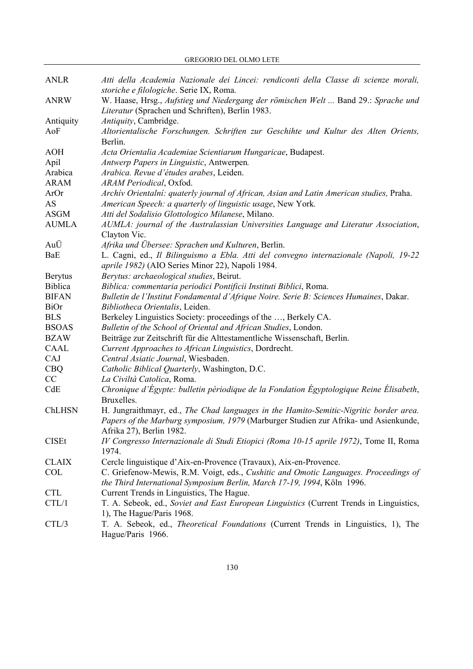GREGORIO DEL OLMO LETE

| <b>ANLR</b>    | Atti della Academia Nazionale dei Lincei: rendiconti della Classe di scienze morali,<br>storiche e filologiche. Serie IX, Roma.        |
|----------------|----------------------------------------------------------------------------------------------------------------------------------------|
| <b>ANRW</b>    | W. Haase, Hrsg., Aufstieg und Niedergang der römischen Welt  Band 29.: Sprache und<br>Literatur (Sprachen und Schriften), Berlin 1983. |
| Antiquity      | Antiquity, Cambridge.                                                                                                                  |
| AoF            | Altorientalische Forschungen. Schriften zur Geschihte und Kultur des Alten Orients,                                                    |
|                | Berlin.                                                                                                                                |
| <b>AOH</b>     | Acta Orientalia Academiae Scientiarum Hungaricae, Budapest.                                                                            |
| Apil           | Antwerp Papers in Linguistic, Antwerpen.                                                                                               |
| Arabica        | Arabica. Revue d'études arabes, Leiden.                                                                                                |
| <b>ARAM</b>    | ARAM Periodical, Oxfod.                                                                                                                |
| ArOr           | Archiv Orientalni: quaterly journal of African, Asian and Latin American studies, Praha.                                               |
| AS             | American Speech: a quarterly of linguistic usage, New York.                                                                            |
| <b>ASGM</b>    | Atti del Sodalisio Glottologico Milanese, Milano.                                                                                      |
| <b>AUMLA</b>   | AUMLA: journal of the Australassian Universities Language and Literatur Association,                                                   |
|                | Clayton Vic.                                                                                                                           |
| AuÜ            | Afrika und Übersee: Sprachen und Kulturen, Berlin.                                                                                     |
| BaE            | L. Cagni, ed., Il Bilinguismo a Ebla. Atti del convegno internazionale (Napoli, 19-22                                                  |
|                | aprile 1982) (AIO Series Minor 22), Napoli 1984.                                                                                       |
| <b>Berytus</b> | Berytus: archaeological studies, Beirut.                                                                                               |
| <b>Biblica</b> | Biblica: commentaria periodici Pontificii Instituti Biblici, Roma.                                                                     |
| <b>BIFAN</b>   | Bulletin de l'Institut Fondamental d'Afrique Noire. Serie B: Sciences Humaines, Dakar.                                                 |
| <b>BiOr</b>    | Bibliotheca Orientalis, Leiden.                                                                                                        |
| <b>BLS</b>     | Berkeley Linguistics Society: proceedings of the , Berkely CA.                                                                         |
| <b>BSOAS</b>   | Bulletin of the School of Oriental and African Studies, London.                                                                        |
| <b>BZAW</b>    | Beiträge zur Zeitschrift für die Alttestamentliche Wissenschaft, Berlin.                                                               |
| <b>CAAL</b>    | Current Approaches to African Linguistics, Dordrecht.                                                                                  |
| CAJ            | Central Asiatic Journal, Wiesbaden.                                                                                                    |
| <b>CBQ</b>     | Catholic Biblical Quarterly, Washington, D.C.                                                                                          |
| CC             | La Civiltà Catolica, Roma.                                                                                                             |
| CdE            | Chronique d'Égypte: bulletin périodique de la Fondation Égyptologique Reine Élisabeth,<br>Bruxelles.                                   |
| ChLHSN         | H. Jungraithmayr, ed., The Chad languages in the Hamito-Semitic-Nigritic border area.                                                  |
|                | Papers of the Marburg symposium, 1979 (Marburger Studien zur Afrika- und Asienkunde,<br>Afrika 27), Berlin 1982.                       |
| <b>CISEt</b>   | IV Congresso Internazionale di Studi Etiopici (Roma 10-15 aprile 1972), Tome II, Roma<br>1974.                                         |
| <b>CLAIX</b>   | Cercle linguistique d'Aix-en-Provence (Travaux), Aix-en-Provence.                                                                      |
| <b>COL</b>     | C. Griefenow-Mewis, R.M. Voigt, eds., Cushitic and Omotic Languages. Proceedings of                                                    |
|                | the Third International Symposium Berlin, March 17-19, 1994, Köln 1996.                                                                |
| <b>CTL</b>     | Current Trends in Linguistics, The Hague.                                                                                              |
| CTL/1          | T. A. Sebeok, ed., Soviet and East European Linguistics (Current Trends in Linguistics,                                                |
|                | 1), The Hague/Paris 1968.                                                                                                              |
| CTL/3          | T. A. Sebeok, ed., <i>Theoretical Foundations</i> (Current Trends in Linguistics, 1), The                                              |
|                | Hague/Paris 1966.                                                                                                                      |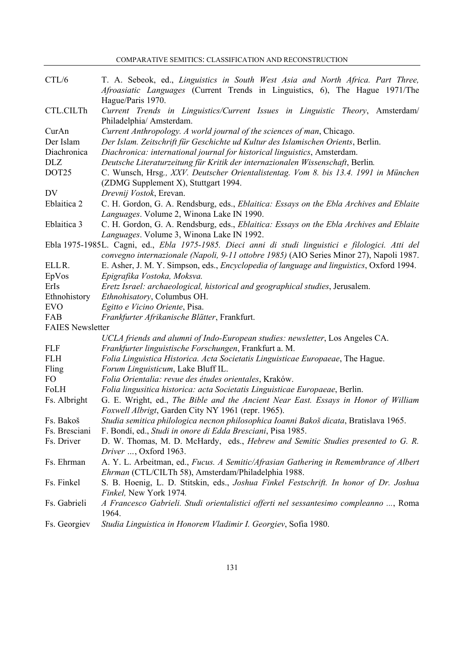COMPARATIVE SEMITICS: CLASSIFICATION AND RECONSTRUCTION

| CTL/6                   | T. A. Sebeok, ed., Linguistics in South West Asia and North Africa. Part Three,                                             |
|-------------------------|-----------------------------------------------------------------------------------------------------------------------------|
|                         | Afroasiatic Languages (Current Trends in Linguistics, 6), The Hague 1971/The                                                |
|                         | Hague/Paris 1970.                                                                                                           |
| CTL.CILTh               | Current Trends in Linguistics/Current Issues in Linguistic Theory, Amsterdam/                                               |
|                         | Philadelphia/ Amsterdam.                                                                                                    |
| CurAn                   | Current Anthropology. A world journal of the sciences of man, Chicago.                                                      |
| Der Islam               | Der Islam. Zeitschrift für Geschichte ud Kultur des Islamischen Orients, Berlin.                                            |
| Diachronica             | Diachronica: international journal for historical linguistics, Amsterdam.                                                   |
| <b>DLZ</b>              | Deutsche Literaturzeitung für Kritik der internazionalen Wissenschaft, Berlin.                                              |
| DOT25                   | C. Wunsch, Hrsg., XXV. Deutscher Orientalistentag. Vom 8. bis 13.4. 1991 in München<br>(ZDMG Supplement X), Stuttgart 1994. |
| <b>DV</b>               | Drevnij Vostok, Erevan.                                                                                                     |
| Eblaitica 2             | C. H. Gordon, G. A. Rendsburg, eds., <i>Eblaitica: Essays on the Ebla Archives and Eblaite</i>                              |
|                         | Languages. Volume 2, Winona Lake IN 1990.                                                                                   |
| Eblaitica 3             | C. H. Gordon, G. A. Rendsburg, eds., Eblaitica: Essays on the Ebla Archives and Eblaite                                     |
|                         | Languages. Volume 3, Winona Lake IN 1992.                                                                                   |
|                         | Ebla 1975-1985L. Cagni, ed., Ebla 1975-1985. Dieci anni di studi linguistici e filologici. Atti del                         |
|                         | convegno internazionale (Napoli, 9-11 ottobre 1985) (AIO Series Minor 27), Napoli 1987.                                     |
| ELLR.                   | E. Asher, J. M. Y. Simpson, eds., <i>Encyclopedia of language and linguistics</i> , Oxford 1994.                            |
| EpVos                   | Epigrafika Vostoka, Moksva.                                                                                                 |
| ErIs                    | Eretz Israel: archaeological, historical and geographical studies, Jerusalem.                                               |
| Ethnohistory            | Ethnohisatory, Columbus OH.                                                                                                 |
| <b>EVO</b>              | Egitto e Vicino Oriente, Pisa.                                                                                              |
| FAB                     | Frankfurter Afrikanische Blätter, Frankfurt.                                                                                |
| <b>FAIES Newsletter</b> |                                                                                                                             |
|                         | UCLA friends and alumni of Indo-European studies: newsletter, Los Angeles CA.                                               |
| <b>FLF</b>              | Frankfurter linguistische Forschungen, Frankfurt a. M.                                                                      |
| <b>FLH</b>              | Folia Linguistica Historica. Acta Societatis Linguisticae Europaeae, The Hague.                                             |
| Fling                   | Forum Linguisticum, Lake Bluff IL.                                                                                          |
| FO                      | Folia Orientalia: revue des études orientales, Kraków.                                                                      |
| FoLH                    | Folia lingusitica historica: acta Societatis Linguisticae Europaeae, Berlin.                                                |
| Fs. Albright            | G. E. Wright, ed., The Bible and the Ancient Near East. Essays in Honor of William                                          |
|                         | Foxwell Albrigt, Garden City NY 1961 (repr. 1965).                                                                          |
| Fs. Bakoš               | Studia semitica philologica necnon philosophica Ioanni Bakoš dicata, Bratislava 1965.                                       |
| Fs. Bresciani           | F. Bondí, ed., Studi in onore di Edda Bresciani, Pisa 1985.                                                                 |
| Fs. Driver              | D. W. Thomas, M. D. McHardy, eds., <i>Hebrew and Semitic Studies presented to G. R.</i>                                     |
|                         | Driver , Oxford 1963.                                                                                                       |
| Fs. Ehrman              | A. Y. L. Arbeitman, ed., Fucus. A Semitic/Afrasian Gathering in Remembrance of Albert                                       |
|                         | Ehrman (CTL/CILTh 58), Amsterdam/Philadelphia 1988.                                                                         |
| Fs. Finkel              | S. B. Hoenig, L. D. Stitskin, eds., Joshua Finkel Festschrift. In honor of Dr. Joshua<br>Finkel, New York 1974.             |
| Fs. Gabrieli            | A Francesco Gabrieli. Studi orientalistici offerti nel sessantesimo compleanno , Roma                                       |
|                         | 1964.                                                                                                                       |
| Fs. Georgiev            | Studia Linguistica in Honorem Vladimir I. Georgiev, Sofia 1980.                                                             |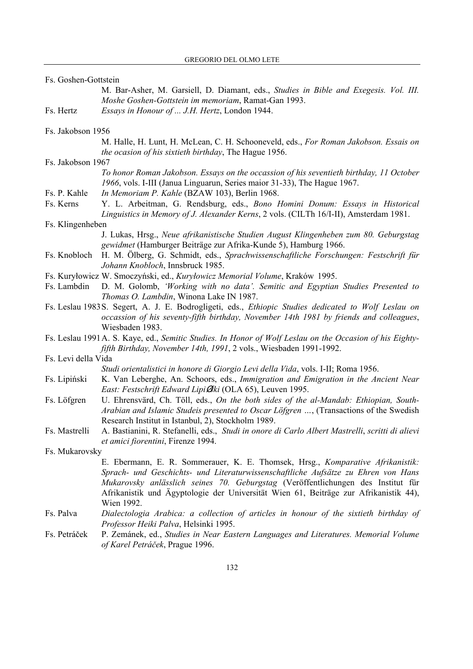|                                                                                           | Fs. Goshen-Gottstein |                                                                                                                                                                                                                                                                                                                                                               |
|-------------------------------------------------------------------------------------------|----------------------|---------------------------------------------------------------------------------------------------------------------------------------------------------------------------------------------------------------------------------------------------------------------------------------------------------------------------------------------------------------|
|                                                                                           |                      | M. Bar-Asher, M. Garsiell, D. Diamant, eds., Studies in Bible and Exegesis. Vol. III.<br>Moshe Goshen-Gottstein im memoriam, Ramat-Gan 1993.                                                                                                                                                                                                                  |
|                                                                                           | Fs. Hertz            | Essays in Honour of  J.H. Hertz, London 1944.                                                                                                                                                                                                                                                                                                                 |
|                                                                                           | Fs. Jakobson 1956    |                                                                                                                                                                                                                                                                                                                                                               |
|                                                                                           |                      | M. Halle, H. Lunt, H. McLean, C. H. Schooneveld, eds., For Roman Jakobson. Essais on<br>the ocasion of his sixtieth birthday, The Hague 1956.                                                                                                                                                                                                                 |
|                                                                                           | Fs. Jakobson 1967    | To honor Roman Jakobson. Essays on the occassion of his seventieth birthday, 11 October                                                                                                                                                                                                                                                                       |
|                                                                                           | Fs. P. Kahle         | 1966, vols. I-III (Janua Linguarun, Series maior 31-33), The Hague 1967.<br>In Memoriam P. Kahle (BZAW 103), Berlin 1968.                                                                                                                                                                                                                                     |
|                                                                                           | Fs. Kerns            | Y. L. Arbeitman, G. Rendsburg, eds., Bono Homini Donum: Essays in Historical                                                                                                                                                                                                                                                                                  |
|                                                                                           |                      | Linguistics in Memory of J. Alexander Kerns, 2 vols. (CILTh 16/I-II), Amsterdam 1981.                                                                                                                                                                                                                                                                         |
|                                                                                           | Fs. Klingenheben     |                                                                                                                                                                                                                                                                                                                                                               |
|                                                                                           |                      | J. Lukas, Hrsg., Neue afrikanistische Studien August Klingenheben zum 80. Geburgstag<br>gewidmet (Hamburger Beiträge zur Afrika-Kunde 5), Hamburg 1966.                                                                                                                                                                                                       |
|                                                                                           | Fs. Knobloch         | H. M. Ölberg, G. Schmidt, eds., Sprachwissenschaftliche Forschungen: Festschrift für<br>Johann Knobloch, Innsbruck 1985.                                                                                                                                                                                                                                      |
|                                                                                           |                      | Fs. Kuryłowicz W. Smoczyński, ed., Kuryłowicz Memorial Volume, Kraków 1995.                                                                                                                                                                                                                                                                                   |
|                                                                                           | Fs. Lambdin          | D. M. Golomb, 'Working with no data'. Semitic and Egyptian Studies Presented to<br>Thomas O. Lambdin, Winona Lake IN 1987.                                                                                                                                                                                                                                    |
|                                                                                           |                      | Fs. Leslau 1983 S. Segert, A. J. E. Bodrogligeti, eds., Ethiopic Studies dedicated to Wolf Leslau on<br>occassion of his seventy-fifth birthday, November 14th 1981 by friends and colleagues,<br>Wiesbaden 1983.                                                                                                                                             |
|                                                                                           |                      | Fs. Leslau 1991 A. S. Kaye, ed., Semitic Studies. In Honor of Wolf Leslau on the Occasion of his Eighty-                                                                                                                                                                                                                                                      |
| fifth Birthday, November 14th, 1991, 2 vols., Wiesbaden 1991-1992.<br>Fs. Levi della Vida |                      |                                                                                                                                                                                                                                                                                                                                                               |
|                                                                                           |                      | Studi orientalistici in honore di Giorgio Levi della Vida, vols. I-II; Roma 1956.                                                                                                                                                                                                                                                                             |
|                                                                                           | Fs. Lipiński         | K. Van Leberghe, An. Schoors, eds., Immigration and Emigration in the Ancient Near<br>East: Festschrift Edward LipiØski (OLA 65), Leuven 1995.                                                                                                                                                                                                                |
|                                                                                           | Fs. Löfgren          | U. Ehrensvärd, Ch. Töll, eds., On the both sides of the al-Mandab: Ethiopian, South-<br>Arabian and Islamic Studeis presented to Oscar Löfgren , (Transactions of the Swedish<br>Research Institut in Istanbul, 2), Stockholm 1989.                                                                                                                           |
|                                                                                           | Fs. Mastrelli        | A. Bastianini, R. Stefanelli, eds., Studi in onore di Carlo Albert Mastrelli, scritti di alievi<br>et amici fiorentini, Firenze 1994.                                                                                                                                                                                                                         |
|                                                                                           | Fs. Mukarovsky       |                                                                                                                                                                                                                                                                                                                                                               |
|                                                                                           |                      | E. Ebermann, E. R. Sommerauer, K. E. Thomsek, Hrsg., Komparative Afrikanistik:<br>Sprach- und Geschichts- und Literaturwissenschaftliche Aufsätze zu Ehren von Hans<br>Mukarovsky anlässlich seines 70. Geburgstag (Veröffentlichungen des Institut für<br>Afrikanistik und Ägyptologie der Universität Wien 61, Beiträge zur Afrikanistik 44),<br>Wien 1992. |
|                                                                                           | Fs. Palva            | Dialectologia Arabica: a collection of articles in honour of the sixtieth birthday of<br>Professor Heiki Palva, Helsinki 1995.                                                                                                                                                                                                                                |
|                                                                                           | Fs. Petráček         | P. Zemánek, ed., Studies in Near Eastern Languages and Literatures. Memorial Volume<br>of Karel Petráček, Prague 1996.                                                                                                                                                                                                                                        |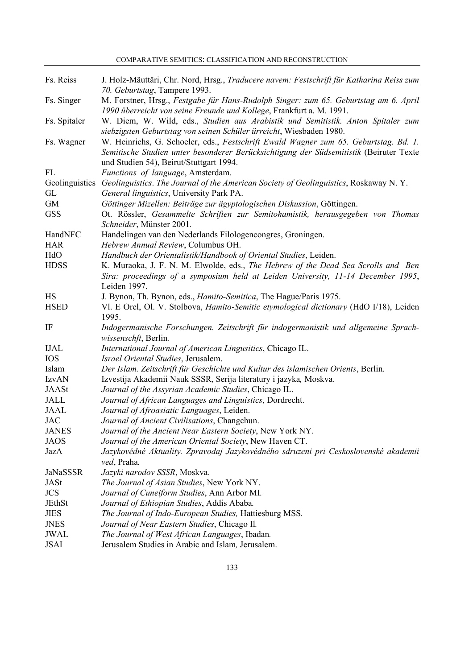COMPARATIVE SEMITICS: CLASSIFICATION AND RECONSTRUCTION

| Fs. Reiss    | J. Holz-Mäuttäri, Chr. Nord, Hrsg., Traducere navem: Festschrift für Katharina Reiss zum<br>70. Geburtstag, Tampere 1993.                                                                                                 |
|--------------|---------------------------------------------------------------------------------------------------------------------------------------------------------------------------------------------------------------------------|
| Fs. Singer   | M. Forstner, Hrsg., Festgabe für Hans-Rudolph Singer: zum 65. Geburtstag am 6. April<br>1990 überreicht von seine Freunde und Kollege, Frankfurt a. M. 1991.                                                              |
| Fs. Spitaler | W. Diem, W. Wild, eds., Studien aus Arabistik und Semitistik. Anton Spitaler zum<br>siebzigsten Geburtstag von seinen Schüler ürreicht, Wiesbaden 1980.                                                                   |
| Fs. Wagner   | W. Heinrichs, G. Schoeler, eds., Festschrift Ewald Wagner zum 65. Geburtstag. Bd. 1.<br>Semitische Studien unter besonderer Berücksichtigung der Südsemitistik (Beiruter Texte<br>und Studien 54), Beirut/Stuttgart 1994. |
| FL           | Functions of language, Amsterdam.                                                                                                                                                                                         |
|              | Geolinguistics Geolinguistics. The Journal of the American Society of Geolinguistics, Roskaway N.Y.                                                                                                                       |
| GL           | General linguistics, University Park PA.                                                                                                                                                                                  |
| GM           | Göttinger Mizellen: Beiträge zur ägyptologischen Diskussion, Göttingen.                                                                                                                                                   |
| <b>GSS</b>   | Ot. Rössler, Gesammelte Schriften zur Semitohamistik, herausgegeben von Thomas                                                                                                                                            |
|              | Schneider, Münster 2001.                                                                                                                                                                                                  |
| HandNFC      | Handelingen van den Nederlands Filologencongres, Groningen.                                                                                                                                                               |
| <b>HAR</b>   | Hebrew Annual Review, Columbus OH.                                                                                                                                                                                        |
| HdO          | Handbuch der Orientalistik/Handbook of Oriental Studies, Leiden.                                                                                                                                                          |
| <b>HDSS</b>  | K. Muraoka, J. F. N. M. Elwolde, eds., The Hebrew of the Dead Sea Scrolls and Ben                                                                                                                                         |
|              | Sira: proceedings of a symposium held at Leiden University, 11-14 December 1995,<br>Leiden 1997.                                                                                                                          |
| $\rm{HS}$    | J. Bynon, Th. Bynon, eds., <i>Hamito-Semitica</i> , The Hague/Paris 1975.                                                                                                                                                 |
| <b>HSED</b>  | Vl. E Orel, Ol. V. Stolbova, <i>Hamito-Semitic etymological dictionary</i> (HdO I/18), Leiden                                                                                                                             |
|              | 1995.                                                                                                                                                                                                                     |
| IF           | Indogermanische Forschungen. Zeitschrift für indogermanistik und allgemeine Sprach-<br>wissenschft, Berlin.                                                                                                               |
| <b>IJAL</b>  | International Journal of American Lingusitics, Chicago IL.                                                                                                                                                                |
| <b>IOS</b>   | Israel Oriental Studies, Jerusalem.                                                                                                                                                                                       |
| Islam        | Der Islam. Zeitschrift für Geschichte und Kultur des islamischen Orients, Berlin.                                                                                                                                         |
| <b>IzvAN</b> | Izvestija Akademii Nauk SSSR, Serija literatury i jazyka, Moskva.                                                                                                                                                         |
| <b>JAASt</b> | Journal of the Assyrian Academic Studies, Chicago IL.                                                                                                                                                                     |
| JALL         | Journal of African Languages and Linguistics, Dordrecht.                                                                                                                                                                  |
| <b>JAAL</b>  | Journal of Afroasiatic Languages, Leiden.                                                                                                                                                                                 |
| <b>JAC</b>   | Journal of Ancient Civilisations, Changchun.                                                                                                                                                                              |
| <b>JANES</b> | Journal of the Ancient Near Eastern Society, New York NY.                                                                                                                                                                 |
| <b>JAOS</b>  | Journal of the American Oriental Society, New Haven CT.                                                                                                                                                                   |
| JazA         | Jazykovédné Aktuality. Zpravodaj Jazykovédného sdruzeni pri Ceskoslovenské akademii<br><i>ved</i> , Praha.                                                                                                                |
| JaNaSSSR     | Jazyki narodov SSSR, Moskva.                                                                                                                                                                                              |
| <b>JASt</b>  | The Journal of Asian Studies, New York NY.                                                                                                                                                                                |
| <b>JCS</b>   | Journal of Cuneiform Studies, Ann Arbor MI.                                                                                                                                                                               |
| JEthSt       | Journal of Ethiopian Studies, Addis Ababa.                                                                                                                                                                                |
| <b>JIES</b>  | The Journal of Indo-European Studies, Hattiesburg MSS.                                                                                                                                                                    |
| <b>JNES</b>  | Journal of Near Eastern Studies, Chicago Il.                                                                                                                                                                              |
| <b>JWAL</b>  | The Journal of West African Languages, Ibadan.                                                                                                                                                                            |
|              |                                                                                                                                                                                                                           |

JSAI Jerusalem Studies in Arabic and Islam*,* Jerusalem.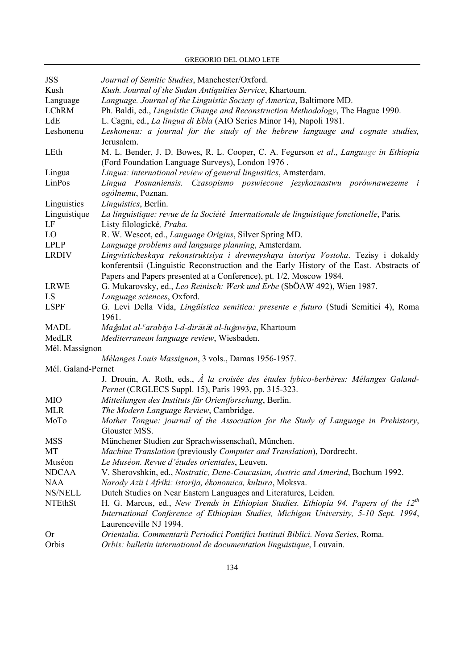GREGORIO DEL OLMO LETE

| <b>JSS</b>         | Journal of Semitic Studies, Manchester/Oxford.                                                         |
|--------------------|--------------------------------------------------------------------------------------------------------|
| Kush               | Kush. Journal of the Sudan Antiquities Service, Khartoum.                                              |
| Language           | Language. Journal of the Linguistic Society of America, Baltimore MD.                                  |
| <b>LChRM</b>       | Ph. Baldi, ed., Linguistic Change and Reconstruction Methodology, The Hague 1990.                      |
| LdE                | L. Cagni, ed., La lingua di Ebla (AIO Series Minor 14), Napoli 1981.                                   |
| Leshonenu          | Leshonenu: a journal for the study of the hebrew language and cognate studies,                         |
|                    | Jerusalem.                                                                                             |
| LEth               | M. L. Bender, J. D. Bowes, R. L. Cooper, C. A. Fegurson et al., Language in Ethiopia                   |
|                    | (Ford Foundation Language Surveys), London 1976.                                                       |
| Lingua             | Lingua: international review of general lingusitics, Amsterdam.                                        |
| LinPos             | Lingua Posnaniensis. Czasopismo poswiecone jezykoznastwu porównawezeme i                               |
|                    | ogólnemu, Poznan.                                                                                      |
| Linguistics        | Linguistics, Berlin.                                                                                   |
| Linguistique       | La linguistique: revue de la Société Internationale de linguistique fonctionelle, Paris.               |
| LF                 | Listy filologické, Praha.                                                                              |
| LO                 | R. W. Wescot, ed., Language Origins, Silver Spring MD.                                                 |
| <b>LPLP</b>        | Language problems and language planning, Amsterdam.                                                    |
| <b>LRDIV</b>       | Lingvisticheskaya rekonstruktsiya i drevneyshaya istoriya Vostoka. Tezisy i dokaldy                    |
|                    | konferentsii (Linguistic Reconstruction and the Early History of the East. Abstracts of                |
|                    | Papers and Papers presented at a Conference), pt. 1/2, Moscow 1984.                                    |
| <b>LRWE</b>        | G. Mukarovsky, ed., Leo Reinisch: Werk und Erbe (SbÖAW 492), Wien 1987.                                |
| LS                 | Language sciences, Oxford.                                                                             |
| <b>LSPF</b>        | G. Levi Della Vida, Lingüística semitica: presente e futuro (Studi Semitici 4), Roma                   |
|                    | 1961.                                                                                                  |
| <b>MADL</b>        | Mağalat al- <sup>c</sup> arabīya l-d-dirāsāt al-luģawīya, Khartoum                                     |
| MedLR              | Mediterranean language review, Wiesbaden.                                                              |
| Mél. Massignon     |                                                                                                        |
|                    | Mélanges Louis Massignon, 3 vols., Damas 1956-1957.                                                    |
| Mél. Galand-Pernet |                                                                                                        |
|                    | J. Drouin, A. Roth, eds., $\overrightarrow{A}$ la croisée des études lybico-berbères: Mélanges Galand- |
|                    | Pernet (CRGLECS Suppl. 15), Paris 1993, pp. 315-323.                                                   |
| MIO                | Mitteilungen des Instituts für Orientforschung, Berlin.                                                |
| <b>MLR</b>         | The Modern Language Review, Cambridge.                                                                 |
| MoTo               | Mother Tongue: journal of the Association for the Study of Language in Prehistory,                     |
|                    | Glouster MSS.                                                                                          |
| <b>MSS</b>         | Münchener Studien zur Sprachwissenschaft, München.                                                     |
| MT                 | Machine Translation (previously Computer and Translation), Dordrecht.                                  |
| Muséon             | Le Muséon. Revue d'études orientales, Leuven.                                                          |
| <b>NDCAA</b>       | V. Sherovshkin, ed., Nostratic, Dene-Caucasian, Austric and Amerind, Bochum 1992.                      |
| <b>NAA</b>         | Narody Azii i Afriki: istorija, ékonomica, kultura, Moksva.                                            |
| <b>NS/NELL</b>     | Dutch Studies on Near Eastern Languages and Literatures, Leiden.                                       |
| <b>NTEthSt</b>     | H. G. Marcus, ed., New Trends in Ethiopian Studies. Ethiopia 94. Papers of the $12^{th}$               |
|                    | International Conference of Ethiopian Studies, Michigan University, 5-10 Sept. 1994,                   |
|                    | Laurenceville NJ 1994.                                                                                 |
| <b>Or</b>          | Orientalia. Commentarii Periodici Pontifici Instituti Biblici. Nova Series, Roma.                      |
| Orbis              | Orbis: bulletin international de documentation linguistique, Louvain.                                  |
|                    |                                                                                                        |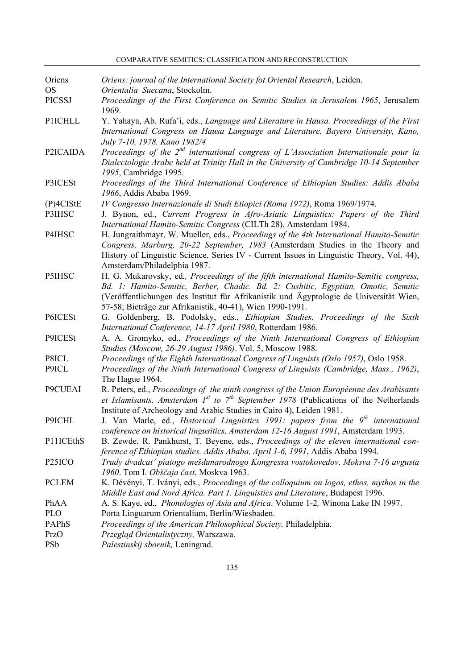| Oriens              | Oriens: journal of the International Society fot Oriental Research, Leiden.                                                                                                                                                                                                                                                        |
|---------------------|------------------------------------------------------------------------------------------------------------------------------------------------------------------------------------------------------------------------------------------------------------------------------------------------------------------------------------|
| <b>OS</b>           | Orientalia Suecana, Stockolm.                                                                                                                                                                                                                                                                                                      |
| <b>PICSSJ</b>       | Proceedings of the First Conference on Semitic Studies in Jerusalem 1965, Jerusalem<br>1969.                                                                                                                                                                                                                                       |
| <b>P1ICHLL</b>      | Y. Yahaya, Ab. Rufa'i, eds., Language and Literature in Hausa. Proceedings of the First<br>International Congress on Hausa Language and Literature. Bayero University, Kano,<br>July 7-10, 1978, Kano 1982/4                                                                                                                       |
| P2ICAIDA            | Proceedings of the $2^{nd}$ international congress of L'Association Internationale pour la<br>Dialectologie Arabe held at Trinity Hall in the University of Cambridge 10-14 September<br>1995, Cambridge 1995.                                                                                                                     |
| P3ICESt             | Proceedings of the Third International Conference of Ethiopian Studies: Addis Ababa<br>1966, Addis Ababa 1969.                                                                                                                                                                                                                     |
| $(P)$ 4CIStE        | IV Congresso Internazionale di Studi Etiopici (Roma 1972), Roma 1969/1974.                                                                                                                                                                                                                                                         |
| P3IHSC              | J. Bynon, ed., Current Progress in Afro-Asiatic Linguistics: Papers of the Third<br>International Hamito-Semitic Congress (CILTh 28), Amsterdam 1984.                                                                                                                                                                              |
| P4IHSC              | H. Jungraithmayr, W. Mueller, eds., Proceedings of the 4th International Hamito-Semitic<br>Congress, Marburg, 20-22 September, 1983 (Amsterdam Studies in the Theory and<br>History of Linguistic Science. Series IV - Current Issues in Linguistic Theory, Vol. 44),<br>Amsterdam/Philadelphia 1987.                              |
| P5IHSC              | H. G. Mukarovsky, ed., Proceedings of the fifth international Hamito-Semitic congress,<br>Bd. 1: Hamito-Semitic, Berber, Chadic. Bd. 2: Cushitic, Egyptian, Omotic, Semitic<br>(Veröffentlichungen des Institut für Afrikanistik und Ägyptologie de Universität Wien,<br>57-58; Bieträge zur Afrikanistik, 40-41), Wien 1990-1991. |
| P6ICESt             | G. Goldenberg, B. Podolsky, eds., Ethiopian Studies. Proceedings of the Sixth<br>International Conference, 14-17 April 1980, Rotterdam 1986.                                                                                                                                                                                       |
| P9ICESt             | A. A. Gromyko, ed., Proceedings of the Ninth International Congress of Ethiopian<br>Studies (Moscow, 26-29 August 1986). Vol. 5, Moscow 1988.                                                                                                                                                                                      |
| P8ICL               | Proceedings of the Eighth International Congress of Linguists (Oslo 1957), Oslo 1958.                                                                                                                                                                                                                                              |
| P9ICL               | Proceedings of the Ninth International Congress of Linguists (Cambridge, Mass., 1962),<br>The Hague 1964.                                                                                                                                                                                                                          |
| P9CUEAI             | R. Peters, ed., Proceedings of the ninth congress of the Union Européenne des Arabisants<br>et Islamisants. Amsterdam $I^{st}$ to $7^{th}$ September 1978 (Publications of the Netherlands<br>Institute of Archeology and Arabic Studies in Cairo 4), Leiden 1981.                                                                 |
| P9ICHL              | J. Van Marle, ed., <i>Historical Linguistics 1991: papers from the</i> $9th$ international<br>conference on historical lingusitics, Amsterdam 12-16 August 1991, Amsterdam 1993.                                                                                                                                                   |
| P11ICEthS           | B. Zewde, R. Pankhurst, T. Beyene, eds., Proceedings of the eleven international con-<br>ference of Ethiopian studies. Addis Ababa, April 1-6, 1991, Addis Ababa 1994.                                                                                                                                                             |
| P <sub>25</sub> ICO | Trudy dvadcat' piatogo mešdunarodnogo Kongressa vostokovedov. Moksva 7-16 avgusta<br>1960. Tom I. Obščaja čast, Moskva 1963.                                                                                                                                                                                                       |
| <b>PCLEM</b>        | K. Dévényi, T. Iványi, eds., Proceedings of the colloquium on logos, ethos, mythos in the<br>Middle East and Nord Africa. Part 1. Linguistics and Literature, Budapest 1996.                                                                                                                                                       |
| PhAA                | A. S. Kaye, ed., <i>Phonologies of Asia and Africa</i> . Volume 1-2, Winona Lake IN 1997.                                                                                                                                                                                                                                          |
| <b>PLO</b>          | Porta Linguarum Orientalium, Berlin/Wiesbaden.                                                                                                                                                                                                                                                                                     |
| PAPhS               | Proceedings of the American Philosophical Society. Philadelphia.                                                                                                                                                                                                                                                                   |
| PrzO                | Przegląd Orientalistyczny, Warszawa.                                                                                                                                                                                                                                                                                               |
| PSb                 | Palestinskij sbornik, Leningrad.                                                                                                                                                                                                                                                                                                   |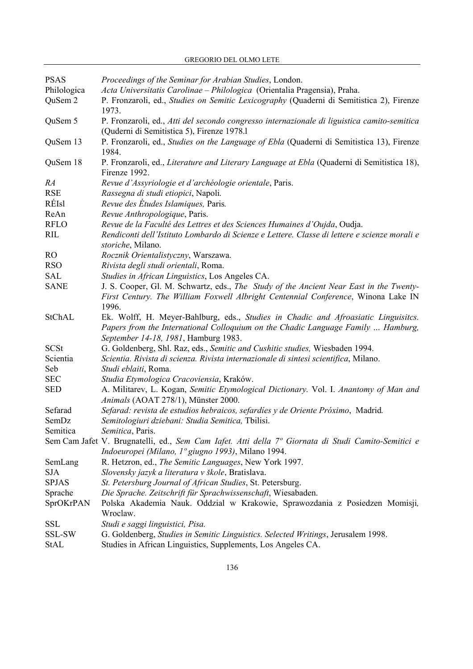| <b>PSAS</b>  | Proceedings of the Seminar for Arabian Studies, London.                                                                                                                                                        |
|--------------|----------------------------------------------------------------------------------------------------------------------------------------------------------------------------------------------------------------|
| Philologica  | Acta Universitatis Carolinae – Philologica (Orientalia Pragensia), Praha.                                                                                                                                      |
| QuSem 2      | P. Fronzaroli, ed., Studies on Semitic Lexicography (Quaderni di Semitistica 2), Firenze<br>1973.                                                                                                              |
| QuSem 5      | P. Fronzaroli, ed., Atti del secondo congresso internazionale di liguistica camito-semitica<br>(Quderni di Semitistica 5), Firenze 1978.1                                                                      |
| QuSem 13     | P. Fronzaroli, ed., Studies on the Language of Ebla (Quaderni di Semitistica 13), Firenze<br>1984.                                                                                                             |
| QuSem 18     | P. Fronzaroli, ed., Literature and Literary Language at Ebla (Quaderni di Semitistica 18),<br>Firenze 1992.                                                                                                    |
| RA           | Revue d'Assyriologie et d'archéologie orientale, Paris.                                                                                                                                                        |
| <b>RSE</b>   | Rassegna di studi etiopici, Napoli.                                                                                                                                                                            |
| RÉIsl        | Revue des Études Islamiques, Paris.                                                                                                                                                                            |
| ReAn         | Revue Anthropologique, Paris.                                                                                                                                                                                  |
| <b>RFLO</b>  | Revue de la Faculté des Lettres et des Sciences Humaines d'Oujda, Oudja.                                                                                                                                       |
| <b>RIL</b>   | Rendiconti dell'Istituto Lombardo di Scienze e Lettere. Classe di lettere e scienze morali e<br>storiche, Milano.                                                                                              |
| RO.          | Rocznik Orientalistyczny, Warszawa.                                                                                                                                                                            |
| <b>RSO</b>   | Rivista degli studi orientali, Roma.                                                                                                                                                                           |
| <b>SAL</b>   | Studies in African Linguistics, Los Angeles CA.                                                                                                                                                                |
| <b>SANE</b>  | J. S. Cooper, Gl. M. Schwartz, eds., The Study of the Ancient Near East in the Twenty-                                                                                                                         |
|              | First Century. The William Foxwell Albright Centennial Conference, Winona Lake IN<br>1996.                                                                                                                     |
| StChAL       | Ek. Wolff, H. Meyer-Bahlburg, eds., Studies in Chadic and Afroasiatic Linguisitcs.<br>Papers from the International Colloquium on the Chadic Language Family  Hamburg,<br>September 14-18, 1981, Hamburg 1983. |
| <b>SCSt</b>  | G. Goldenberg, Shl. Raz, eds., Semitic and Cushitic studies, Wiesbaden 1994.                                                                                                                                   |
| Scientia     | Scientia. Rivista di scienza. Rivista internazionale di sintesi scientifica, Milano.                                                                                                                           |
| Seb          | Studi eblaiti, Roma.                                                                                                                                                                                           |
| <b>SEC</b>   | Studia Etymologica Cracoviensia, Kraków.                                                                                                                                                                       |
| <b>SED</b>   | A. Militarev, L. Kogan, Semitic Etymological Dictionary. Vol. I. Anantomy of Man and<br>Animals (AOAT 278/1), Münster 2000.                                                                                    |
| Sefarad      | Sefarad: revista de estudios hebraicos, sefardíes y de Oriente Próximo, Madrid.                                                                                                                                |
| SemDz        | Semitologiuri dziebani: Studia Semitica, Tbilisi.                                                                                                                                                              |
| Semitica     | Semitica, Paris.                                                                                                                                                                                               |
|              | Sem Cam Jafet V. Brugnatelli, ed., Sem Cam Iafet. Atti della 7º Giornata di Studi Camito-Semitici e                                                                                                            |
|              | Indoeuropei (Milano, 1º giugno 1993), Milano 1994.                                                                                                                                                             |
| SemLang      | R. Hetzron, ed., The Semitic Languages, New York 1997.                                                                                                                                                         |
| SJA          | Slovensky jazyk a literatura v škole, Bratislava.                                                                                                                                                              |
| <b>SPJAS</b> | St. Petersburg Journal of African Studies, St. Petersburg.                                                                                                                                                     |
| Sprache      | Die Sprache. Zeitschrift für Sprachwissenschaft, Wiesabaden.                                                                                                                                                   |
| SprOKrPAN    | Polska Akademia Nauk. Oddział w Krakowie, Sprawozdania z Posiedzen Momisji,<br>Wroclaw.                                                                                                                        |
| SSL          | Studi e saggi linguistici, Pisa.                                                                                                                                                                               |
| SSL-SW       | G. Goldenberg, <i>Studies in Semitic Linguistics. Selected Writings</i> , Jerusalem 1998.                                                                                                                      |
| $C+A$ T      | Studies in African Linquistics Supplements Los Angeles $\Gamma$                                                                                                                                                |

GREGORIO DEL OLMO LETE

StAL Studies in African Linguistics, Supplements, Los Angeles CA.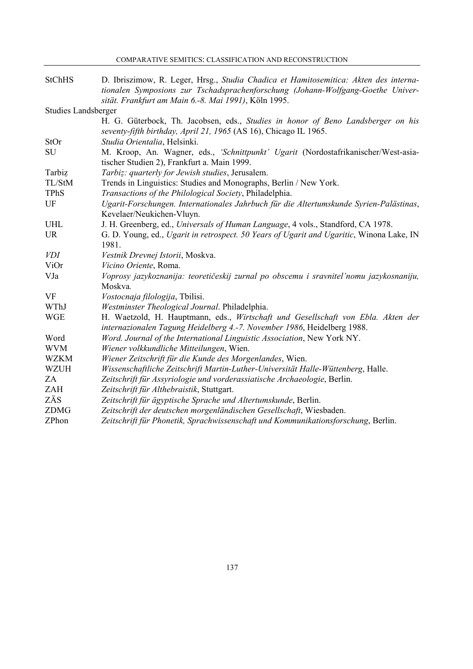| <b>StChHS</b>              | D. Ibriszimow, R. Leger, Hrsg., Studia Chadica et Hamitosemitica: Akten des interna-<br>tionalen Symposions zur Tschadsprachenforschung (Johann-Wolfgang-Goethe Univer- |
|----------------------------|-------------------------------------------------------------------------------------------------------------------------------------------------------------------------|
|                            | sität. Frankfurt am Main 6.-8. Mai 1991), Köln 1995.                                                                                                                    |
| <b>Studies Landsberger</b> |                                                                                                                                                                         |
|                            | H. G. Güterbock, Th. Jacobsen, eds., Studies in honor of Beno Landsberger on his<br>seventy-fifth birthday, April 21, 1965 (AS 16), Chicago IL 1965.                    |
| StOr                       | Studia Orientalia, Helsinki.                                                                                                                                            |
| SU                         | M. Kroop, An. Wagner, eds., 'Schnittpunkt' Ugarit (Nordostafrikanischer/West-asia-<br>tischer Studien 2), Frankfurt a. Main 1999.                                       |
| Tarbiz                     | Tarbiz: quarterly for Jewish studies, Jerusalem.                                                                                                                        |
| TL/StM                     | Trends in Linguistics: Studies and Monographs, Berlin / New York.                                                                                                       |
| <b>TPhS</b>                | Transactions of the Philological Society, Philadelphia.                                                                                                                 |
| UF                         | Ugarit-Forschungen. Internationales Jahrbuch für die Altertumskunde Syrien-Palästinas,                                                                                  |
|                            | Kevelaer/Neukichen-Vluyn.                                                                                                                                               |
| <b>UHL</b>                 | J. H. Greenberg, ed., Universals of Human Language, 4 vols., Standford, CA 1978.                                                                                        |
| <b>UR</b>                  | G. D. Young, ed., Ugarit in retrospect. 50 Years of Ugarit and Ugaritic, Winona Lake, IN<br>1981.                                                                       |
| <i>VDI</i>                 | Vestnik Drevnej Istorii, Moskva.                                                                                                                                        |
| ViOr                       | Vicino Oriente, Roma.                                                                                                                                                   |
| VJa                        | Voprosy jazykoznanija: teoretičeskij zurnal po obscemu i sravnitel'nomu jazykosnaniju,                                                                                  |
|                            | Moskva.                                                                                                                                                                 |
| <b>VF</b>                  | Vostocnaja filologija, Tbilisi.                                                                                                                                         |
| WThJ                       | Westminster Theological Journal. Philadelphia.                                                                                                                          |
| <b>WGE</b>                 | H. Waetzold, H. Hauptmann, eds., Wirtschaft und Gesellschaft von Ebla. Akten der<br>internazionalen Tagung Heidelberg 4.-7. November 1986, Heidelberg 1988.             |
| Word                       | Word. Journal of the International Linguistic Association, New York NY.                                                                                                 |
| <b>WVM</b>                 | Wiener volkkundliche Mitteilungen, Wien.                                                                                                                                |
| <b>WZKM</b>                | Wiener Zeitschrift für die Kunde des Morgenlandes, Wien.                                                                                                                |
| <b>WZUH</b>                | Wissenschaftliche Zeitschrift Martin-Luther-Universität Halle-Wüttenberg, Halle.                                                                                        |
| ZA                         | Zeitschrift für Assyriologie und vorderassiatische Archaeologie, Berlin.                                                                                                |
| ZAH                        | Zeitschrift für Althebraistik, Stuttgart.                                                                                                                               |
| ZÄS                        | Zeitschrift für ägyptische Sprache und Altertumskunde, Berlin.                                                                                                          |
| <b>ZDMG</b>                | Zeitschrift der deutschen morgenländischen Gesellschaft, Wiesbaden.                                                                                                     |
| ZPhon                      | Zeitschrift für Phonetik, Sprachwissenschaft und Kommunikationsforschung, Berlin.                                                                                       |